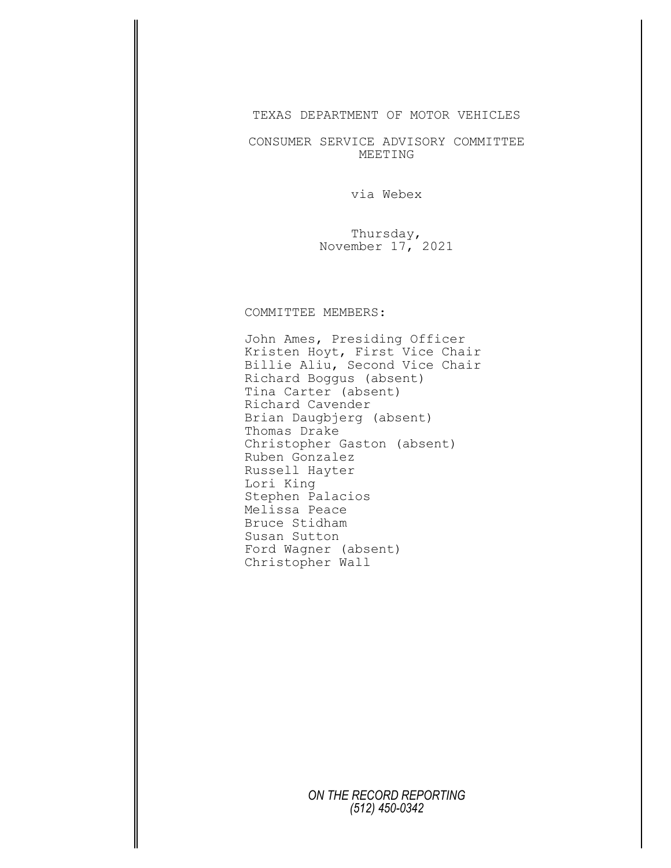TEXAS DEPARTMENT OF MOTOR VEHICLES

CONSUMER SERVICE ADVISORY COMMITTEE MEETING

via Webex

Thursday, November 17, 2021

## COMMITTEE MEMBERS:

John Ames, Presiding Officer Kristen Hoyt, First Vice Chair Billie Aliu, Second Vice Chair Richard Boggus (absent) Tina Carter (absent) Richard Cavender Brian Daugbjerg (absent) Thomas Drake Christopher Gaston (absent) Ruben Gonzalez Russell Hayter Lori King Stephen Palacios Melissa Peace Bruce Stidham Susan Sutton Ford Wagner (absent) Christopher Wall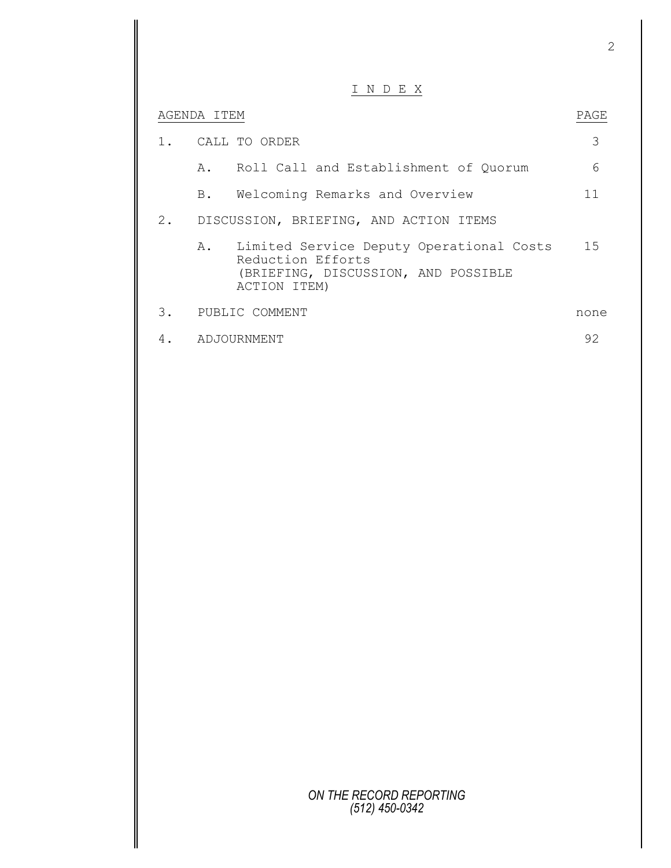|       |             | I N D E X                                                                                                               |      |
|-------|-------------|-------------------------------------------------------------------------------------------------------------------------|------|
|       | AGENDA ITEM |                                                                                                                         | PAGE |
| $1$ . |             | CALL TO ORDER                                                                                                           | 3    |
|       |             | A. Roll Call and Establishment of Quorum                                                                                | 6    |
|       |             | B. Welcoming Remarks and Overview                                                                                       | 11   |
|       |             | 2. DISCUSSION, BRIEFING, AND ACTION ITEMS                                                                               |      |
|       |             | A. Limited Service Deputy Operational Costs<br>Reduction Efforts<br>(BRIEFING, DISCUSSION, AND POSSIBLE<br>ACTION ITEM) | 1.5  |
| 3.    |             | PUBLIC COMMENT                                                                                                          | none |
|       |             | ADJOURNMENT                                                                                                             | 92   |
|       |             |                                                                                                                         |      |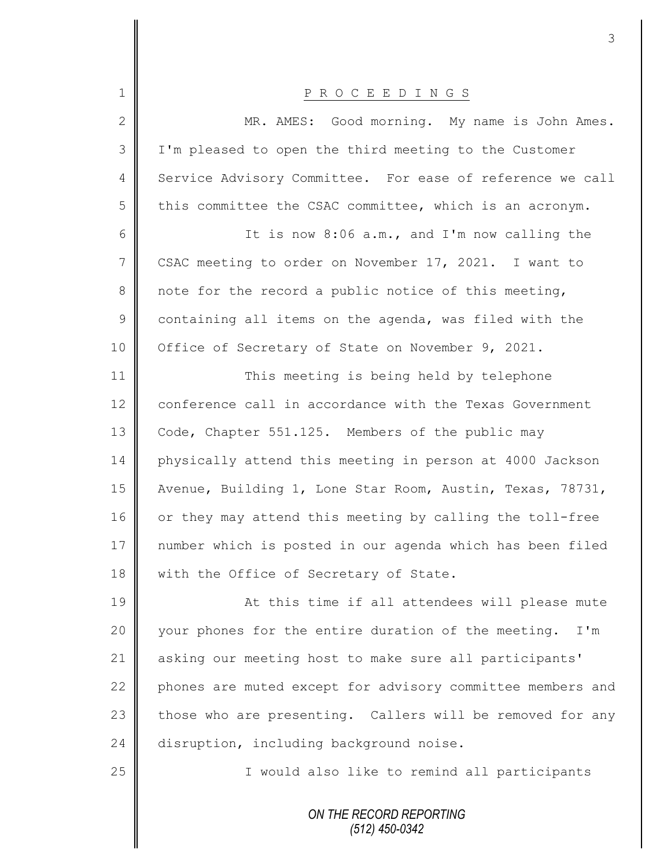| 1            | P R O C E E D I N G S                                      |
|--------------|------------------------------------------------------------|
| $\mathbf{2}$ | MR. AMES: Good morning. My name is John Ames.              |
| 3            | I'm pleased to open the third meeting to the Customer      |
| 4            | Service Advisory Committee. For ease of reference we call  |
| 5            | this committee the CSAC committee, which is an acronym.    |
| 6            | It is now 8:06 a.m., and I'm now calling the               |
| 7            | CSAC meeting to order on November 17, 2021. I want to      |
| 8            | note for the record a public notice of this meeting,       |
| $\mathsf 9$  | containing all items on the agenda, was filed with the     |
| 10           | Office of Secretary of State on November 9, 2021.          |
| 11           | This meeting is being held by telephone                    |
| 12           | conference call in accordance with the Texas Government    |
| 13           | Code, Chapter 551.125. Members of the public may           |
| 14           | physically attend this meeting in person at 4000 Jackson   |
| 15           | Avenue, Building 1, Lone Star Room, Austin, Texas, 78731,  |
| 16           | or they may attend this meeting by calling the toll-free   |
| 17           | number which is posted in our agenda which has been filed  |
| 18           | with the Office of Secretary of State.                     |
| 19           | At this time if all attendees will please mute             |
| 20           | your phones for the entire duration of the meeting. I'm    |
| 21           | asking our meeting host to make sure all participants'     |
| 22           | phones are muted except for advisory committee members and |
| 23           | those who are presenting. Callers will be removed for any  |
| 24           | disruption, including background noise.                    |
| 25           | I would also like to remind all participants               |
|              | ON THE RECORD REPORTING<br>$(512)$ 450-0342                |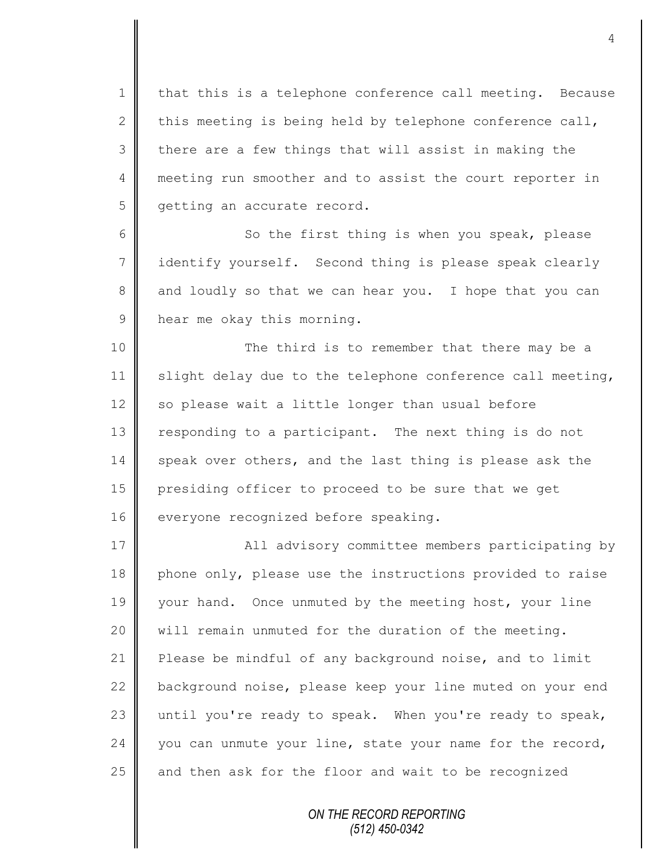1 | that this is a telephone conference call meeting. Because 2 this meeting is being held by telephone conference call,  $3 \parallel$  there are a few things that will assist in making the 4 meeting run smoother and to assist the court reporter in 5 | getting an accurate record.

6 || So the first thing is when you speak, please 7 identify yourself. Second thing is please speak clearly 8 and loudly so that we can hear you. I hope that you can 9 hear me okay this morning.

10 || The third is to remember that there may be a 11  $\parallel$  slight delay due to the telephone conference call meeting, 12  $\parallel$  so please wait a little longer than usual before 13 responding to a participant. The next thing is do not 14 speak over others, and the last thing is please ask the 15 presiding officer to proceed to be sure that we get 16 **everyone recognized before speaking.** 

17 | All advisory committee members participating by 18 phone only, please use the instructions provided to raise 19 your hand. Once unmuted by the meeting host, your line 20  $\parallel$  will remain unmuted for the duration of the meeting. 21 **Please be mindful of any background noise, and to limit** 22 background noise, please keep your line muted on your end 23 until you're ready to speak. When you're ready to speak,  $24$  you can unmute your line, state your name for the record, 25  $\parallel$  and then ask for the floor and wait to be recognized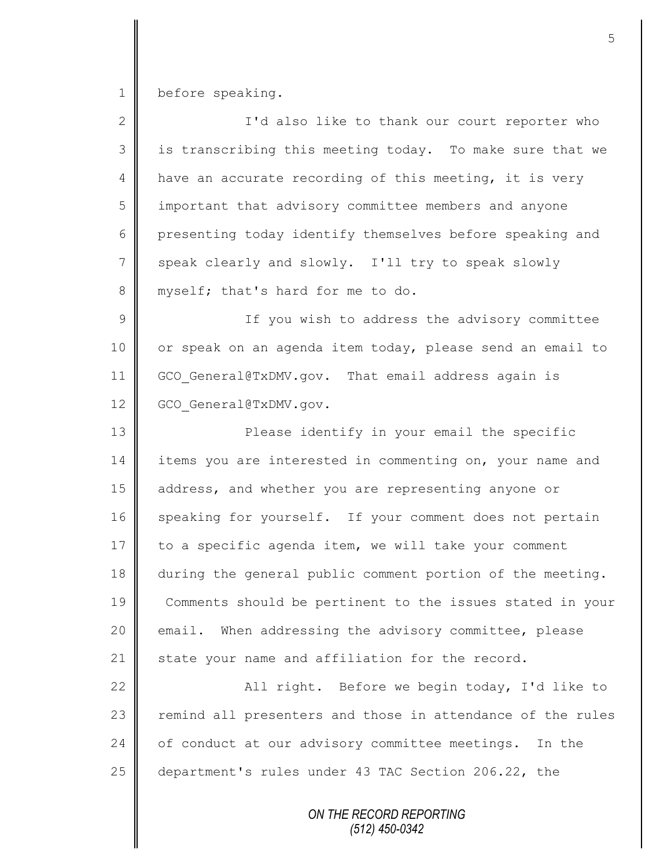1 before speaking.

| $\overline{2}$ | I'd also like to thank our court reporter who              |
|----------------|------------------------------------------------------------|
| 3              | is transcribing this meeting today. To make sure that we   |
| $\overline{4}$ | have an accurate recording of this meeting, it is very     |
| 5              | important that advisory committee members and anyone       |
| 6              | presenting today identify themselves before speaking and   |
| $\overline{7}$ | speak clearly and slowly. I'll try to speak slowly         |
| 8              | myself; that's hard for me to do.                          |
| $\mathcal{G}$  | If you wish to address the advisory committee              |
| 10             | or speak on an agenda item today, please send an email to  |
| 11             | GCO General@TxDMV.gov. That email address again is         |
| 12             | GCO General@TxDMV.gov.                                     |
| 13             | Please identify in your email the specific                 |
| 14             | items you are interested in commenting on, your name and   |
| 15             | address, and whether you are representing anyone or        |
| 16             | speaking for yourself. If your comment does not pertain    |
| 17             | to a specific agenda item, we will take your comment       |
| 18             | during the general public comment portion of the meeting.  |
| 19             | Comments should be pertinent to the issues stated in your  |
| 20             | email. When addressing the advisory committee, please      |
| 21             | state your name and affiliation for the record.            |
| 22             | All right. Before we begin today, I'd like to              |
| 23             | remind all presenters and those in attendance of the rules |
| 24             | of conduct at our advisory committee meetings. In the      |
| 25             | department's rules under 43 TAC Section 206.22, the        |
|                | ON THE RECORD REPORTING                                    |

*(512) 450-0342*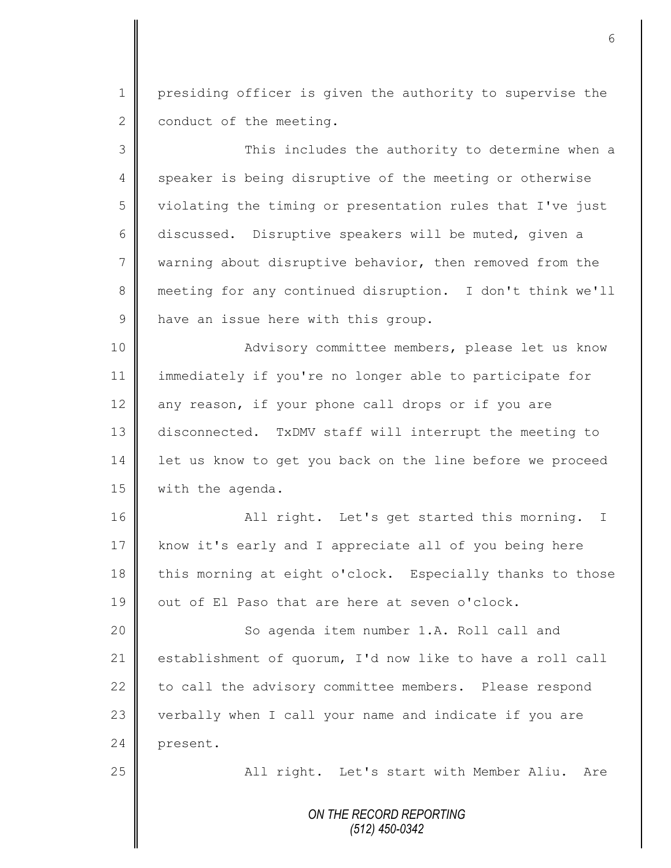1 presiding officer is given the authority to supervise the  $2 \parallel$  conduct of the meeting.

3 This includes the authority to determine when a 4 speaker is being disruptive of the meeting or otherwise 5 violating the timing or presentation rules that I've just 6 discussed. Disruptive speakers will be muted, given a 7 warning about disruptive behavior, then removed from the 8 meeting for any continued disruption. I don't think we'll 9 have an issue here with this group.

10 || **Advisory committee members, please let us know** 11 immediately if you're no longer able to participate for 12  $\parallel$  any reason, if your phone call drops or if you are 13 disconnected. TxDMV staff will interrupt the meeting to 14 | let us know to get you back on the line before we proceed 15 | with the agenda.

16 | Radia right. Let's get started this morning. I 17 know it's early and I appreciate all of you being here 18 this morning at eight o'clock. Especially thanks to those 19  $\parallel$  out of El Paso that are here at seven o'clock.

20 || So agenda item number 1.A. Roll call and 21 establishment of quorum, I'd now like to have a roll call 22 to call the advisory committee members. Please respond 23 verbally when I call your name and indicate if you are 24 present.

25 || All right. Let's start with Member Aliu. Are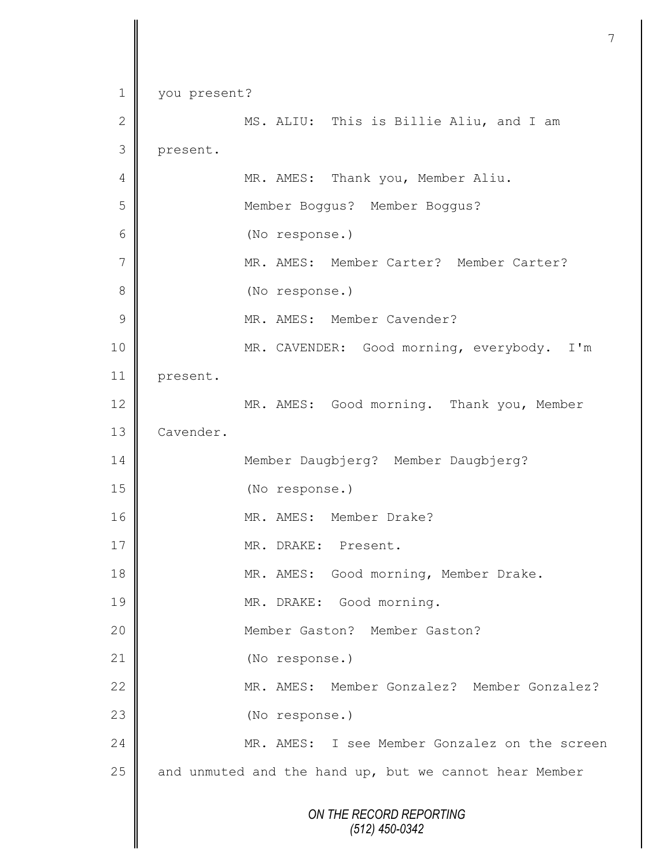```
ON THE RECORD REPORTING
                        (512) 450-0342
1 you present?
2 ||                         MS. ALIU:   This is Billie Aliu, and I am
3 present.
4 || MR. AMES: Thank you, Member Aliu.
5 Member Boggus? Member Boggus?
6 (No response.)
7 MR. AMES: Member Carter? Member Carter?
8 (No response.)
9 || MR. AMES: Member Cavender?
10 MR. CAVENDER: Good morning, everybody. I'm 
11 present.
12 MR. AMES: Good morning. Thank you, Member
13 | Cavender.
14 Member Daugbjerg? Member Daugbjerg?
15 (No response.)
16 || MR. AMES: Member Drake?
17 MR. DRAKE: Present.
18 || MR. AMES: Good morning, Member Drake.
19 || MR. DRAKE: Good morning.
20 Member Gaston? Member Gaston?
21 (No response.)
22 MR. AMES: Member Gonzalez? Member Gonzalez?
23 || (No response.)
24 MR. AMES: I see Member Gonzalez on the screen 
25 \parallel and unmuted and the hand up, but we cannot hear Member
```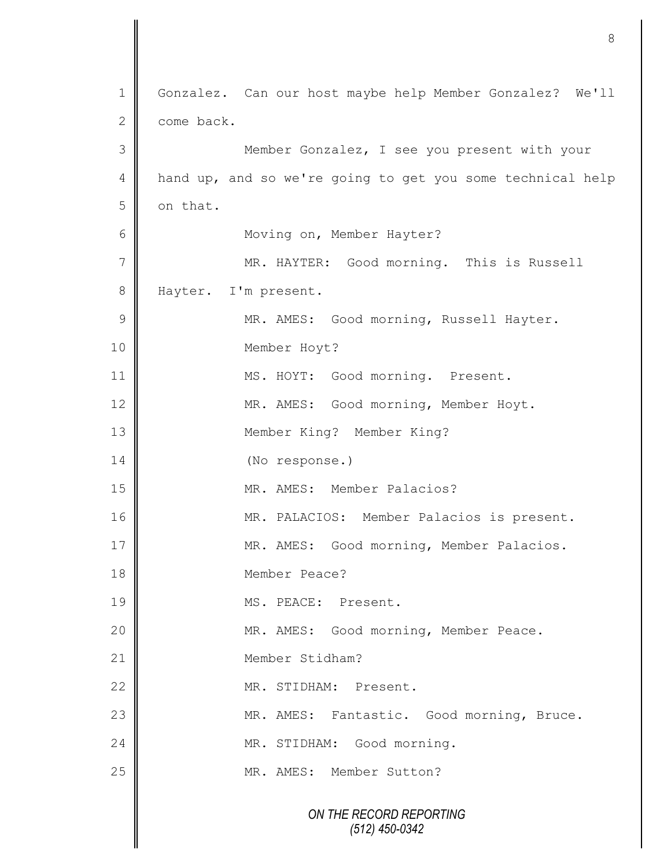*ON THE RECORD REPORTING (512) 450-0342* 1 | Gonzalez. Can our host maybe help Member Gonzalez? We'll 2 come back. 3 Member Gonzalez, I see you present with your 4 hand up, and so we're going to get you some technical help  $5$  on that. 6 | Moving on, Member Hayter? 7 || MR. HAYTER: Good morning. This is Russell 8 Hayter. I'm present. 9 || MR. AMES: Good morning, Russell Hayter. 10 Member Hoyt? 11 MS. HOYT: Good morning. Present. 12 | MR. AMES: Good morning, Member Hoyt. 13 Member King? Member King? 14 (No response.) 15 MR. AMES: Member Palacios? 16 | MR. PALACIOS: Member Palacios is present. 17 || MR. AMES: Good morning, Member Palacios. 18 Member Peace? 19 MS. PEACE: Present. 20 MR. AMES: Good morning, Member Peace. 21 **I** Member Stidham? 22 MR. STIDHAM: Present. 23 | MR. AMES: Fantastic. Good morning, Bruce. 24 | MR. STIDHAM: Good morning. 25 || MR. AMES: Member Sutton?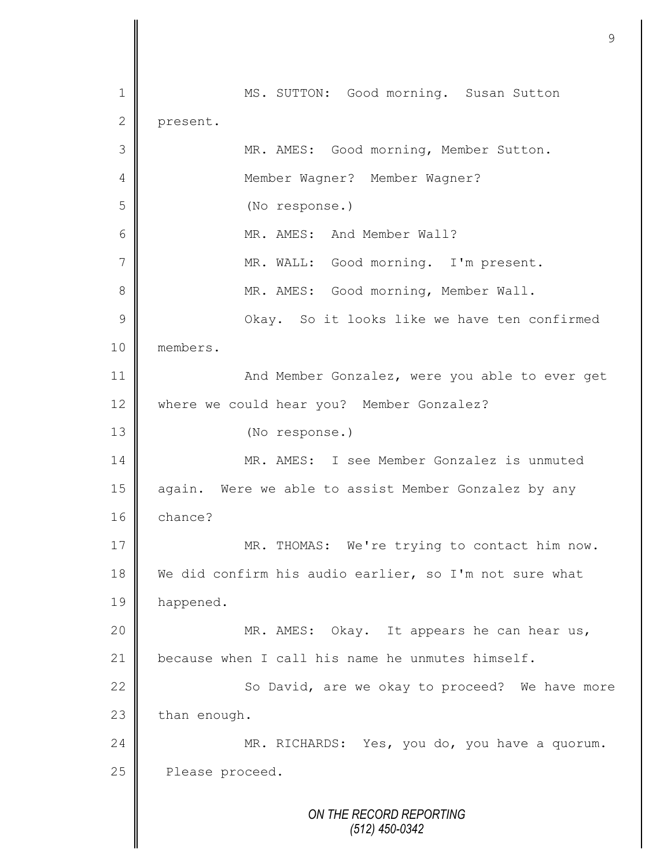*ON THE RECORD REPORTING (512) 450-0342* 1 MS. SUTTON: Good morning. Susan Sutton 2 present. 3 MR. AMES: Good morning, Member Sutton. 4 | Member Wagner? Member Wagner? 5 (No response.) 6 MR. AMES: And Member Wall? 7 || MR. WALL: Good morning. I'm present. 8 MR. AMES: Good morning, Member Wall. 9 || Okay. So it looks like we have ten confirmed 10 members. 11 **And Member Gonzalez, were you able to ever get** 12 where we could hear you? Member Gonzalez? 13 (No response.) 14 || MR. AMES: I see Member Gonzalez is unmuted 15 || again. Were we able to assist Member Gonzalez by any 16 chance? 17 | MR. THOMAS: We're trying to contact him now. 18 We did confirm his audio earlier, so I'm not sure what 19 | happened. 20 || MR. AMES: Okay. It appears he can hear us, 21  $\parallel$  because when I call his name he unmutes himself. 22 | So David, are we okay to proceed? We have more  $23$  than enough. 24 MR. RICHARDS: Yes, you do, you have a quorum. 25 **Please proceed.**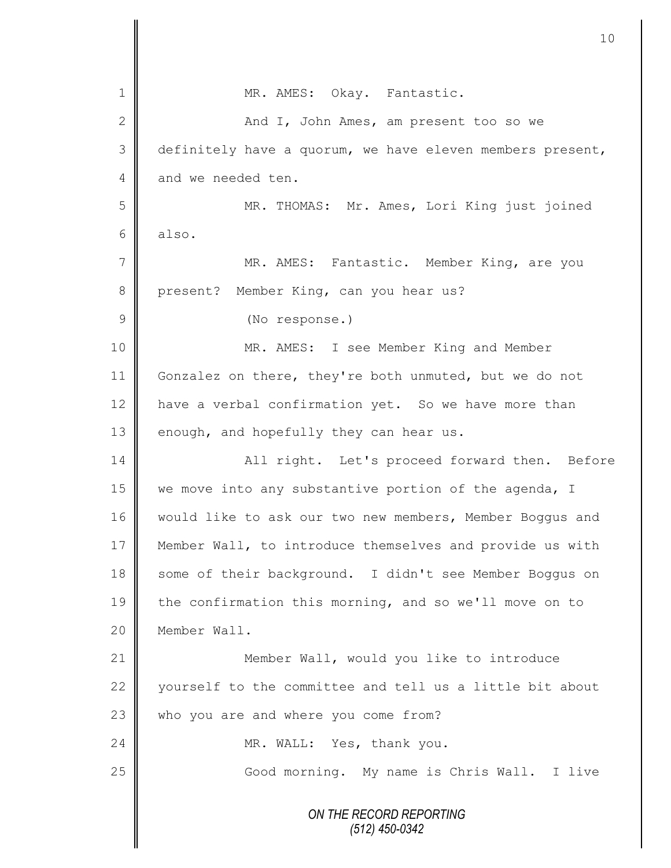|               | 10 <sub>o</sub>                                           |
|---------------|-----------------------------------------------------------|
| 1             | MR. AMES: Okay. Fantastic.                                |
| $\mathbf{2}$  | And I, John Ames, am present too so we                    |
| 3             | definitely have a quorum, we have eleven members present, |
| 4             | and we needed ten.                                        |
| 5             | MR. THOMAS: Mr. Ames, Lori King just joined               |
| 6             | also.                                                     |
| 7             | MR. AMES: Fantastic. Member King, are you                 |
| 8             | Member King, can you hear us?<br>present?                 |
| $\mathcal{G}$ | (No response.)                                            |
| 10            | MR. AMES: I see Member King and Member                    |
| 11            | Gonzalez on there, they're both unmuted, but we do not    |
| 12            | have a verbal confirmation yet. So we have more than      |
| 13            | enough, and hopefully they can hear us.                   |
| 14            | All right. Let's proceed forward then. Before             |
| 15            | we move into any substantive portion of the agenda, I     |
| 16            | would like to ask our two new members, Member Boggus and  |
| 17            | Member Wall, to introduce themselves and provide us with  |
| 18            | some of their background. I didn't see Member Boggus on   |
| 19            | the confirmation this morning, and so we'll move on to    |
| 20            | Member Wall.                                              |
| 21            | Member Wall, would you like to introduce                  |
| 22            | yourself to the committee and tell us a little bit about  |
| 23            | who you are and where you come from?                      |
| 24            | MR. WALL: Yes, thank you.                                 |
| 25            | Good morning. My name is Chris Wall. I live               |
|               | ON THE RECORD REPORTING<br>(512) 450-0342                 |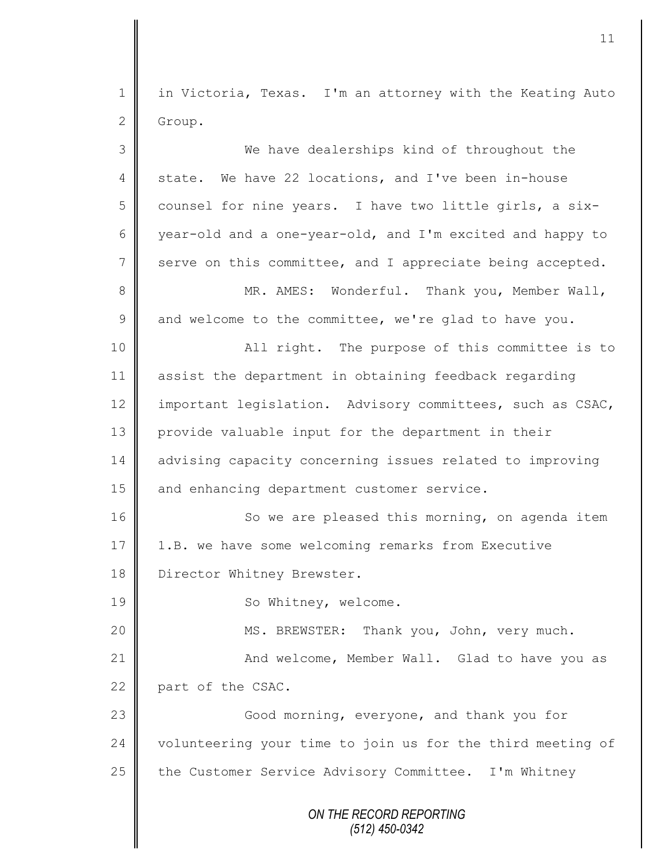1 in Victoria, Texas. I'm an attorney with the Keating Auto 2 Group.

| 3              | We have dealerships kind of throughout the                 |
|----------------|------------------------------------------------------------|
| 4              | state. We have 22 locations, and I've been in-house        |
| 5              | counsel for nine years. I have two little girls, a six-    |
| 6              | year-old and a one-year-old, and I'm excited and happy to  |
| $7\phantom{.}$ | serve on this committee, and I appreciate being accepted.  |
| $\,8\,$        | MR. AMES: Wonderful. Thank you, Member Wall,               |
| $\mathcal{G}$  | and welcome to the committee, we're glad to have you.      |
| 10             | All right. The purpose of this committee is to             |
| 11             | assist the department in obtaining feedback regarding      |
| 12             | important legislation. Advisory committees, such as CSAC,  |
| 13             | provide valuable input for the department in their         |
| 14             | advising capacity concerning issues related to improving   |
| 15             | and enhancing department customer service.                 |
| 16             | So we are pleased this morning, on agenda item             |
| 17             | 1.B. we have some welcoming remarks from Executive         |
| 18             | Director Whitney Brewster.                                 |
| 19             | So Whitney, welcome.                                       |
| 20             | MS. BREWSTER: Thank you, John, very much.                  |
| 21             | And welcome, Member Wall. Glad to have you as              |
| 22             | part of the CSAC.                                          |
| 23             | Good morning, everyone, and thank you for                  |
| 24             | volunteering your time to join us for the third meeting of |
| 25             | the Customer Service Advisory Committee. I'm Whitney       |
|                | ON THE RECORD REPORTING<br>$(512)$ 450-0342                |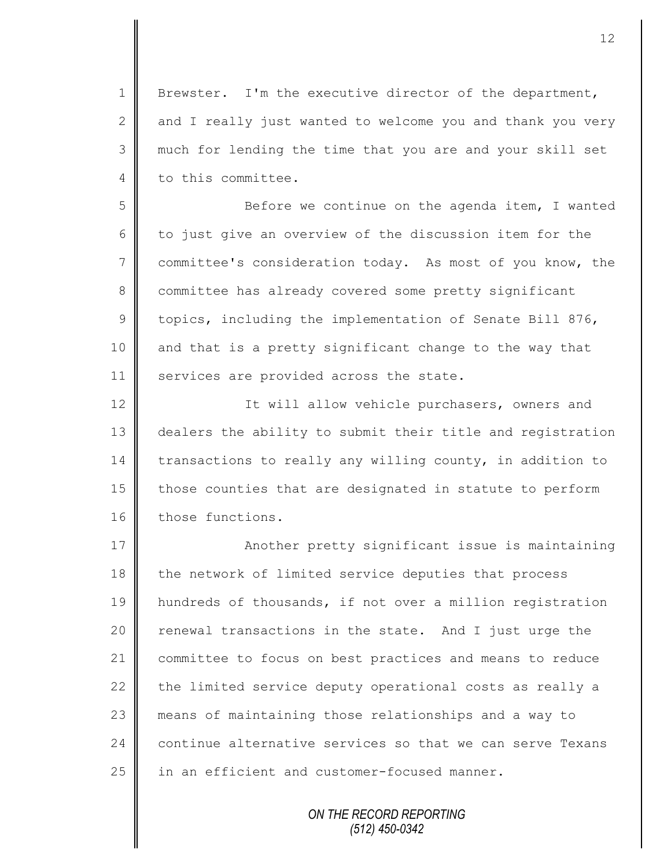1 | Brewster. I'm the executive director of the department, 2 and I really just wanted to welcome you and thank you very 3 much for lending the time that you are and your skill set 4 to this committee.

5 || Before we continue on the agenda item, I wanted  $6 \parallel$  to just give an overview of the discussion item for the 7 committee's consideration today. As most of you know, the 8 committee has already covered some pretty significant 9 topics, including the implementation of Senate Bill 876, 10 and that is a pretty significant change to the way that 11 | services are provided across the state.

12 | It will allow vehicle purchasers, owners and 13 dealers the ability to submit their title and registration 14 transactions to really any willing county, in addition to  $15$  those counties that are designated in statute to perform 16 those functions.

17 | Another pretty significant issue is maintaining 18 the network of limited service deputies that process hundreds of thousands, if not over a million registration  $\parallel$  renewal transactions in the state. And I just urge the committee to focus on best practices and means to reduce  $\parallel$  the limited service deputy operational costs as really a means of maintaining those relationships and a way to 24 continue alternative services so that we can serve Texans in an efficient and customer-focused manner.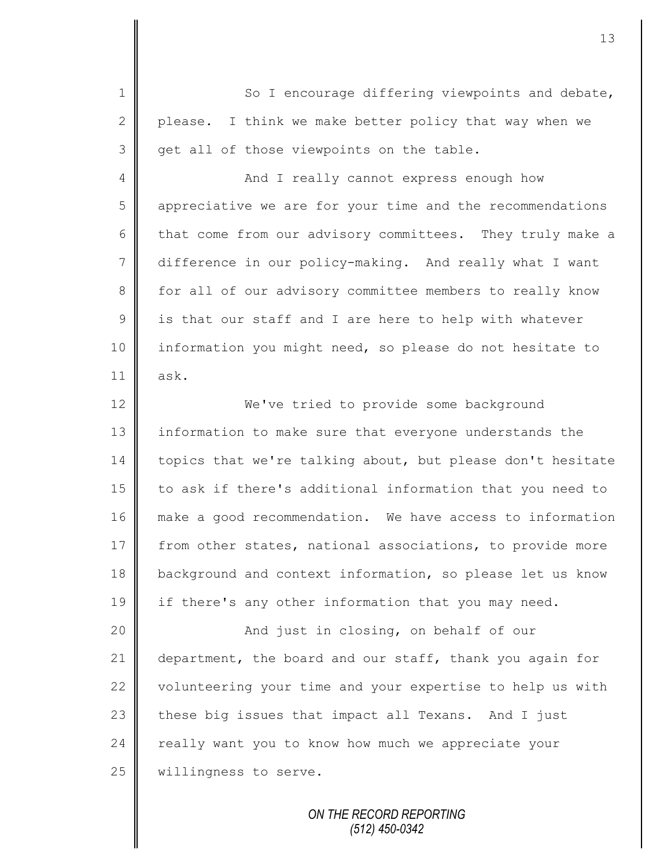1 So I encourage differing viewpoints and debate, 2 please. I think we make better policy that way when we 3 || get all of those viewpoints on the table. 4 || And I really cannot express enough how

5 appreciative we are for your time and the recommendations 6 that come from our advisory committees. They truly make a 7 difference in our policy-making. And really what I want 8 for all of our advisory committee members to really know  $9 \parallel$  is that our staff and I are here to help with whatever 10 information you might need, so please do not hesitate to  $11 \parallel$  ask.

12 We've tried to provide some background 13 information to make sure that everyone understands the 14 topics that we're talking about, but please don't hesitate 15 | to ask if there's additional information that you need to 16 make a good recommendation. We have access to information 17 from other states, national associations, to provide more 18 background and context information, so please let us know 19 if there's any other information that you may need.

20 | Richard Just in closing, on behalf of our 21 department, the board and our staff, thank you again for 22 volunteering your time and your expertise to help us with  $23$  these big issues that impact all Texans. And I just 24 really want you to know how much we appreciate your 25 | willingness to serve.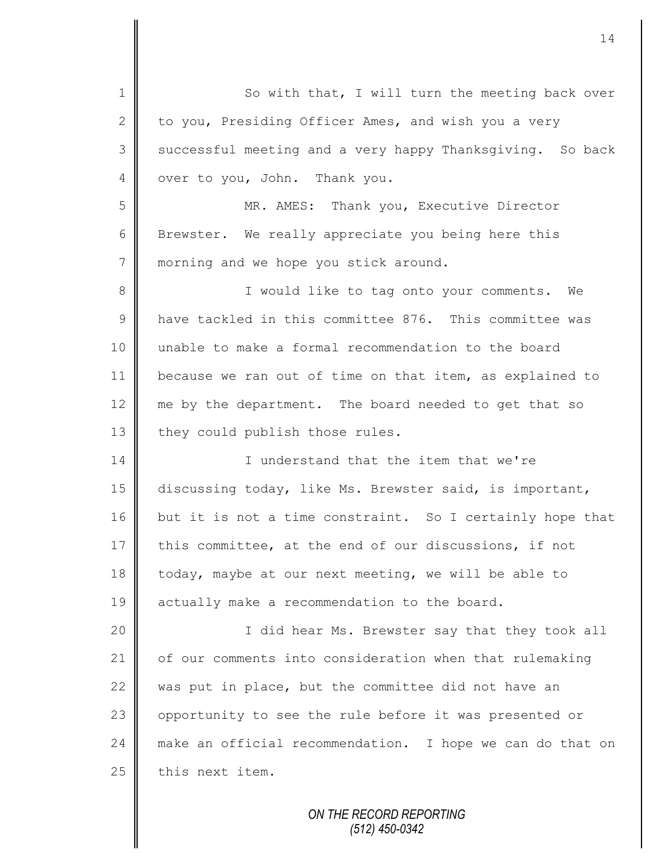1 So with that, I will turn the meeting back over 2 to you, Presiding Officer Ames, and wish you a very 3 | successful meeting and a very happy Thanksgiving. So back 4 over to you, John. Thank you. 5 MR. AMES: Thank you, Executive Director 6 Brewster. We really appreciate you being here this 7 morning and we hope you stick around. 8 || I would like to tag onto your comments. We 9 have tackled in this committee 876. This committee was 10 unable to make a formal recommendation to the board 11 because we ran out of time on that item, as explained to 12  $\parallel$  me by the department. The board needed to get that so 13 they could publish those rules. 14 I inderstand that the item that we're 15 discussing today, like Ms. Brewster said, is important, 16 but it is not a time constraint. So I certainly hope that 17 this committee, at the end of our discussions, if not 18 today, maybe at our next meeting, we will be able to 19 actually make a recommendation to the board. 20 I did hear Ms. Brewster say that they took all 21 of our comments into consideration when that rulemaking 22 was put in place, but the committee did not have an 23 | opportunity to see the rule before it was presented or 24 make an official recommendation. I hope we can do that on  $25$  this next item.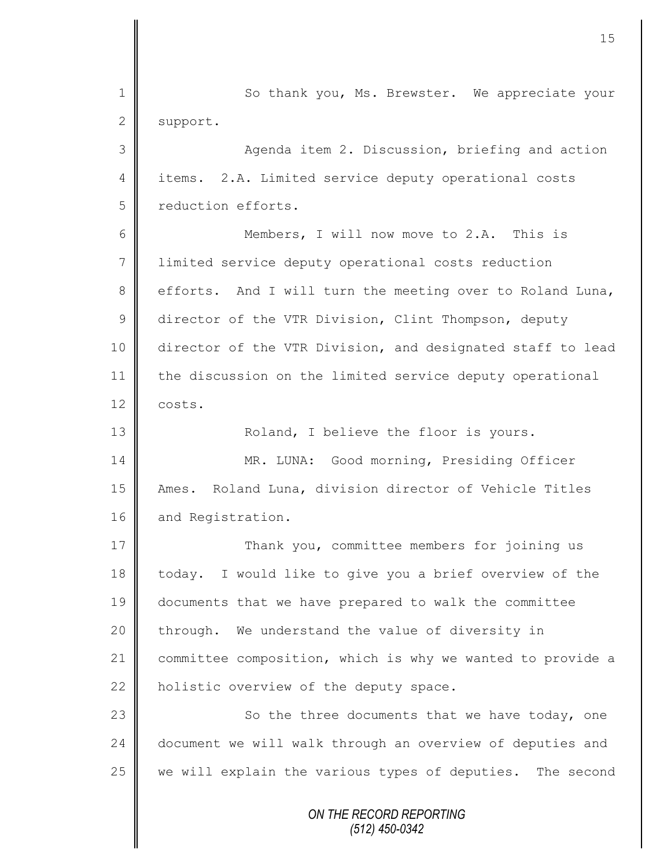*ON THE RECORD REPORTING* 1 So thank you, Ms. Brewster. We appreciate your 2 support. 3 || Agenda item 2. Discussion, briefing and action 4 items. 2.A. Limited service deputy operational costs 5 ceduction efforts. 6 Members, I will now move to 2.A. This is 7 limited service deputy operational costs reduction 8 efforts. And I will turn the meeting over to Roland Luna, 9 director of the VTR Division, Clint Thompson, deputy 10 director of the VTR Division, and designated staff to lead 11 | the discussion on the limited service deputy operational  $12 \parallel \text{costs.}$ 13 || Roland, I believe the floor is yours. 14 || MR. LUNA: Good morning, Presiding Officer 15 | Ames. Roland Luna, division director of Vehicle Titles 16 and Registration. 17 Thank you, committee members for joining us 18 today. I would like to give you a brief overview of the 19 documents that we have prepared to walk the committee  $20$  | through. We understand the value of diversity in 21 committee composition, which is why we wanted to provide a 22 | holistic overview of the deputy space. 23 || So the three documents that we have today, one 24 document we will walk through an overview of deputies and 25  $\parallel$  we will explain the various types of deputies. The second

15

*(512) 450-0342*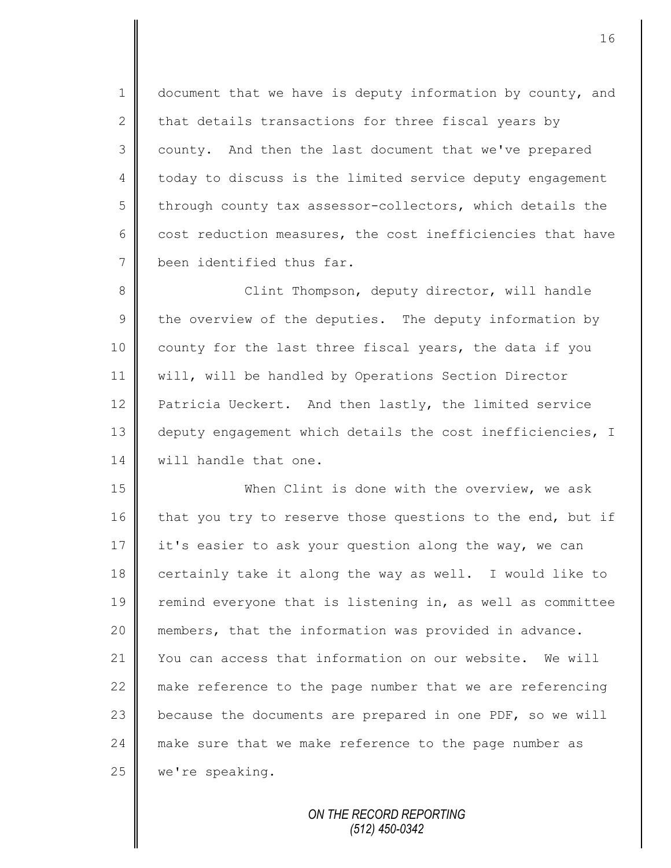1 document that we have is deputy information by county, and 2  $\parallel$  that details transactions for three fiscal years by 3 county. And then the last document that we've prepared 4 today to discuss is the limited service deputy engagement  $5 \parallel$  through county tax assessor-collectors, which details the 6 cost reduction measures, the cost inefficiencies that have 7 been identified thus far.

8 || Clint Thompson, deputy director, will handle  $9 \parallel$  the overview of the deputies. The deputy information by 10 county for the last three fiscal years, the data if you 11 will, will be handled by Operations Section Director 12 **Patricia Ueckert.** And then lastly, the limited service 13 | deputy engagement which details the cost inefficiencies, I 14 **W** will handle that one.

15 When Clint is done with the overview, we ask 16 that you try to reserve those questions to the end, but if 17 it's easier to ask your question along the way, we can 18 certainly take it along the way as well. I would like to 19 Tremind everyone that is listening in, as well as committee 20 members, that the information was provided in advance. 21 Vou can access that information on our website. We will 22 make reference to the page number that we are referencing 23 because the documents are prepared in one PDF, so we will 24 make sure that we make reference to the page number as 25 | we're speaking.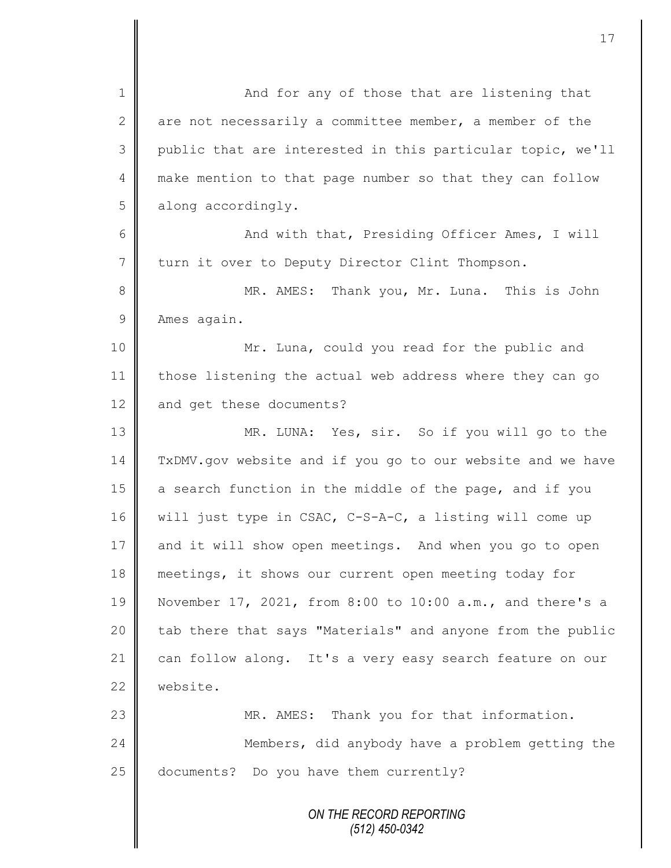*ON THE RECORD REPORTING (512) 450-0342* 1 || And for any of those that are listening that 2 are not necessarily a committee member, a member of the 3 public that are interested in this particular topic, we'll 4 make mention to that page number so that they can follow 5 along accordingly. 6 || And with that, Presiding Officer Ames, I will 7 turn it over to Deputy Director Clint Thompson. 8 MR. AMES: Thank you, Mr. Luna. This is John 9 Ames again. 10 || Mr. Luna, could you read for the public and 11 | those listening the actual web address where they can go 12 and get these documents? 13 MR. LUNA: Yes, sir. So if you will go to the 14 TxDMV.gov website and if you go to our website and we have 15 a search function in the middle of the page, and if you 16 | will just type in CSAC, C-S-A-C, a listing will come up 17 and it will show open meetings. And when you go to open 18 meetings, it shows our current open meeting today for 19 November 17, 2021, from 8:00 to 10:00 a.m., and there's a 20  $\parallel$  tab there that says "Materials" and anyone from the public 21 can follow along. It's a very easy search feature on our 22 website. 23 MR. AMES: Thank you for that information. 24 **Members, did anybody have a problem getting the** 25 documents? Do you have them currently?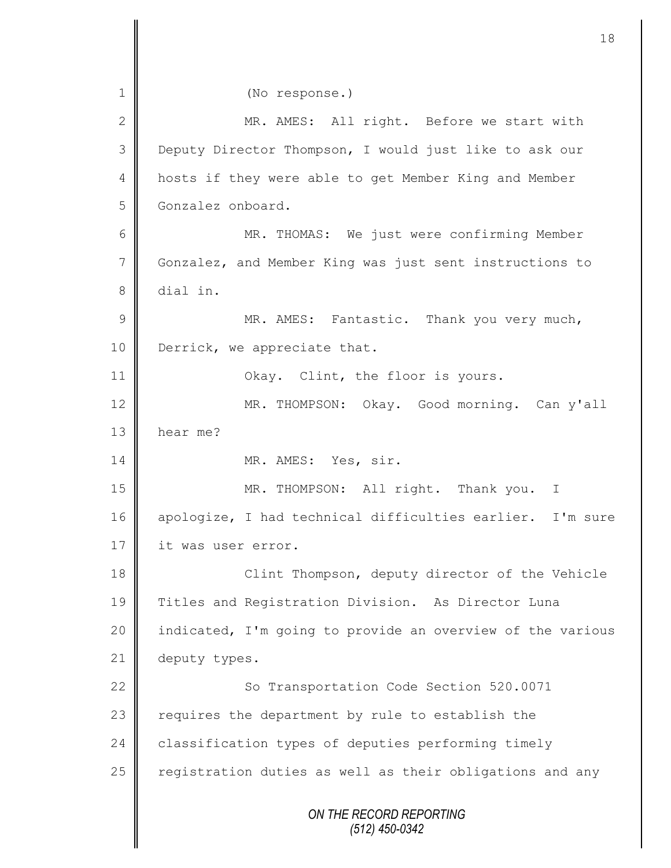*ON THE RECORD REPORTING (512) 450-0342* 1 || (No response.) 2 MR. AMES: All right. Before we start with 3 Deputy Director Thompson, I would just like to ask our 4 | hosts if they were able to get Member King and Member 5 Gonzalez onboard. 6 || MR. THOMAS: We just were confirming Member 7 Gonzalez, and Member King was just sent instructions to 8 dial in. 9 || MR. AMES: Fantastic. Thank you very much, 10 | Derrick, we appreciate that. 11 | Okay. Clint, the floor is yours. 12 MR. THOMPSON: Okay. Good morning. Can y'all 13 **h** hear me? 14 MR. AMES: Yes, sir. 15 | MR. THOMPSON: All right. Thank you. I 16 apologize, I had technical difficulties earlier. I'm sure 17 | it was user error. 18 || Clint Thompson, deputy director of the Vehicle 19 Titles and Registration Division. As Director Luna 20 | indicated, I'm going to provide an overview of the various 21 deputy types. 22 | So Transportation Code Section 520.0071 23 requires the department by rule to establish the 24 classification types of deputies performing timely 25  $\parallel$  registration duties as well as their obligations and any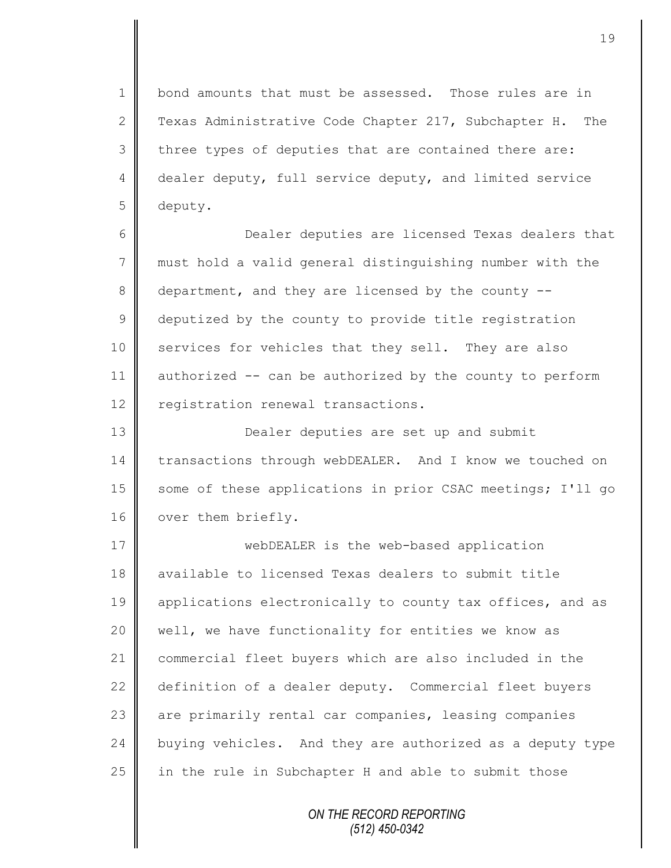1 || bond amounts that must be assessed. Those rules are in 2 Texas Administrative Code Chapter 217, Subchapter H. The  $3 \parallel$  three types of deputies that are contained there are: 4 dealer deputy, full service deputy, and limited service 5 deputy.

6 Dealer deputies are licensed Texas dealers that 7 must hold a valid general distinguishing number with the 8 department, and they are licensed by the county --9 deputized by the county to provide title registration 10 services for vehicles that they sell. They are also 11 authorized -- can be authorized by the county to perform 12 | registration renewal transactions.

13 **Dealer deputies are set up and submit** 14 | transactions through webDEALER. And I know we touched on 15 some of these applications in prior CSAC meetings; I'll go 16 | over them briefly.

17 **webDEALER** is the web-based application 18 available to licensed Texas dealers to submit title 19 applications electronically to county tax offices, and as 20 well, we have functionality for entities we know as 21 commercial fleet buyers which are also included in the 22 definition of a dealer deputy. Commercial fleet buyers 23 || are primarily rental car companies, leasing companies 24 buying vehicles. And they are authorized as a deputy type 25 in the rule in Subchapter H and able to submit those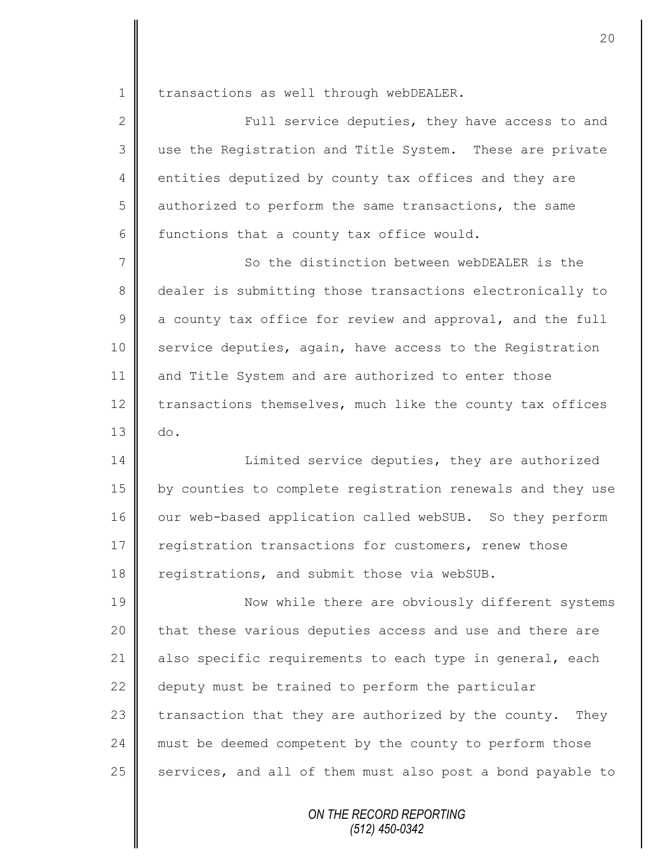1 | transactions as well through webDEALER.

2 || Full service deputies, they have access to and 3 use the Registration and Title System. These are private 4 entities deputized by county tax offices and they are 5 authorized to perform the same transactions, the same 6 functions that a county tax office would.

7 So the distinction between webDEALER is the 8 dealer is submitting those transactions electronically to  $9 \parallel$  a county tax office for review and approval, and the full 10 service deputies, again, have access to the Registration 11 and Title System and are authorized to enter those 12 transactions themselves, much like the county tax offices  $13 \parallel$  do.

14 | Limited service deputies, they are authorized 15 by counties to complete registration renewals and they use 16 | our web-based application called webSUB. So they perform 17 | registration transactions for customers, renew those 18 **P** registrations, and submit those via webSUB.

19 **Now while there are obviously different systems**  $20$  | that these various deputies access and use and there are 21 | also specific requirements to each type in general, each 22 | deputy must be trained to perform the particular 23  $\parallel$  transaction that they are authorized by the county. They 24 must be deemed competent by the county to perform those 25  $\parallel$  services, and all of them must also post a bond payable to

> *ON THE RECORD REPORTING (512) 450-0342*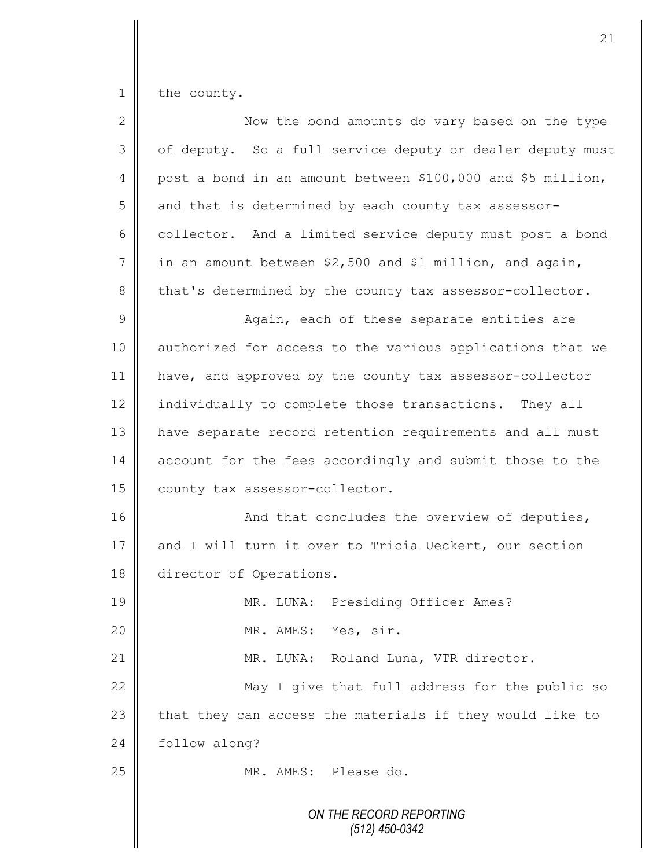1 the county.

| $\overline{2}$ | Now the bond amounts do vary based on the type              |
|----------------|-------------------------------------------------------------|
| 3              | of deputy. So a full service deputy or dealer deputy must   |
| 4              | post a bond in an amount between \$100,000 and \$5 million, |
| 5              | and that is determined by each county tax assessor-         |
| 6              | collector. And a limited service deputy must post a bond    |
| 7              | in an amount between \$2,500 and \$1 million, and again,    |
| 8              | that's determined by the county tax assessor-collector.     |
| $\mathsf 9$    | Again, each of these separate entities are                  |
| 10             | authorized for access to the various applications that we   |
| 11             | have, and approved by the county tax assessor-collector     |
| 12             | individually to complete those transactions. They all       |
| 13             | have separate record retention requirements and all must    |
| 14             | account for the fees accordingly and submit those to the    |
| 15             | county tax assessor-collector.                              |
| 16             | And that concludes the overview of deputies,                |
| 17             | and I will turn it over to Tricia Ueckert, our section      |
| 18             | director of Operations.                                     |
| 19             | MR. LUNA: Presiding Officer Ames?                           |
| 20             | MR. AMES: Yes, sir.                                         |
| 21             | MR. LUNA: Roland Luna, VTR director.                        |
| 22             | May I give that full address for the public so              |
| 23             | that they can access the materials if they would like to    |
| 24             | follow along?                                               |
| 25             | MR. AMES: Please do.                                        |
|                | ON THE RECORD REPORTING<br>(512) 450-0342                   |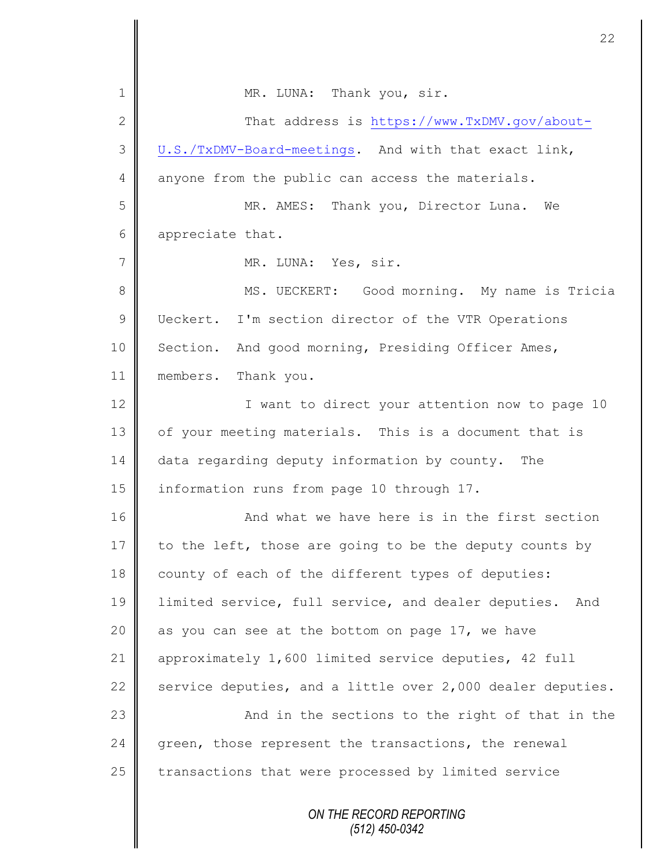| $\mathbf 1$    | MR. LUNA: Thank you, sir.                                  |
|----------------|------------------------------------------------------------|
| $\mathbf{2}$   | That address is https://www.TxDMV.gov/about-               |
| 3              | U.S./TxDMV-Board-meetings. And with that exact link,       |
| 4              | anyone from the public can access the materials.           |
| 5              | MR. AMES: Thank you, Director Luna. We                     |
| 6              | appreciate that.                                           |
| $\overline{7}$ | MR. LUNA: Yes, sir.                                        |
| $8\,$          | MS. UECKERT: Good morning. My name is Tricia               |
| $\mathcal{G}$  | Ueckert. I'm section director of the VTR Operations        |
| 10             | Section. And good morning, Presiding Officer Ames,         |
| 11             | members. Thank you.                                        |
| 12             | I want to direct your attention now to page 10             |
| 13             | of your meeting materials. This is a document that is      |
| 14             | data regarding deputy information by county.<br>The        |
| 15             | information runs from page 10 through 17.                  |
| 16             | And what we have here is in the first section              |
| 17             | to the left, those are going to be the deputy counts by    |
| 18             | county of each of the different types of deputies:         |
| 19             | limited service, full service, and dealer deputies.<br>And |
| 20             | as you can see at the bottom on page 17, we have           |
| 21             | approximately 1,600 limited service deputies, 42 full      |
| 22             | service deputies, and a little over 2,000 dealer deputies. |
| 23             | And in the sections to the right of that in the            |
| 24             | green, those represent the transactions, the renewal       |
| 25             | transactions that were processed by limited service        |
|                | ON THE RECORD REPORTING<br>$(512)$ 450-0342                |

 $\overline{\mathsf{I}}$ ∥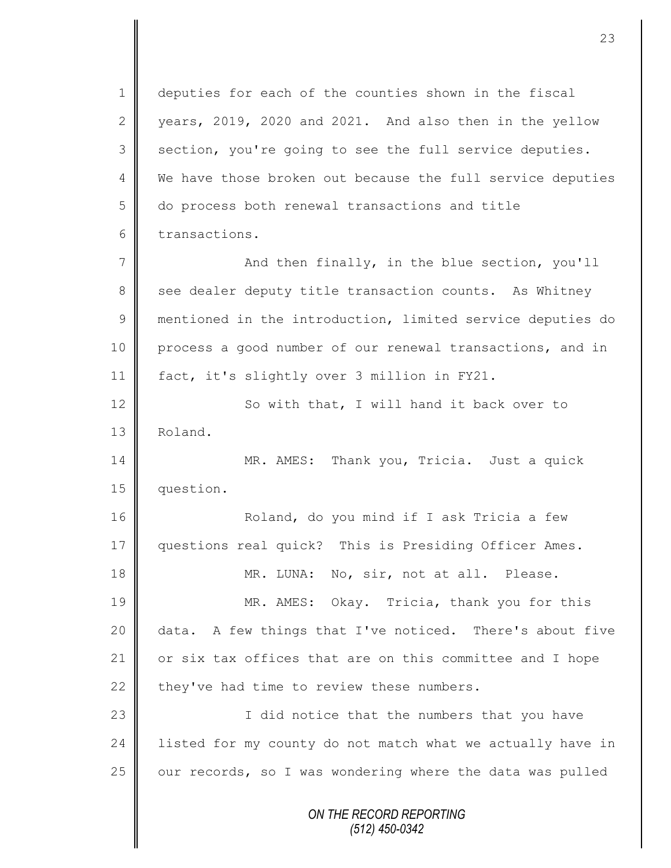*ON THE RECORD REPORTING (512) 450-0342* 1 deputies for each of the counties shown in the fiscal 2 vears, 2019, 2020 and 2021. And also then in the yellow  $3 \parallel$  section, you're going to see the full service deputies. 4 We have those broken out because the full service deputies 5 do process both renewal transactions and title 6 transactions. 7 And then finally, in the blue section, you'll 8 see dealer deputy title transaction counts. As Whitney 9 mentioned in the introduction, limited service deputies do 10 process a good number of our renewal transactions, and in 11 fact, it's slightly over 3 million in FY21. 12 | So with that, I will hand it back over to 13 Roland. 14 MR. AMES: Thank you, Tricia. Just a quick 15 question. 16 | Roland, do you mind if I ask Tricia a few 17 questions real quick? This is Presiding Officer Ames. 18 MR. LUNA: No, sir, not at all. Please. 19 MR. AMES: Okay. Tricia, thank you for this 20 data. A few things that I've noticed. There's about five 21  $\parallel$  or six tax offices that are on this committee and I hope 22 they've had time to review these numbers. 23 | Constant in the numbers that you have 24 | listed for my county do not match what we actually have in  $25$  our records, so I was wondering where the data was pulled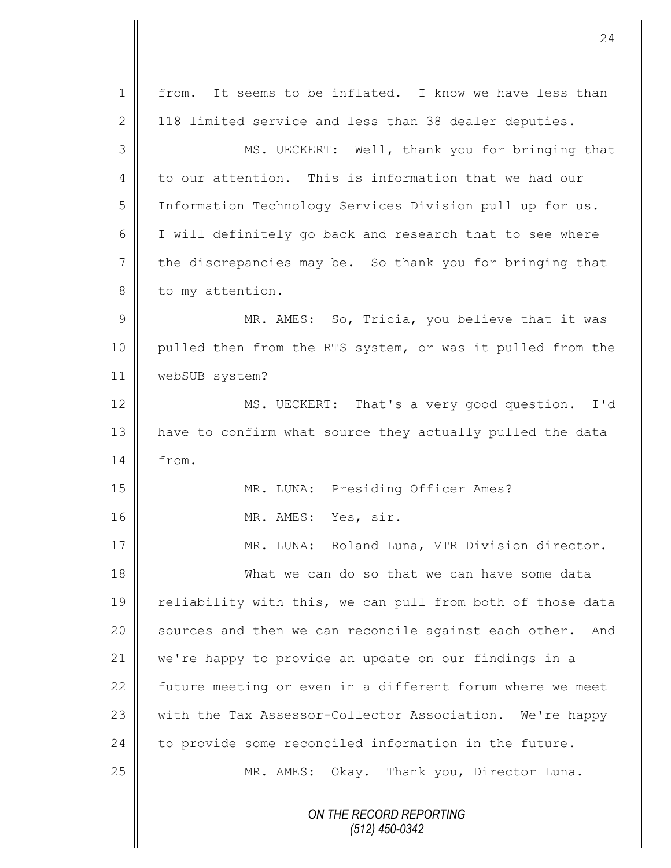| $\mathbf 1$    | It seems to be inflated. I know we have less than<br>from. |
|----------------|------------------------------------------------------------|
| $\mathbf{2}$   | 118 limited service and less than 38 dealer deputies.      |
| 3              | MS. UECKERT: Well, thank you for bringing that             |
| $\overline{4}$ | to our attention. This is information that we had our      |
| 5              | Information Technology Services Division pull up for us.   |
| 6              | I will definitely go back and research that to see where   |
| $\overline{7}$ | the discrepancies may be. So thank you for bringing that   |
| $8\,$          | to my attention.                                           |
| 9              | MR. AMES: So, Tricia, you believe that it was              |
| 10             | pulled then from the RTS system, or was it pulled from the |
| 11             | webSUB system?                                             |
| 12             | MS. UECKERT: That's a very good question. I'd              |
| 13             | have to confirm what source they actually pulled the data  |
| 14             | from.                                                      |
| 15             | MR. LUNA: Presiding Officer Ames?                          |
| 16             | MR. AMES: Yes, sir.                                        |
| 17             | MR. LUNA: Roland Luna, VTR Division director.              |
| 18             | What we can do so that we can have some data               |
| 19             | reliability with this, we can pull from both of those data |
| 20             | sources and then we can reconcile against each other. And  |
| 21             | we're happy to provide an update on our findings in a      |
| 22             | future meeting or even in a different forum where we meet  |
| 23             | with the Tax Assessor-Collector Association. We're happy   |
| 24             | to provide some reconciled information in the future.      |
| 25             | MR. AMES: Okay. Thank you, Director Luna.                  |
|                | ON THE RECORD REPORTING<br>$(512)$ 450-0342                |

 $\overline{\mathsf{I}}$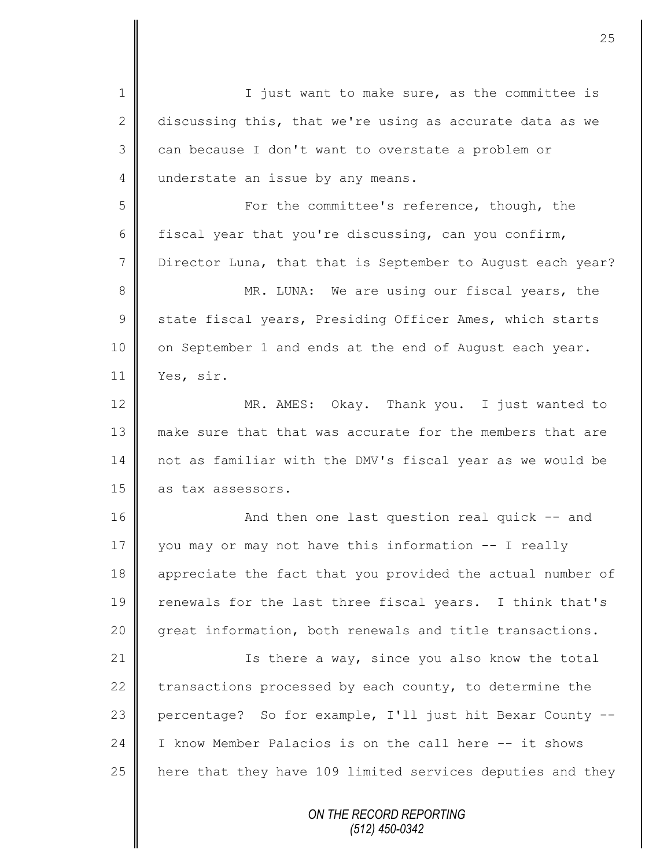*ON THE RECORD REPORTING (512) 450-0342* 1 || I just want to make sure, as the committee is 2 discussing this, that we're using as accurate data as we  $3 \parallel$  can because I don't want to overstate a problem or 4 understate an issue by any means. 5 For the committee's reference, though, the 6 fiscal year that you're discussing, can you confirm, 7 Director Luna, that that is September to August each year? 8 MR. LUNA: We are using our fiscal years, the 9 State fiscal years, Presiding Officer Ames, which starts 10 | on September 1 and ends at the end of August each year. 11 Yes, sir. 12 MR. AMES: Okay. Thank you. I just wanted to 13 make sure that that was accurate for the members that are 14 not as familiar with the DMV's fiscal year as we would be 15 as tax assessors. 16 | And then one last question real quick -- and 17 you may or may not have this information -- I really 18 appreciate the fact that you provided the actual number of 19 | renewals for the last three fiscal years. I think that's 20 great information, both renewals and title transactions. 21 | Ts there a way, since you also know the total 22 transactions processed by each county, to determine the 23 percentage? So for example, I'll just hit Bexar County --24 I I know Member Palacios is on the call here -- it shows 25 | here that they have 109 limited services deputies and they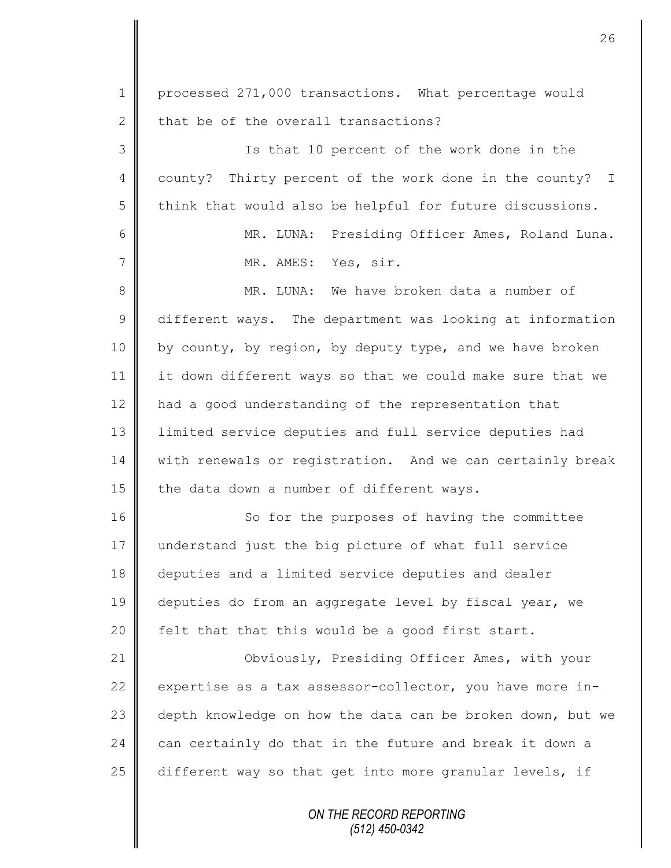*ON THE RECORD REPORTING (512) 450-0342* 1 processed 271,000 transactions. What percentage would  $2 \parallel$  that be of the overall transactions? 3 Is that 10 percent of the work done in the 4 county? Thirty percent of the work done in the county? I  $5 \parallel$  think that would also be helpful for future discussions. 6 || MR. LUNA: Presiding Officer Ames, Roland Luna. 7 MR. AMES: Yes, sir. 8 MR. LUNA: We have broken data a number of 9 different ways. The department was looking at information 10 by county, by region, by deputy type, and we have broken 11 it down different ways so that we could make sure that we 12 had a good understanding of the representation that 13 | limited service deputies and full service deputies had 14 | with renewals or registration. And we can certainly break 15  $\parallel$  the data down a number of different ways. 16 So for the purposes of having the committee 17 understand just the big picture of what full service 18 deputies and a limited service deputies and dealer 19 deputies do from an aggregate level by fiscal year, we 20  $\parallel$  felt that that this would be a good first start. 21 | Obviously, Presiding Officer Ames, with your 22 expertise as a tax assessor-collector, you have more in-23 depth knowledge on how the data can be broken down, but we  $24$  can certainly do that in the future and break it down a 25  $\parallel$  different way so that get into more granular levels, if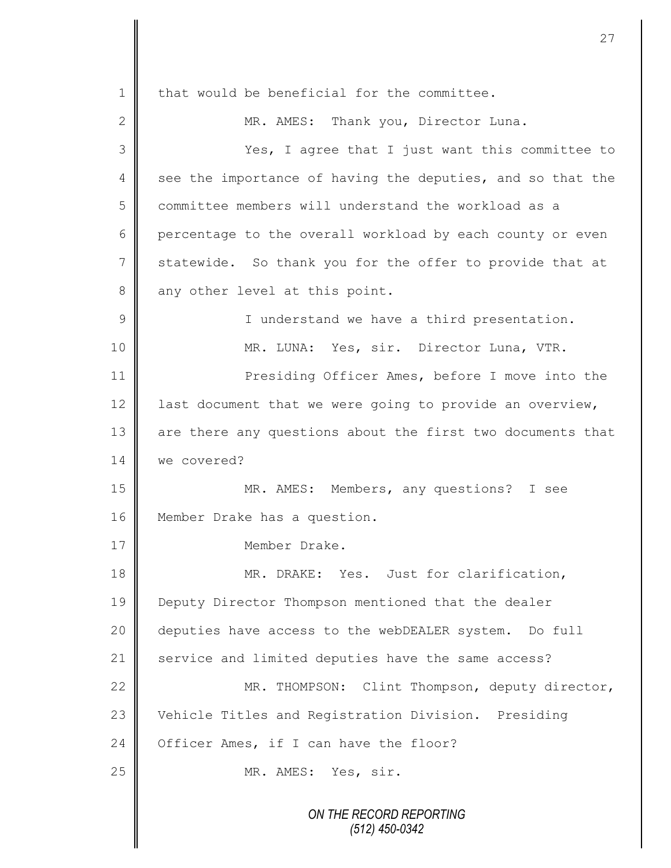*ON THE RECORD REPORTING (512) 450-0342*  $1 \parallel$  that would be beneficial for the committee. 2 || MR. AMES: Thank you, Director Luna. 3 Yes, I agree that I just want this committee to 4 see the importance of having the deputies, and so that the 5 committee members will understand the workload as a 6 percentage to the overall workload by each county or even 7 statewide. So thank you for the offer to provide that at  $8 \parallel$  any other level at this point. 9 || I understand we have a third presentation. 10 || MR. LUNA: Yes, sir. Director Luna, VTR. 11 **Presiding Officer Ames, before I move into the** 12  $\parallel$  last document that we were going to provide an overview, 13 are there any questions about the first two documents that 14 we covered? 15 MR. AMES: Members, any questions? I see 16 | Member Drake has a question. 17 Member Drake. 18 MR. DRAKE: Yes. Just for clarification, 19 **Deputy Director Thompson mentioned that the dealer** 20 deputies have access to the webDEALER system. Do full 21 service and limited deputies have the same access? 22 | MR. THOMPSON: Clint Thompson, deputy director, 23 Vehicle Titles and Registration Division. Presiding 24 Officer Ames, if I can have the floor? 25 MR. AMES: Yes, sir.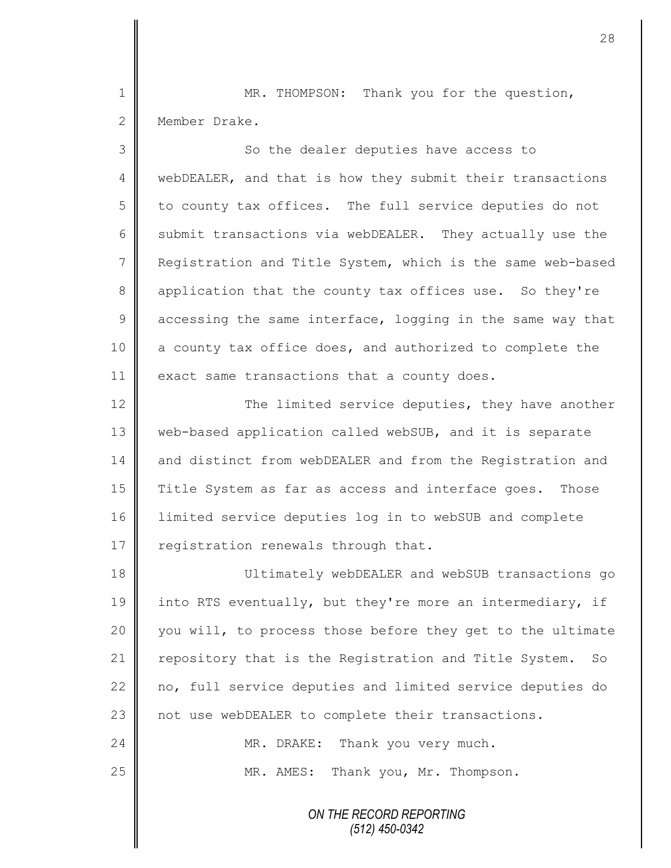1 MR. THOMPSON: Thank you for the question, 2 Member Drake.

3 || So the dealer deputies have access to 4 | webDEALER, and that is how they submit their transactions 5 to county tax offices. The full service deputies do not 6 submit transactions via webDEALER. They actually use the 7 | Registration and Title System, which is the same web-based 8 application that the county tax offices use. So they're  $9 \parallel$  accessing the same interface, logging in the same way that 10 | a county tax office does, and authorized to complete the 11 exact same transactions that a county does.

12 The limited service deputies, they have another 13 | web-based application called webSUB, and it is separate 14 and distinct from webDEALER and from the Registration and 15 Title System as far as access and interface goes. Those 16 limited service deputies log in to webSUB and complete 17  $\parallel$  registration renewals through that.

18 Ultimately webDEALER and webSUB transactions go 19 into RTS eventually, but they're more an intermediary, if 20 you will, to process those before they get to the ultimate 21 | repository that is the Registration and Title System. So 22 no, full service deputies and limited service deputies do 23 | not use webDEALER to complete their transactions. 24 MR. DRAKE: Thank you very much.

25 MR. AMES: Thank you, Mr. Thompson.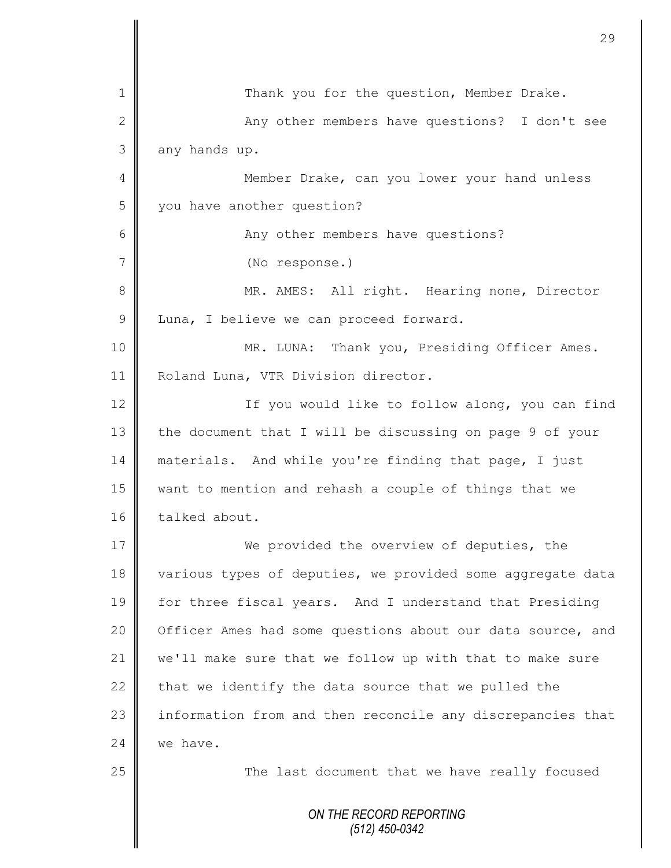|                | 29                                                         |
|----------------|------------------------------------------------------------|
|                |                                                            |
| 1              | Thank you for the question, Member Drake.                  |
| $\mathbf{2}$   | Any other members have questions? I don't see              |
| 3              | any hands up.                                              |
| 4              | Member Drake, can you lower your hand unless               |
| 5              | you have another question?                                 |
| 6              | Any other members have questions?                          |
| $\overline{7}$ | (No response.)                                             |
| 8              | MR. AMES: All right. Hearing none, Director                |
| $\mathcal{G}$  | Luna, I believe we can proceed forward.                    |
| 10             | MR. LUNA: Thank you, Presiding Officer Ames.               |
| 11             | Roland Luna, VTR Division director.                        |
| 12             | If you would like to follow along, you can find            |
| 13             | the document that I will be discussing on page 9 of your   |
| 14             | materials. And while you're finding that page, I just      |
| 15             | want to mention and rehash a couple of things that we      |
| 16             | talked about.                                              |
| 17             | We provided the overview of deputies, the                  |
| 18             | various types of deputies, we provided some aggregate data |
| 19             | for three fiscal years. And I understand that Presiding    |
| 20             | Officer Ames had some questions about our data source, and |
| 21             | we'll make sure that we follow up with that to make sure   |
| 22             | that we identify the data source that we pulled the        |
| 23             | information from and then reconcile any discrepancies that |
| 24             | we have.                                                   |
| 25             | The last document that we have really focused              |
|                | ON THE RECORD REPORTING<br>$(512)$ 450-0342                |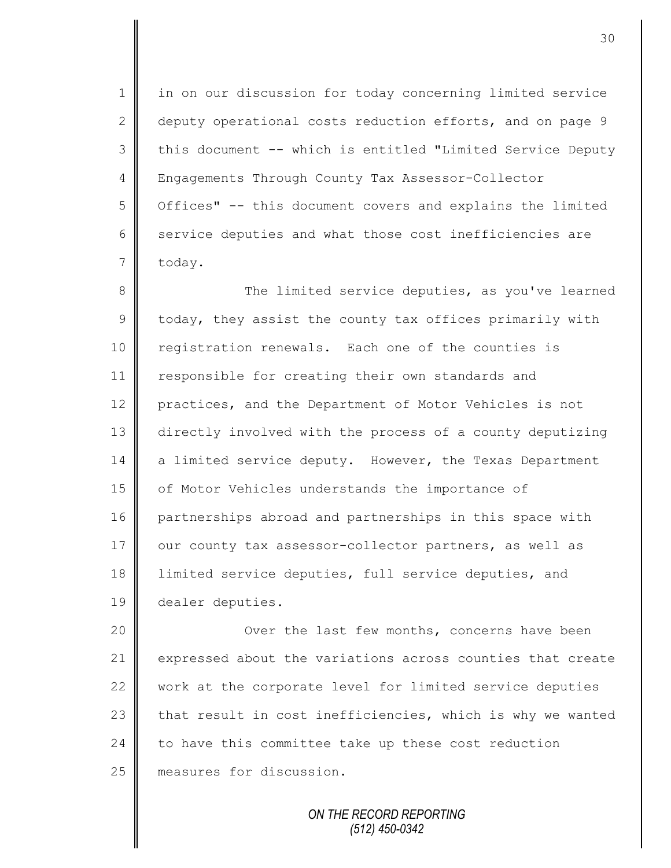1 in on our discussion for today concerning limited service 2 deputy operational costs reduction efforts, and on page 9 3 || this document -- which is entitled "Limited Service Deputy 4 Engagements Through County Tax Assessor-Collector 5 | Offices" -- this document covers and explains the limited 6 service deputies and what those cost inefficiencies are 7 today.

8 The limited service deputies, as you've learned  $9 \parallel$  today, they assist the county tax offices primarily with 10 registration renewals. Each one of the counties is 11 | responsible for creating their own standards and 12 practices, and the Department of Motor Vehicles is not 13 directly involved with the process of a county deputizing 14 a limited service deputy. However, the Texas Department 15 | of Motor Vehicles understands the importance of 16 partnerships abroad and partnerships in this space with 17 our county tax assessor-collector partners, as well as 18 | limited service deputies, full service deputies, and 19 dealer deputies.

20 | Cover the last few months, concerns have been 21 expressed about the variations across counties that create 22 work at the corporate level for limited service deputies 23  $\parallel$  that result in cost inefficiencies, which is why we wanted  $24$  to have this committee take up these cost reduction 25 measures for discussion.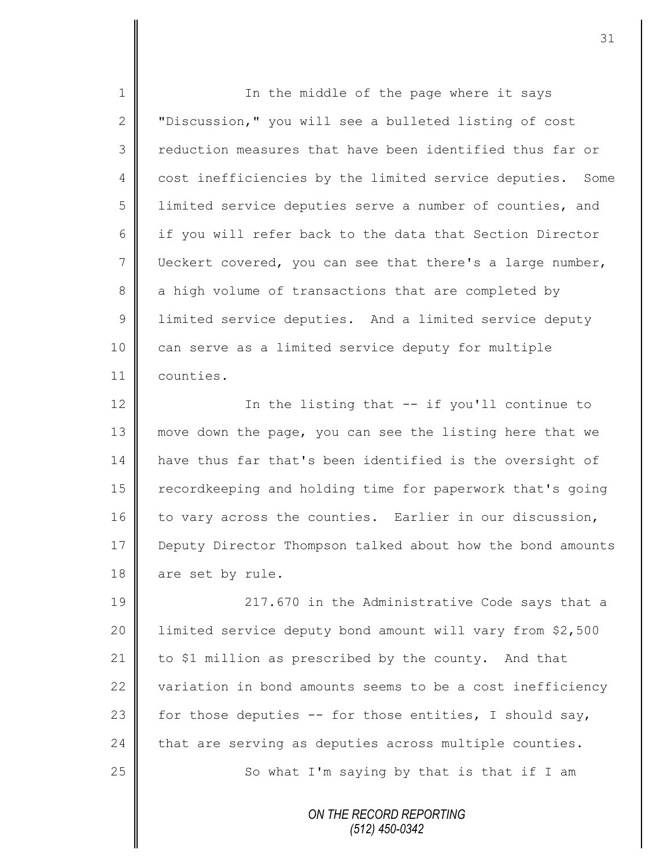1 || In the middle of the page where it says 2 | "Discussion," you will see a bulleted listing of cost 3 | reduction measures that have been identified thus far or 4 cost inefficiencies by the limited service deputies. Some 5 limited service deputies serve a number of counties, and 6 if you will refer back to the data that Section Director 7 Ueckert covered, you can see that there's a large number, 8 a high volume of transactions that are completed by 9 Ullimited service deputies. And a limited service deputy 10 can serve as a limited service deputy for multiple 11 counties.

12 | In the listing that -- if you'll continue to 13 || move down the page, you can see the listing here that we 14 | have thus far that's been identified is the oversight of 15 | recordkeeping and holding time for paperwork that's going 16  $\parallel$  to vary across the counties. Earlier in our discussion, 17 Deputy Director Thompson talked about how the bond amounts 18 are set by rule.

**217.670** in the Administrative Code says that a 20 | limited service deputy bond amount will vary from \$2,500 to \$1 million as prescribed by the county. And that 22 variation in bond amounts seems to be a cost inefficiency  $\parallel$  for those deputies -- for those entities, I should say,  $\parallel$  that are serving as deputies across multiple counties.  $\parallel$  So what I'm saying by that is that if I am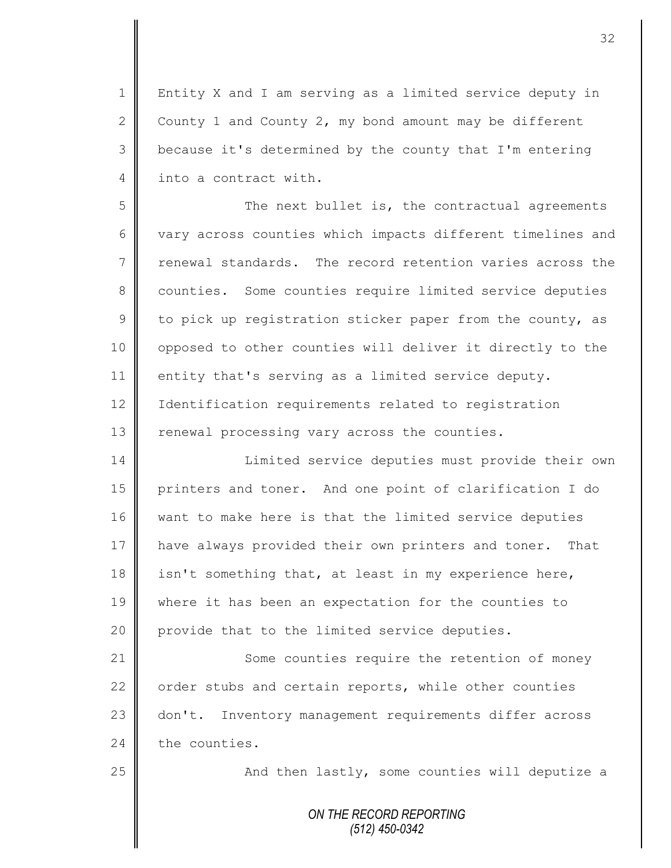1 | Entity X and I am serving as a limited service deputy in 2 County 1 and County 2, my bond amount may be different 3 | because it's determined by the county that I'm entering 4 into a contract with.

5 || The next bullet is, the contractual agreements 6  $\parallel$  vary across counties which impacts different timelines and 7 renewal standards. The record retention varies across the 8 counties. Some counties require limited service deputies 9 to pick up registration sticker paper from the county, as 10 | opposed to other counties will deliver it directly to the 11 entity that's serving as a limited service deputy. 12 | Identification requirements related to registration 13  $\parallel$  renewal processing vary across the counties.

14 | Limited service deputies must provide their own 15 printers and toner. And one point of clarification I do 16 want to make here is that the limited service deputies 17 | have always provided their own printers and toner. That 18 isn't something that, at least in my experience here, 19 where it has been an expectation for the counties to 20 provide that to the limited service deputies.

21 Some counties require the retention of money 22 | order stubs and certain reports, while other counties 23 don't. Inventory management requirements differ across  $24$  the counties.

25  $\parallel$  25 And then lastly, some counties will deputize a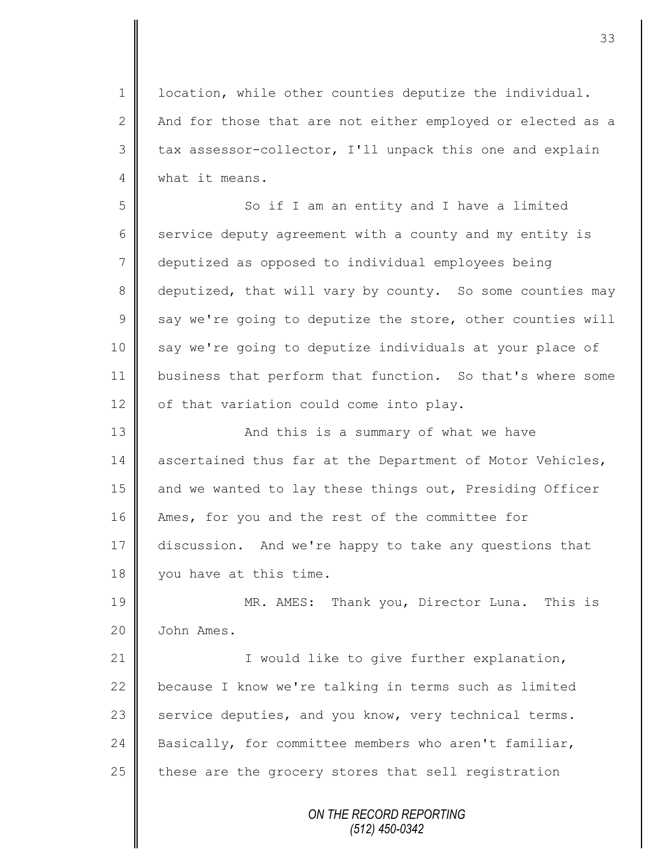1 | location, while other counties deputize the individual. 2  $\parallel$  And for those that are not either employed or elected as a  $3 \parallel$  tax assessor-collector, I'll unpack this one and explain 4 What it means.

5 So if I am an entity and I have a limited 6 service deputy agreement with a county and my entity is 7 deputized as opposed to individual employees being 8 deputized, that will vary by county. So some counties may  $9 \parallel$  say we're going to deputize the store, other counties will 10 say we're going to deputize individuals at your place of 11 business that perform that function. So that's where some  $12$  | of that variation could come into play.

13 | And this is a summary of what we have 14 ascertained thus far at the Department of Motor Vehicles, 15 and we wanted to lay these things out, Presiding Officer 16 Ames, for you and the rest of the committee for 17 discussion. And we're happy to take any questions that 18 vou have at this time.

19 MR. AMES: Thank you, Director Luna. This is 20 | John Ames.

21 || **I** would like to give further explanation, 22  $\parallel$  because I know we're talking in terms such as limited 23  $\parallel$  service deputies, and you know, very technical terms. 24 Basically, for committee members who aren't familiar, 25  $\parallel$  these are the grocery stores that sell registration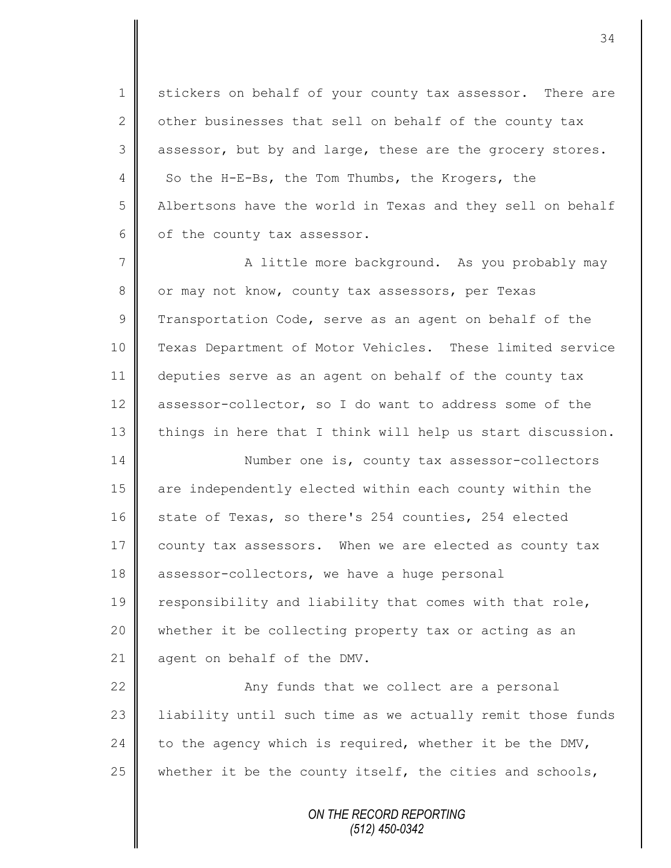1 stickers on behalf of your county tax assessor. There are 2 other businesses that sell on behalf of the county  $\text{tax}$  $3 \parallel$  assessor, but by and large, these are the grocery stores. 4 So the H-E-Bs, the Tom Thumbs, the Krogers, the 5 Albertsons have the world in Texas and they sell on behalf  $6 \parallel$  of the county tax assessor.

7 A little more background. As you probably may 8 | or may not know, county tax assessors, per Texas 9 Transportation Code, serve as an agent on behalf of the 10 Texas Department of Motor Vehicles. These limited service 11 deputies serve as an agent on behalf of the county tax 12 assessor-collector, so I do want to address some of the 13 things in here that I think will help us start discussion.

14 Number one is, county tax assessor-collectors 15 are independently elected within each county within the 16 | state of Texas, so there's 254 counties, 254 elected 17 county tax assessors. When we are elected as county tax 18 assessor-collectors, we have a huge personal 19  $\parallel$  responsibility and liability that comes with that role, 20 whether it be collecting property tax or acting as an 21 agent on behalf of the DMV.

22 | Any funds that we collect are a personal 23 | liability until such time as we actually remit those funds 24 to the agency which is required, whether it be the DMV, 25  $\parallel$  whether it be the county itself, the cities and schools,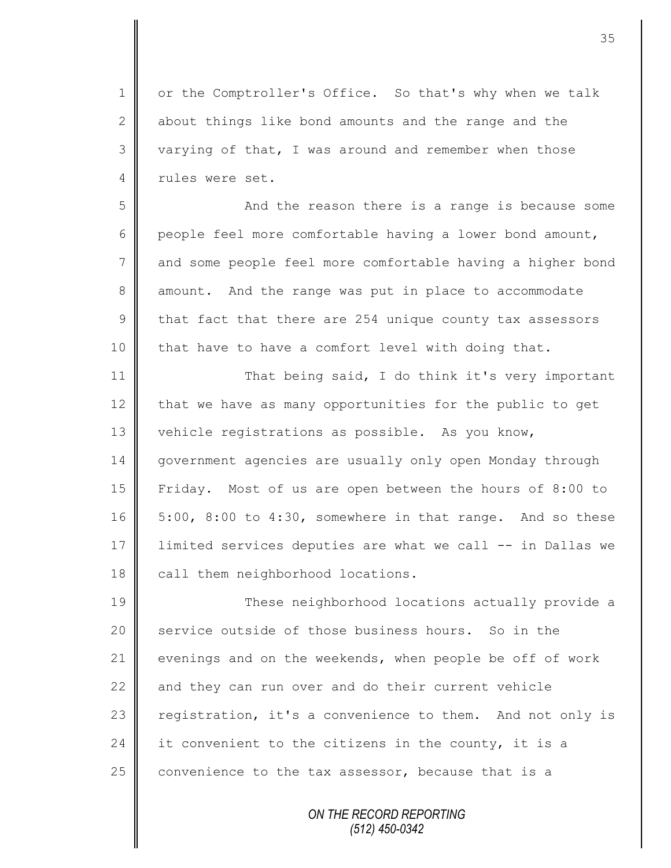1 or the Comptroller's Office. So that's why when we talk 2 about things like bond amounts and the range and the 3 varying of that, I was around and remember when those 4 rules were set.

5 || The Sand the reason there is a range is because some 6 people feel more comfortable having a lower bond amount, 7 and some people feel more comfortable having a higher bond 8 amount. And the range was put in place to accommodate  $9 \parallel$  that fact that there are 254 unique county tax assessors 10 that have to have a comfort level with doing that.

11 That being said, I do think it's very important  $12$  that we have as many opportunities for the public to get 13 vehicle registrations as possible. As you know, 14 | government agencies are usually only open Monday through 15 Friday. Most of us are open between the hours of 8:00 to  $16 \parallel 5:00$ ,  $8:00$  to  $4:30$ , somewhere in that range. And so these 17 limited services deputies are what we call -- in Dallas we 18 call them neighborhood locations.

19 These neighborhood locations actually provide a 20 service outside of those business hours. So in the 21 evenings and on the weekends, when people be off of work 22 and they can run over and do their current vehicle 23 | registration, it's a convenience to them. And not only is 24 it convenient to the citizens in the county, it is a 25  $\parallel$  convenience to the tax assessor, because that is a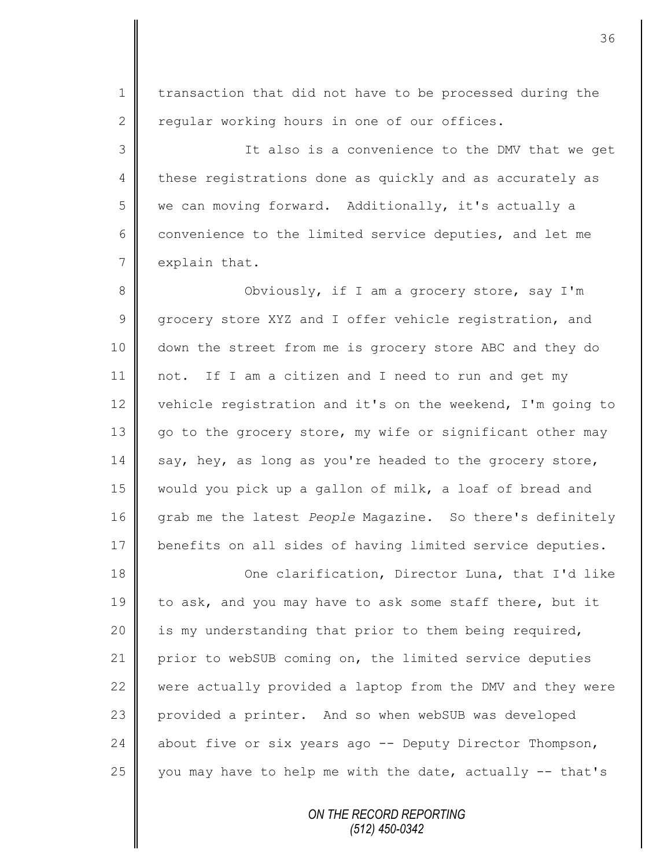1 | transaction that did not have to be processed during the  $2 \parallel$  regular working hours in one of our offices.

3 It also is a convenience to the DMV that we get 4 these registrations done as quickly and as accurately as 5 we can moving forward. Additionally, it's actually a 6 convenience to the limited service deputies, and let me  $7 \parallel$  explain that.

8 || Obviously, if I am a grocery store, say I'm 9 grocery store XYZ and I offer vehicle registration, and 10 down the street from me is grocery store ABC and they do 11 not. If I am a citizen and I need to run and get my 12 vehicle registration and it's on the weekend, I'm going to 13 go to the grocery store, my wife or significant other may 14 say, hey, as long as you're headed to the grocery store, 15 would you pick up a gallon of milk, a loaf of bread and 16 grab me the latest *People* Magazine. So there's definitely 17 benefits on all sides of having limited service deputies.

18 **One clarification, Director Luna, that I'd like** 19 to ask, and you may have to ask some staff there, but it 20 | is my understanding that prior to them being required, 21 prior to webSUB coming on, the limited service deputies  $22$   $\parallel$  were actually provided a laptop from the DMV and they were 23 provided a printer. And so when webSUB was developed 24 | about five or six years ago -- Deputy Director Thompson, 25 you may have to help me with the date, actually  $-$  that's

> *ON THE RECORD REPORTING (512) 450-0342*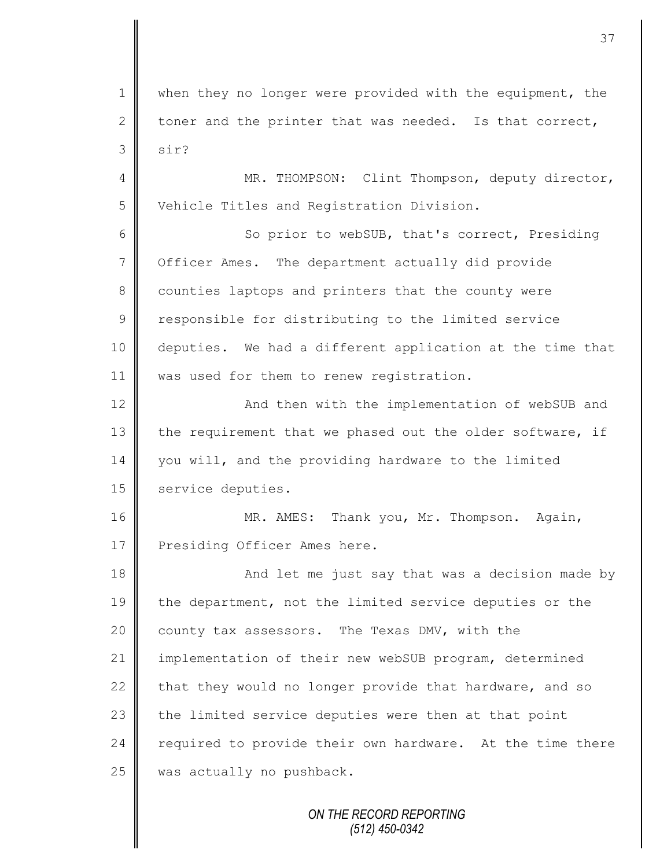1 | when they no longer were provided with the equipment, the 2 toner and the printer that was needed. Is that correct,  $3 \mid$  sir?

4 || MR. THOMPSON: Clint Thompson, deputy director, 5 | Vehicle Titles and Registration Division.

6 So prior to webSUB, that's correct, Presiding 7 | Officer Ames. The department actually did provide 8 counties laptops and printers that the county were 9 | responsible for distributing to the limited service 10 deputies. We had a different application at the time that 11 | was used for them to renew registration.

12 | And then with the implementation of webSUB and 13 the requirement that we phased out the older software, if 14 you will, and the providing hardware to the limited 15 service deputies.

16 | MR. AMES: Thank you, Mr. Thompson. Again, 17 Presiding Officer Ames here.

18 | And let me just say that was a decision made by 19 the department, not the limited service deputies or the 20 county tax assessors. The Texas DMV, with the 21 implementation of their new webSUB program, determined 22 that they would no longer provide that hardware, and so 23 the limited service deputies were then at that point 24  $\parallel$  required to provide their own hardware. At the time there 25 was actually no pushback.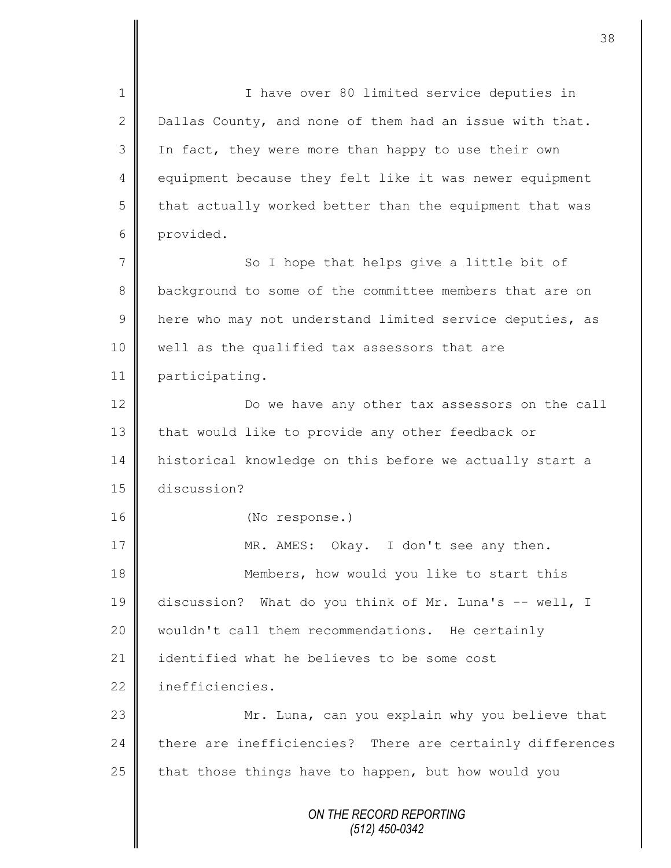*ON THE RECORD REPORTING (512) 450-0342* 1 || I have over 80 limited service deputies in 2 Dallas County, and none of them had an issue with that. 3 In fact, they were more than happy to use their own 4 equipment because they felt like it was newer equipment  $5 \parallel$  that actually worked better than the equipment that was 6 provided. 7 || So I hope that helps give a little bit of 8 background to some of the committee members that are on 9 | here who may not understand limited service deputies, as 10 | well as the qualified tax assessors that are 11 participating. 12 Do we have any other tax assessors on the call 13 that would like to provide any other feedback or 14 | historical knowledge on this before we actually start a 15 discussion? 16 (No response.) 17 MR. AMES: Okay. I don't see any then. 18 **Members, how would you like to start this** 19 discussion? What do you think of Mr. Luna's -- well, I 20 wouldn't call them recommendations. He certainly 21 | identified what he believes to be some cost 22 inefficiencies. 23 | Mr. Luna, can you explain why you believe that  $24$  there are inefficiencies? There are certainly differences 25  $\parallel$  that those things have to happen, but how would you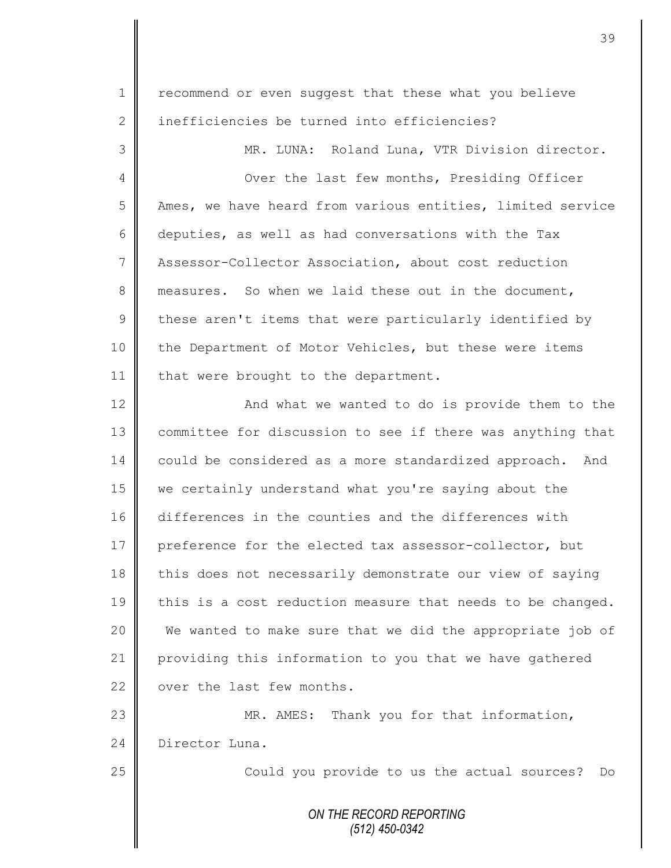1 | recommend or even suggest that these what you believe 2 inefficiencies be turned into efficiencies? 3 MR. LUNA: Roland Luna, VTR Division director. 4 || Over the last few months, Presiding Officer 5 Ames, we have heard from various entities, limited service 6 deputies, as well as had conversations with the Tax 7 Assessor-Collector Association, about cost reduction 8 measures. So when we laid these out in the document,  $9 \parallel$  these aren't items that were particularly identified by 10 the Department of Motor Vehicles, but these were items 11 | that were brought to the department. 12 || 13 | committee for discussion to see if there was anything that 14 could be considered as a more standardized approach. And 15 we certainly understand what you're saying about the 16 differences in the counties and the differences with 17 preference for the elected tax assessor-collector, but 18 this does not necessarily demonstrate our view of saying 19  $\parallel$  this is a cost reduction measure that needs to be changed. 20 We wanted to make sure that we did the appropriate job of 21 providing this information to you that we have gathered 22  $\parallel$  over the last few months. 23 MR. AMES: Thank you for that information, 24 Director Luna. 25 || Could you provide to us the actual sources? Do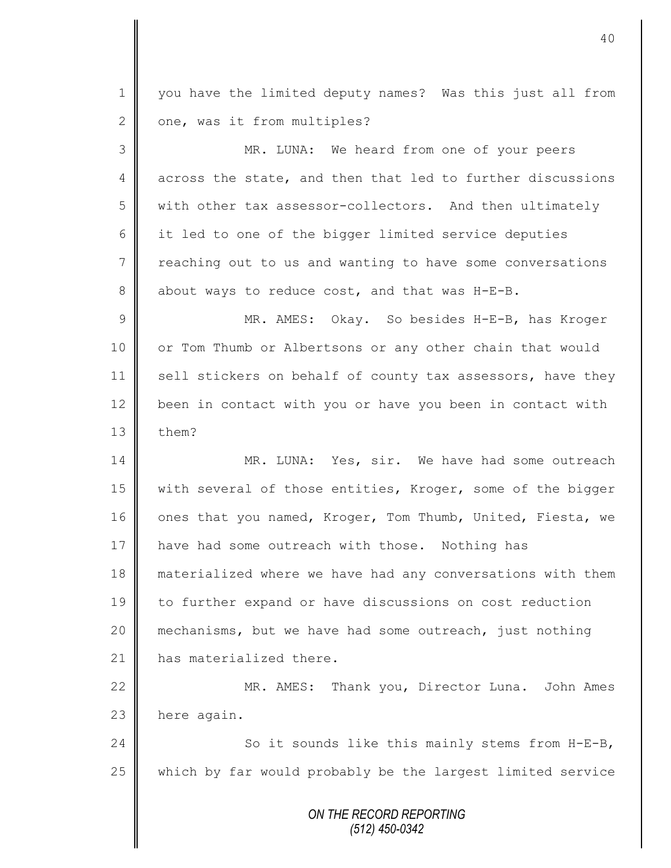*ON THE RECORD REPORTING (512) 450-0342* 1 || you have the limited deputy names? Was this just all from  $2 \parallel$  one, was it from multiples? 3 MR. LUNA: We heard from one of your peers 4 across the state, and then that led to further discussions 5 with other tax assessor-collectors. And then ultimately 6 it led to one of the bigger limited service deputies 7 | reaching out to us and wanting to have some conversations 8 about ways to reduce cost, and that was  $H-E-B$ . 9 || MR. AMES: Okay. So besides H-E-B, has Kroger 10 | or Tom Thumb or Albertsons or any other chain that would 11 | sell stickers on behalf of county tax assessors, have they 12 been in contact with you or have you been in contact with  $13 \parallel$  them? 14 MR. LUNA: Yes, sir. We have had some outreach 15 | with several of those entities, Kroger, some of the bigger 16 ones that you named, Kroger, Tom Thumb, United, Fiesta, we 17 have had some outreach with those. Nothing has 18 materialized where we have had any conversations with them 19 to further expand or have discussions on cost reduction 20 mechanisms, but we have had some outreach, just nothing 21 | has materialized there. 22 | MR. AMES: Thank you, Director Luna. John Ames  $23$  here again. 24 | So it sounds like this mainly stems from H-E-B, 25 which by far would probably be the largest limited service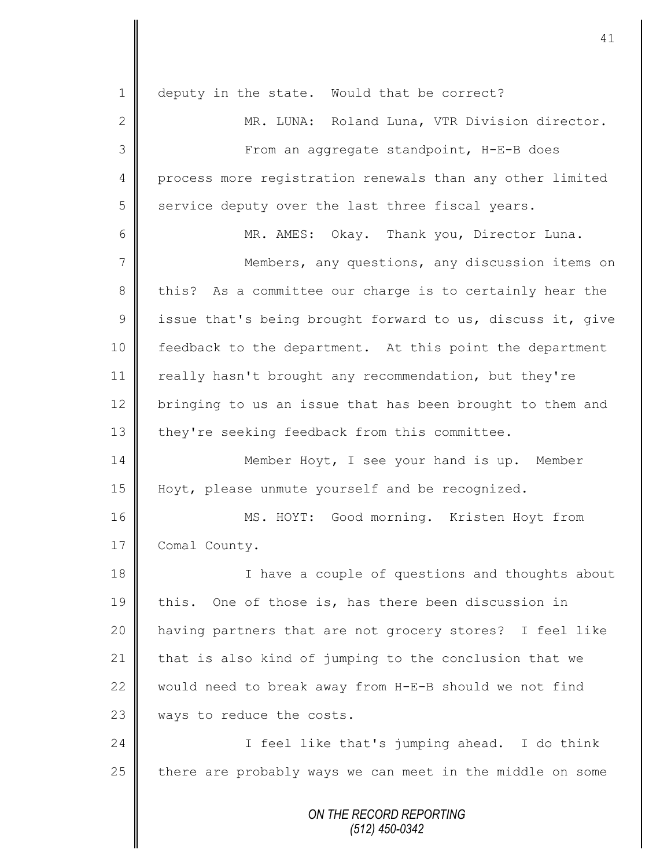| $\mathbf 1$    | deputy in the state. Would that be correct?                |
|----------------|------------------------------------------------------------|
| $\overline{2}$ | MR. LUNA: Roland Luna, VTR Division director.              |
| 3              | From an aggregate standpoint, H-E-B does                   |
| $\overline{4}$ | process more registration renewals than any other limited  |
| 5              | service deputy over the last three fiscal years.           |
| 6              | MR. AMES: Okay. Thank you, Director Luna.                  |
| 7              | Members, any questions, any discussion items on            |
| 8              | this? As a committee our charge is to certainly hear the   |
| $\mathcal{G}$  | issue that's being brought forward to us, discuss it, give |
| 10             | feedback to the department. At this point the department   |
| 11             | really hasn't brought any recommendation, but they're      |
| 12             | bringing to us an issue that has been brought to them and  |
| 13             | they're seeking feedback from this committee.              |
| 14             | Member Hoyt, I see your hand is up. Member                 |
| 15             | Hoyt, please unmute yourself and be recognized.            |
| 16             | MS. HOYT: Good morning. Kristen Hoyt from                  |
| 17             | Comal County.                                              |
| 18             | I have a couple of questions and thoughts about            |
| 19             | this. One of those is, has there been discussion in        |
| 20             | having partners that are not grocery stores? I feel like   |
| 21             | that is also kind of jumping to the conclusion that we     |
| 22             | would need to break away from H-E-B should we not find     |
| 23             | ways to reduce the costs.                                  |
| 24             | I feel like that's jumping ahead. I do think               |
| 25             | there are probably ways we can meet in the middle on some  |
|                | ON THE RECORD REPORTING<br>$(512)$ 450-0342                |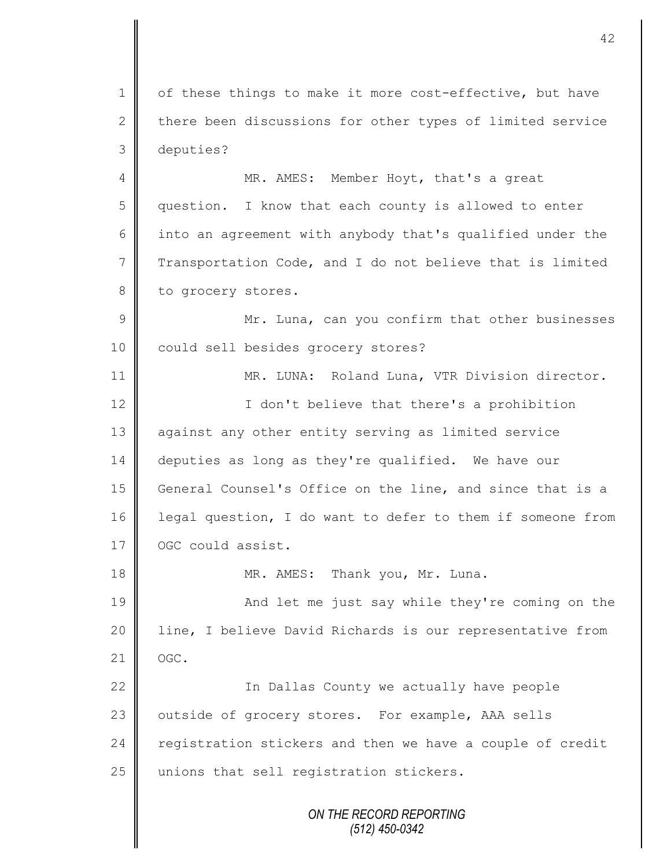1 of these things to make it more cost-effective, but have  $2 \parallel$  there been discussions for other types of limited service 3 deputies?

4 MR. AMES: Member Hoyt, that's a great 5 || question. I know that each county is allowed to enter 6 into an agreement with anybody that's qualified under the 7 Transportation Code, and I do not believe that is limited 8 to grocery stores.

9 || Mr. Luna, can you confirm that other businesses 10 could sell besides grocery stores?

11 | MR. LUNA: Roland Luna, VTR Division director. 12 || I don't believe that there's a prohibition 13 against any other entity serving as limited service 14 deputies as long as they're qualified. We have our 15 General Counsel's Office on the line, and since that is a 16 legal question, I do want to defer to them if someone from 17 | OGC could assist.

18 MR. AMES: Thank you, Mr. Luna.

19 || And let me just say while they're coming on the 20 | line, I believe David Richards is our representative from  $21$  OGC.

22 || The Dallas County we actually have people 23 | outside of grocery stores. For example, AAA sells 24 registration stickers and then we have a couple of credit  $25$  unions that sell registration stickers.

> *ON THE RECORD REPORTING (512) 450-0342*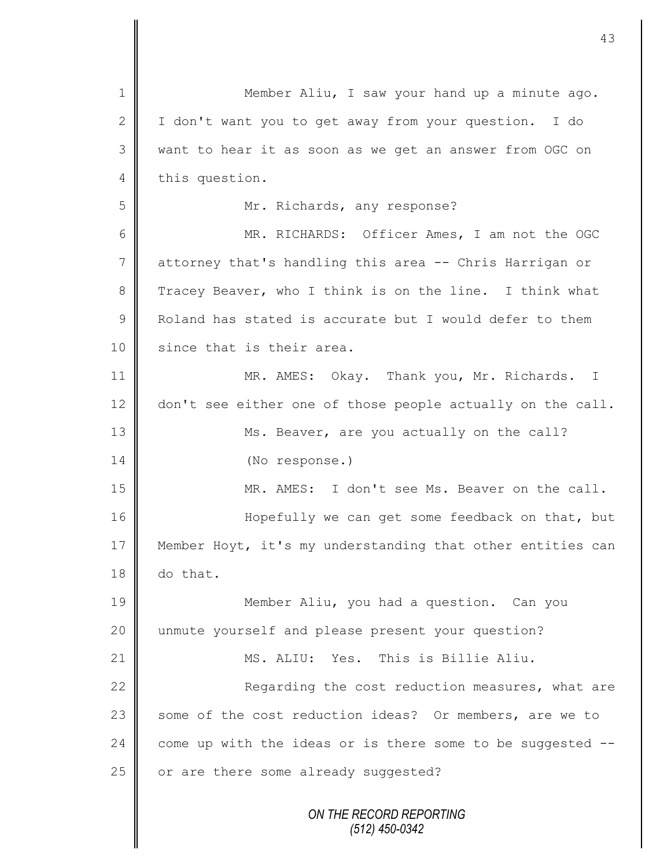| $\mathbf 1$    | Member Aliu, I saw your hand up a minute ago.              |
|----------------|------------------------------------------------------------|
| $\mathbf{2}$   | I don't want you to get away from your question. I do      |
| 3              | want to hear it as soon as we get an answer from OGC on    |
| 4              | this question.                                             |
| 5              | Mr. Richards, any response?                                |
| 6              | MR. RICHARDS: Officer Ames, I am not the OGC               |
| $\overline{7}$ | attorney that's handling this area -- Chris Harrigan or    |
| 8              | Tracey Beaver, who I think is on the line. I think what    |
| $\mathcal{G}$  | Roland has stated is accurate but I would defer to them    |
| 10             | since that is their area.                                  |
| 11             | MR. AMES: Okay. Thank you, Mr. Richards. I                 |
| 12             | don't see either one of those people actually on the call. |
| 13             | Ms. Beaver, are you actually on the call?                  |
| 14             | (No response.)                                             |
| 15             | MR. AMES: I don't see Ms. Beaver on the call.              |
| 16             | Hopefully we can get some feedback on that, but            |
| 17             | Member Hoyt, it's my understanding that other entities can |
| 18             | do that.                                                   |
| 19             | Member Aliu, you had a question. Can you                   |
| 20             | unmute yourself and please present your question?          |
| 21             | MS. ALIU: Yes. This is Billie Aliu.                        |
| 22             | Regarding the cost reduction measures, what are            |
| 23             | some of the cost reduction ideas? Or members, are we to    |
| 24             | come up with the ideas or is there some to be suggested -- |
| 25             | or are there some already suggested?                       |
|                | ON THE RECORD REPORTING<br>$(512)$ 450-0342                |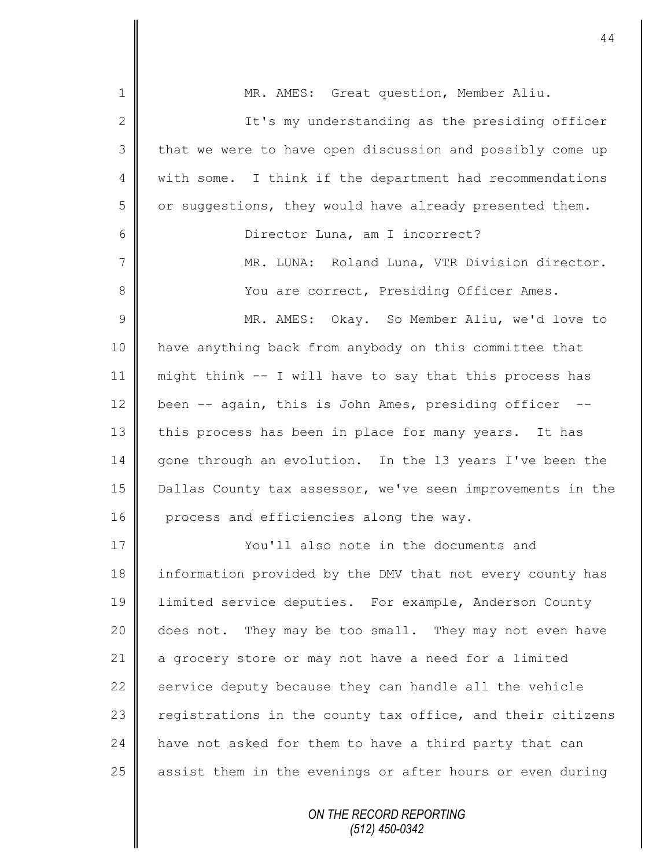| $\mathbf 1$    | MR. AMES: Great question, Member Aliu.                     |
|----------------|------------------------------------------------------------|
| $\mathbf{2}$   | It's my understanding as the presiding officer             |
| 3              | that we were to have open discussion and possibly come up  |
| 4              | with some. I think if the department had recommendations   |
| 5              | or suggestions, they would have already presented them.    |
| 6              | Director Luna, am I incorrect?                             |
| $\overline{7}$ | MR. LUNA: Roland Luna, VTR Division director.              |
| 8              | You are correct, Presiding Officer Ames.                   |
| 9              | MR. AMES: Okay. So Member Aliu, we'd love to               |
| 10             | have anything back from anybody on this committee that     |
| 11             | might think -- I will have to say that this process has    |
| 12             | been -- again, this is John Ames, presiding officer --     |
| 13             | this process has been in place for many years. It has      |
| 14             | gone through an evolution. In the 13 years I've been the   |
| 15             | Dallas County tax assessor, we've seen improvements in the |
| 16             | process and efficiencies along the way.                    |
| 17             | You'll also note in the documents and                      |
| 18             | information provided by the DMV that not every county has  |
| 19             | limited service deputies. For example, Anderson County     |
| 20             | does not. They may be too small. They may not even have    |
| 21             | a grocery store or may not have a need for a limited       |
| 22             | service deputy because they can handle all the vehicle     |
| 23             | registrations in the county tax office, and their citizens |
| 24             | have not asked for them to have a third party that can     |
| 25             | assist them in the evenings or after hours or even during  |
|                |                                                            |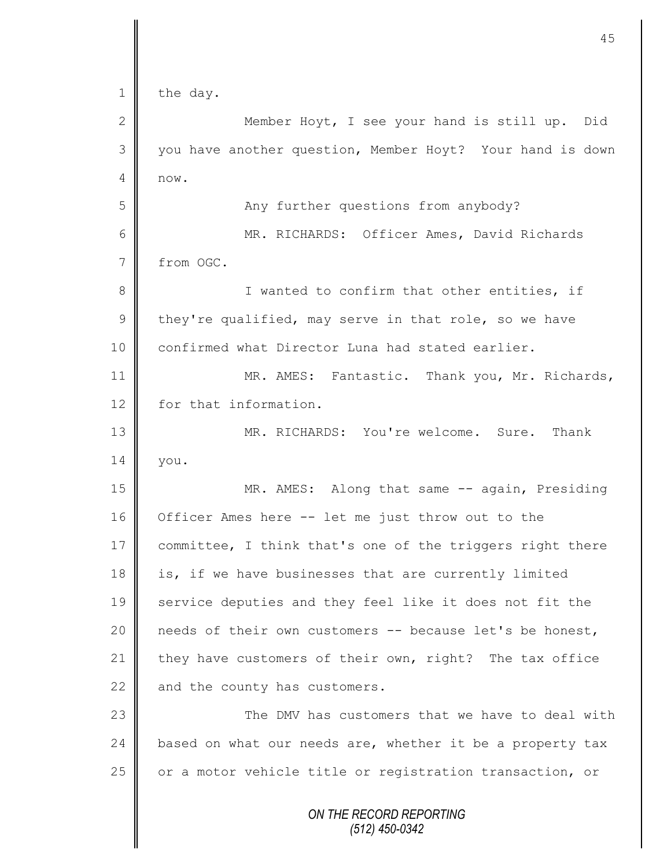|                | 45                                                        |
|----------------|-----------------------------------------------------------|
| $\mathbf 1$    | the day.                                                  |
| 2              | Member Hoyt, I see your hand is still up. Did             |
| 3              | you have another question, Member Hoyt? Your hand is down |
| 4              | now.                                                      |
| 5              | Any further questions from anybody?                       |
| 6              | MR. RICHARDS: Officer Ames, David Richards                |
| $7\phantom{.}$ | from OGC.                                                 |
| $8\,$          | I wanted to confirm that other entities, if               |
| $\mathcal{G}$  | they're qualified, may serve in that role, so we have     |
| 10             | confirmed what Director Luna had stated earlier.          |
| 11             | MR. AMES: Fantastic. Thank you, Mr. Richards,             |
| 12             | for that information.                                     |
| 13             | MR. RICHARDS: You're welcome. Sure. Thank                 |
| 14             | you.                                                      |
| 15             | MR. AMES: Along that same -- again, Presiding             |
| 16             | Officer Ames here -- let me just throw out to the         |
| 17             | committee, I think that's one of the triggers right there |
| 18             | is, if we have businesses that are currently limited      |
| 19             | service deputies and they feel like it does not fit the   |
| 20             | needs of their own customers -- because let's be honest,  |
| 21             | they have customers of their own, right? The tax office   |
| 22             | and the county has customers.                             |
| 23             | The DMV has customers that we have to deal with           |
| 24             | based on what our needs are, whether it be a property tax |
| 25             | or a motor vehicle title or registration transaction, or  |
|                | ON THE RECORD REPORTING<br>(512) 450-0342                 |

 $\mathbf l$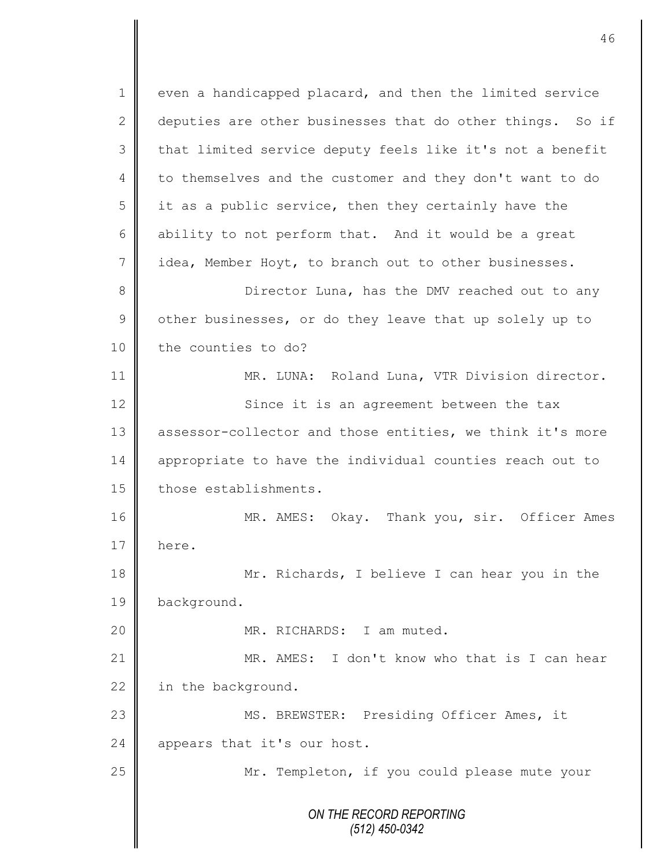*ON THE RECORD REPORTING (512) 450-0342* 1 | even a handicapped placard, and then the limited service 2 deputies are other businesses that do other things. So if 3 || that limited service deputy feels like it's not a benefit 4 to themselves and the customer and they don't want to do  $5 \parallel$  it as a public service, then they certainly have the 6 ability to not perform that. And it would be a great 7 idea, Member Hoyt, to branch out to other businesses. 8 Director Luna, has the DMV reached out to any  $9 \parallel$  other businesses, or do they leave that up solely up to 10 the counties to do? 11 | MR. LUNA: Roland Luna, VTR Division director. 12 | Since it is an agreement between the tax 13 assessor-collector and those entities, we think it's more 14 || appropriate to have the individual counties reach out to 15 | those establishments. 16 MR. AMES: Okay. Thank you, sir. Officer Ames 17 here. 18 Mr. Richards, I believe I can hear you in the 19 background. 20 || MR. RICHARDS: I am muted. 21 MR. AMES: I don't know who that is I can hear 22 in the background. 23 || MS. BREWSTER: Presiding Officer Ames, it 24 appears that it's our host. 25 | Mr. Templeton, if you could please mute your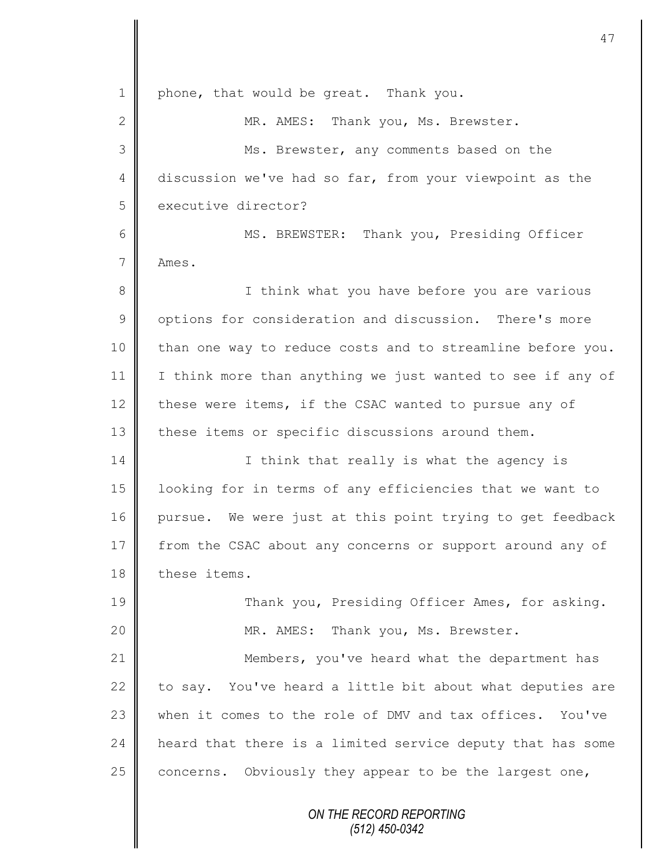*ON THE RECORD REPORTING* 1 | phone, that would be great. Thank you. 2 MR. AMES: Thank you, Ms. Brewster. 3 Ms. Brewster, any comments based on the 4 discussion we've had so far, from your viewpoint as the 5 executive director? 6 || MS. BREWSTER: Thank you, Presiding Officer 7 Ames. 8 || I think what you have before you are various 9 | options for consideration and discussion. There's more 10 | than one way to reduce costs and to streamline before you. 11 | I think more than anything we just wanted to see if any of 12 these were items, if the CSAC wanted to pursue any of 13 these items or specific discussions around them. 14 || I think that really is what the agency is 15 looking for in terms of any efficiencies that we want to 16 pursue. We were just at this point trying to get feedback 17 from the CSAC about any concerns or support around any of 18 these items. 19 Thank you, Presiding Officer Ames, for asking. 20 || MR. AMES: Thank you, Ms. Brewster. 21 | Members, you've heard what the department has 22  $\parallel$  to say. You've heard a little bit about what deputies are 23 Wen it comes to the role of DMV and tax offices. You've 24 **h** heard that there is a limited service deputy that has some 25  $\parallel$  concerns. Obviously they appear to be the largest one,

*(512) 450-0342*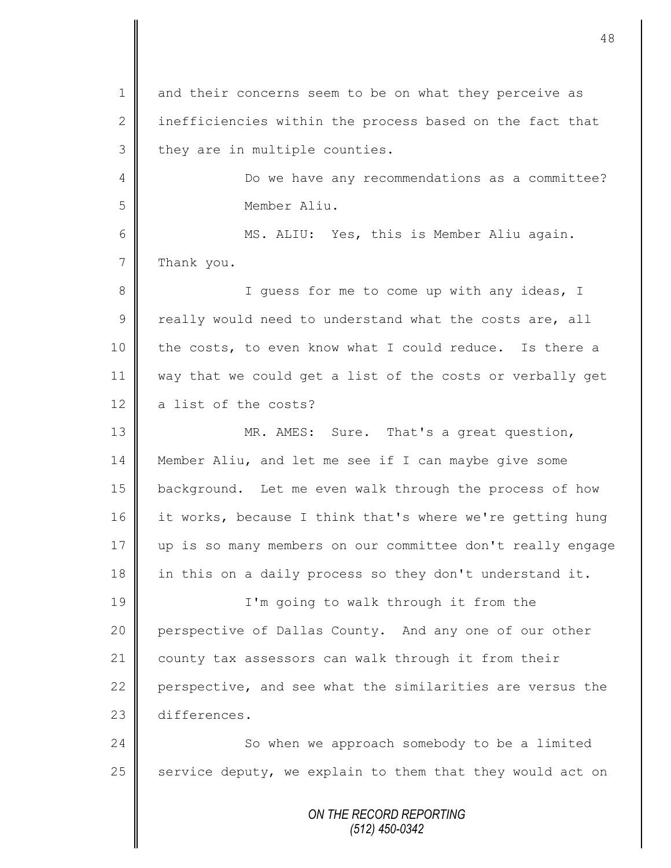*ON THE RECORD REPORTING* 1 and their concerns seem to be on what they perceive as 2 inefficiencies within the process based on the fact that  $3$  they are in multiple counties. 4 **Do** we have any recommendations as a committee? 5 Member Aliu. 6 MS. ALIU: Yes, this is Member Aliu again. 7 Thank you. 8 || I guess for me to come up with any ideas, I  $9 \parallel$  really would need to understand what the costs are, all 10 the costs, to even know what I could reduce. Is there a 11 way that we could get a list of the costs or verbally get 12  $\parallel$  a list of the costs? 13 MR. AMES: Sure. That's a great question, 14 Member Aliu, and let me see if I can maybe give some 15 | background. Let me even walk through the process of how 16 it works, because I think that's where we're getting hung 17 up is so many members on our committee don't really engage 18 in this on a daily process so they don't understand it. 19 | I'm going to walk through it from the 20 perspective of Dallas County. And any one of our other 21 county tax assessors can walk through it from their 22 perspective, and see what the similarities are versus the 23 differences. 24 So when we approach somebody to be a limited 25  $\parallel$  service deputy, we explain to them that they would act on

*(512) 450-0342*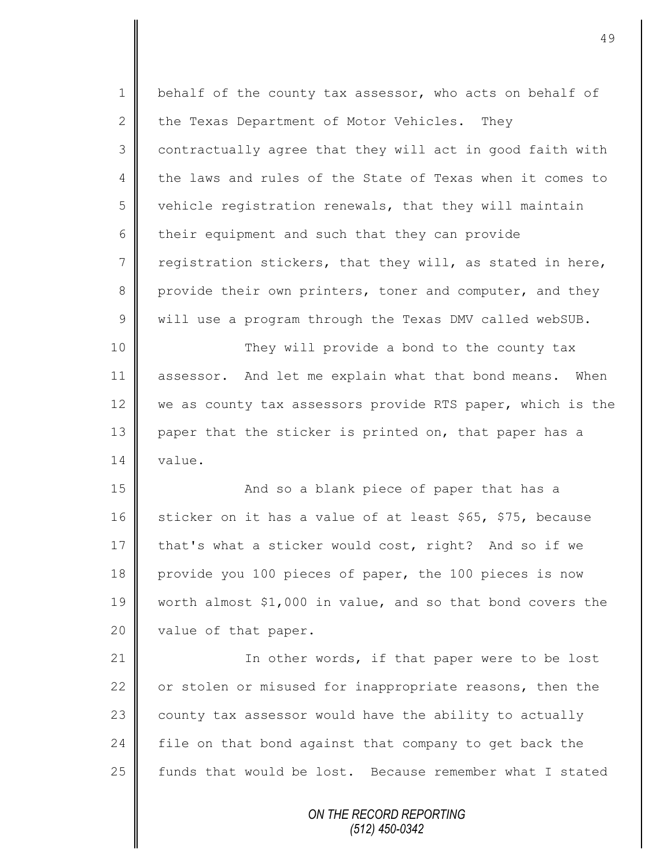| $\mathbf 1$    | behalf of the county tax assessor, who acts on behalf of   |
|----------------|------------------------------------------------------------|
| $\overline{2}$ | the Texas Department of Motor Vehicles.<br>They            |
| 3              | contractually agree that they will act in good faith with  |
| 4              | the laws and rules of the State of Texas when it comes to  |
| 5              | vehicle registration renewals, that they will maintain     |
| 6              | their equipment and such that they can provide             |
| $7\phantom{.}$ | registration stickers, that they will, as stated in here,  |
| 8              | provide their own printers, toner and computer, and they   |
| $\mathcal{G}$  | will use a program through the Texas DMV called webSUB.    |
| 10             | They will provide a bond to the county tax                 |
| 11             | assessor. And let me explain what that bond means. When    |
| 12             | we as county tax assessors provide RTS paper, which is the |
| 13             | paper that the sticker is printed on, that paper has a     |
| 14             | value.                                                     |
| 15             | And so a blank piece of paper that has a                   |
| 16             | sticker on it has a value of at least \$65, \$75, because  |
| 17             | that's what a sticker would cost, right? And so if we      |
| 18             | provide you 100 pieces of paper, the 100 pieces is now     |
| 19             | worth almost \$1,000 in value, and so that bond covers the |
| 20             | value of that paper.                                       |
| 21             | In other words, if that paper were to be lost              |
| 22             | or stolen or misused for inappropriate reasons, then the   |
| 23             | county tax assessor would have the ability to actually     |
| 24             | file on that bond against that company to get back the     |
| 25             | funds that would be lost. Because remember what I stated   |
|                | ON THE RECORD REPORTING<br>(512) 450-0342                  |

II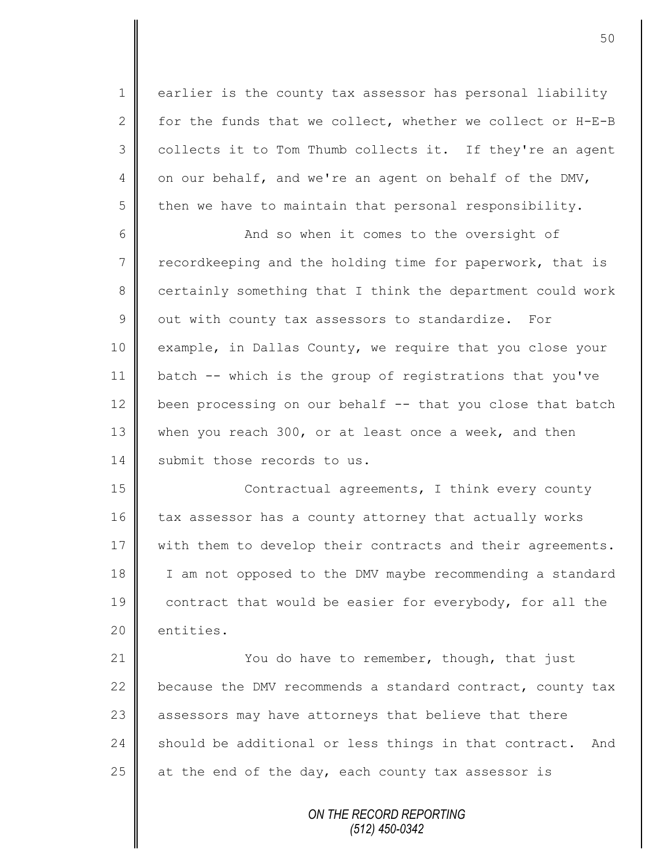1 earlier is the county tax assessor has personal liability 2  $\parallel$  for the funds that we collect, whether we collect or H-E-B  $3 \parallel$  collects it to Tom Thumb collects it. If they're an agent 4 on our behalf, and we're an agent on behalf of the DMV,  $5 \parallel$  then we have to maintain that personal responsibility.

6 || And so when it comes to the oversight of 7 recordkeeping and the holding time for paperwork, that is 8 certainly something that I think the department could work  $9 \parallel$  out with county tax assessors to standardize. For 10 example, in Dallas County, we require that you close your 11 batch -- which is the group of registrations that you've 12 been processing on our behalf  $-$  that you close that batch 13 when you reach 300, or at least once a week, and then 14 Submit those records to us.

15 | Contractual agreements, I think every county 16 tax assessor has a county attorney that actually works 17 | with them to develop their contracts and their agreements. 18 I I am not opposed to the DMV maybe recommending a standard 19 contract that would be easier for everybody, for all the 20 entities.

21 | You do have to remember, though, that just 22 because the DMV recommends a standard contract, county tax 23 assessors may have attorneys that believe that there 24 should be additional or less things in that contract. And 25  $\parallel$  at the end of the day, each county tax assessor is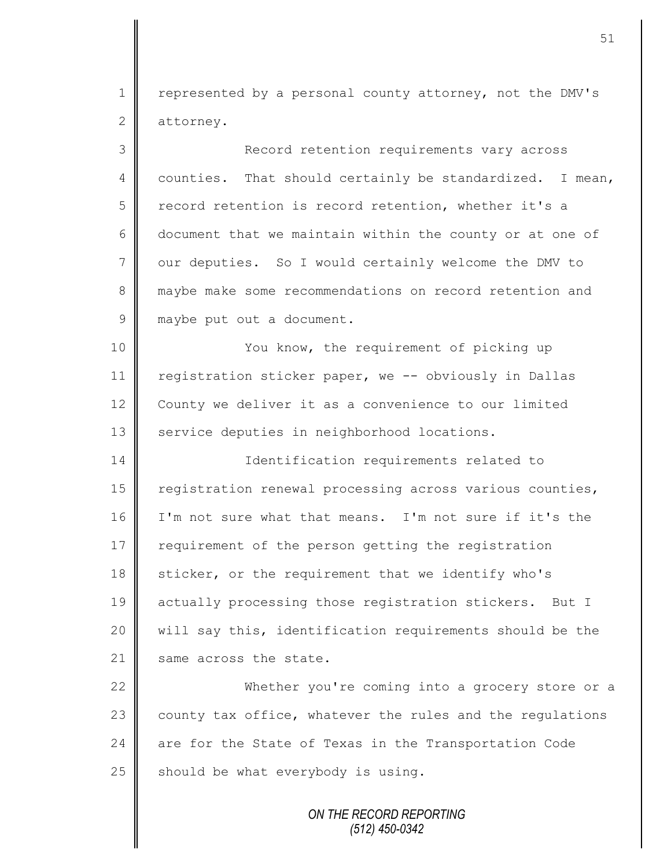1 | represented by a personal county attorney, not the DMV's 2 attorney.

3 Record retention requirements vary across 4 | counties. That should certainly be standardized. I mean, 5 record retention is record retention, whether it's a 6 document that we maintain within the county or at one of  $7 \parallel$  our deputies. So I would certainly welcome the DMV to 8 maybe make some recommendations on record retention and 9 maybe put out a document. 10 || You know, the requirement of picking up 11 | registration sticker paper, we -- obviously in Dallas 12 County we deliver it as a convenience to our limited 13 | service deputies in neighborhood locations. 14 | Identification requirements related to 15 | registration renewal processing across various counties, 16 I'm not sure what that means. I'm not sure if it's the 17 requirement of the person getting the registration 18 sticker, or the requirement that we identify who's 19 actually processing those registration stickers. But I 20 || will say this, identification requirements should be the 21 Same across the state. 22 Whether you're coming into a grocery store or a  $23$  county tax office, whatever the rules and the regulations 24  $\parallel$  are for the State of Texas in the Transportation Code 25 should be what everybody is using.

> *ON THE RECORD REPORTING (512) 450-0342*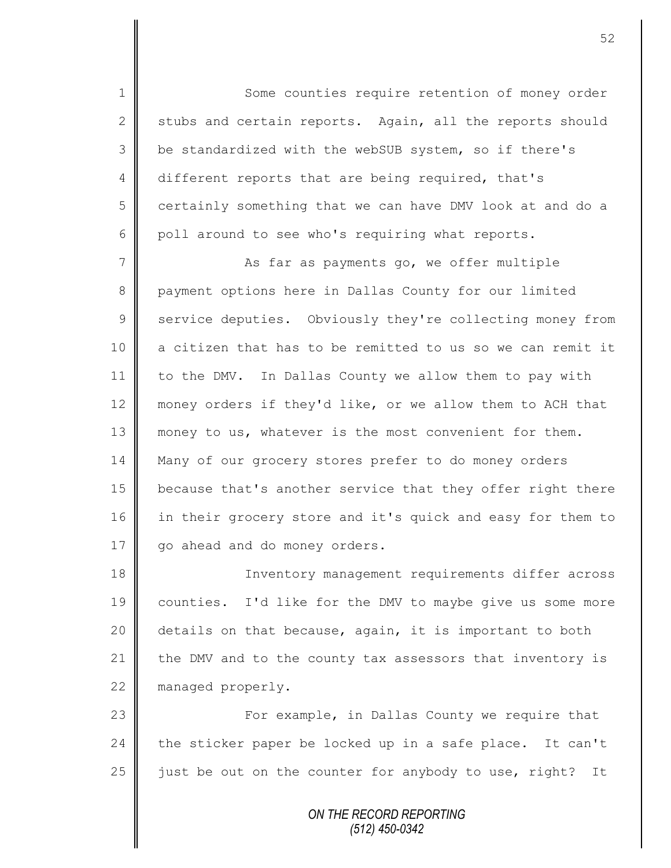1 Some counties require retention of money order 2 stubs and certain reports. Again, all the reports should 3 be standardized with the webSUB system, so if there's 4 different reports that are being required, that's 5 certainly something that we can have DMV look at and do a  $6 \parallel$  poll around to see who's requiring what reports.

7 || As far as payments go, we offer multiple 8 payment options here in Dallas County for our limited 9 Service deputies. Obviously they're collecting money from 10 a citizen that has to be remitted to us so we can remit it 11 to the DMV. In Dallas County we allow them to pay with 12 money orders if they'd like, or we allow them to ACH that 13 money to us, whatever is the most convenient for them. 14 Many of our grocery stores prefer to do money orders 15 because that's another service that they offer right there 16 in their grocery store and it's quick and easy for them to 17 | qo ahead and do money orders.

18 || Inventory management requirements differ across 19 counties. I'd like for the DMV to maybe give us some more 20 | details on that because, again, it is important to both 21 the DMV and to the county tax assessors that inventory is 22 managed properly.

23 For example, in Dallas County we require that  $24$  the sticker paper be locked up in a safe place. It can't 25  $\parallel$  just be out on the counter for anybody to use, right? It

> *ON THE RECORD REPORTING (512) 450-0342*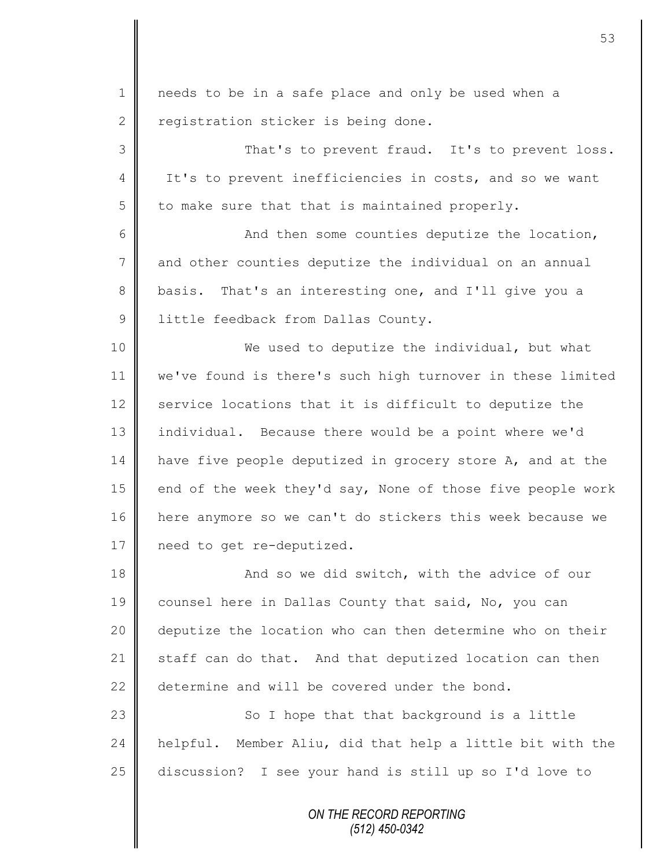*ON THE RECORD REPORTING* 1 || needs to be in a safe place and only be used when a 2 registration sticker is being done. 3 That's to prevent fraud. It's to prevent loss. 4 It's to prevent inefficiencies in costs, and so we want  $5 \parallel$  to make sure that that is maintained properly.  $6 \parallel$  and then some counties deputize the location, 7 and other counties deputize the individual on an annual 8 basis. That's an interesting one, and I'll give you a 9 | little feedback from Dallas County. 10 || We used to deputize the individual, but what 11 we've found is there's such high turnover in these limited 12 service locations that it is difficult to deputize the 13 individual. Because there would be a point where we'd 14 have five people deputized in grocery store A, and at the 15  $\parallel$  end of the week they'd say, None of those five people work 16 here anymore so we can't do stickers this week because we 17 | need to get re-deputized. 18 || And so we did switch, with the advice of our 19 counsel here in Dallas County that said, No, you can 20 deputize the location who can then determine who on their 21  $\parallel$  staff can do that. And that deputized location can then 22  $\parallel$  determine and will be covered under the bond. 23  $\parallel$  So I hope that that background is a little 24 helpful. Member Aliu, did that help a little bit with the 25 discussion? I see your hand is still up so I'd love to

*(512) 450-0342*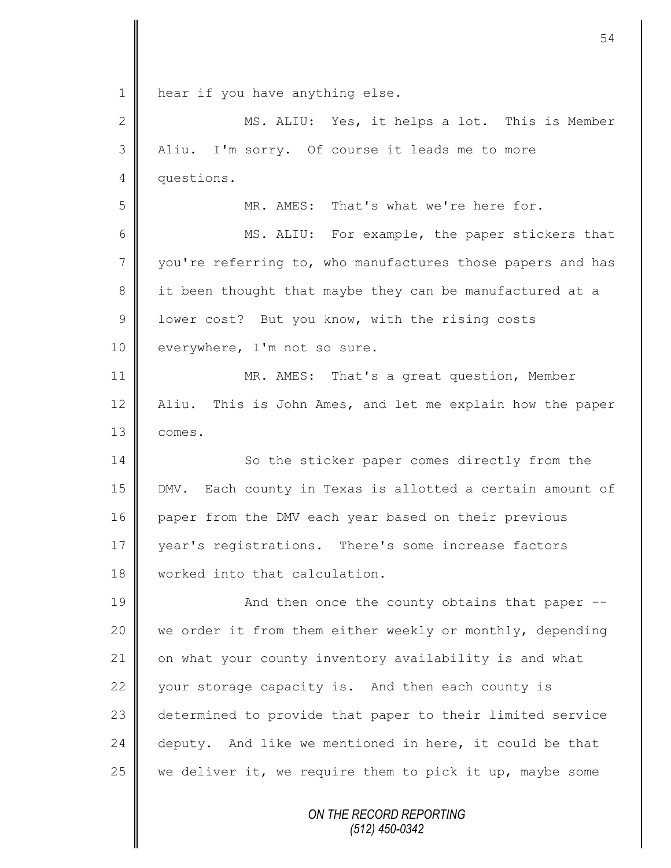*ON THE RECORD REPORTING (512) 450-0342* 1 | hear if you have anything else. 2 || MS. ALIU: Yes, it helps a lot. This is Member 3 || Aliu. I'm sorry. Of course it leads me to more 4 questions. 5 MR. AMES: That's what we're here for. 6 MS. ALIU: For example, the paper stickers that 7 vou're referring to, who manufactures those papers and has 8 it been thought that maybe they can be manufactured at a 9 U lower cost? But you know, with the rising costs 10 everywhere, I'm not so sure. 11 || MR. AMES: That's a great question, Member 12 Aliu. This is John Ames, and let me explain how the paper 13 comes. 14 So the sticker paper comes directly from the 15 DMV. Each county in Texas is allotted a certain amount of 16 paper from the DMV each year based on their previous 17 year's registrations. There's some increase factors 18 worked into that calculation. 19 || And then once the county obtains that paper --20 we order it from them either weekly or monthly, depending 21 on what your county inventory availability is and what 22 vour storage capacity is. And then each county is 23 determined to provide that paper to their limited service  $24$  deputy. And like we mentioned in here, it could be that 25  $\parallel$  we deliver it, we require them to pick it up, maybe some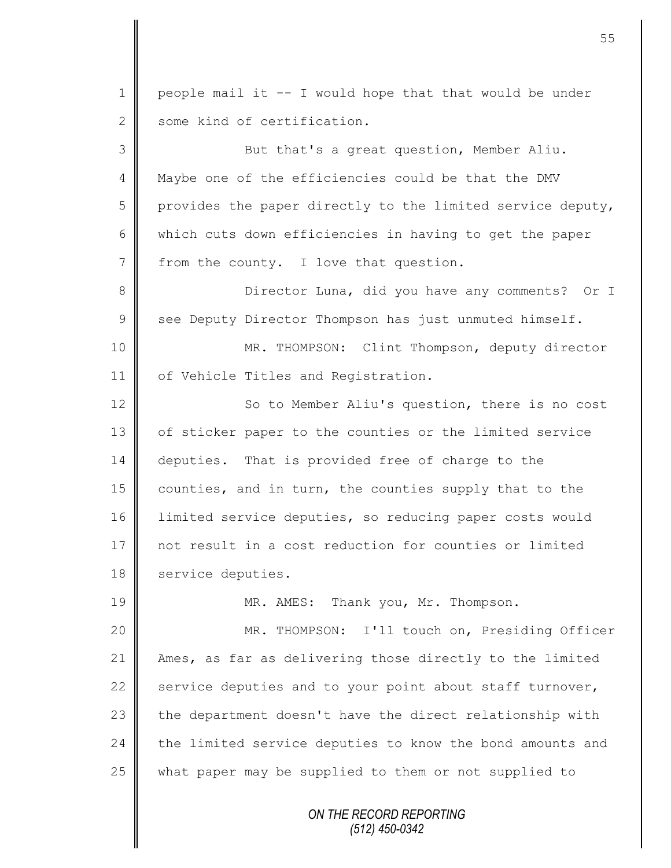*ON THE RECORD REPORTING* 1 | people mail it  $-$ - I would hope that that would be under 2 some kind of certification. 3 But that's a great question, Member Aliu. 4 Maybe one of the efficiencies could be that the DMV 5 provides the paper directly to the limited service deputy, 6 which cuts down efficiencies in having to get the paper 7 | from the county. I love that question. 8 Director Luna, did you have any comments? Or I  $9 \parallel$  see Deputy Director Thompson has just unmuted himself. 10 MR. THOMPSON: Clint Thompson, deputy director 11 | of Vehicle Titles and Registration. 12 | So to Member Aliu's question, there is no cost 13 | of sticker paper to the counties or the limited service 14 deputies. That is provided free of charge to the 15 counties, and in turn, the counties supply that to the 16 limited service deputies, so reducing paper costs would 17 || not result in a cost reduction for counties or limited 18 | service deputies. 19 MR. AMES: Thank you, Mr. Thompson. 20 MR. THOMPSON: I'll touch on, Presiding Officer 21 Ames, as far as delivering those directly to the limited 22  $\parallel$  service deputies and to your point about staff turnover,  $23$  the department doesn't have the direct relationship with 24  $\parallel$  the limited service deputies to know the bond amounts and 25  $\parallel$  what paper may be supplied to them or not supplied to

*(512) 450-0342*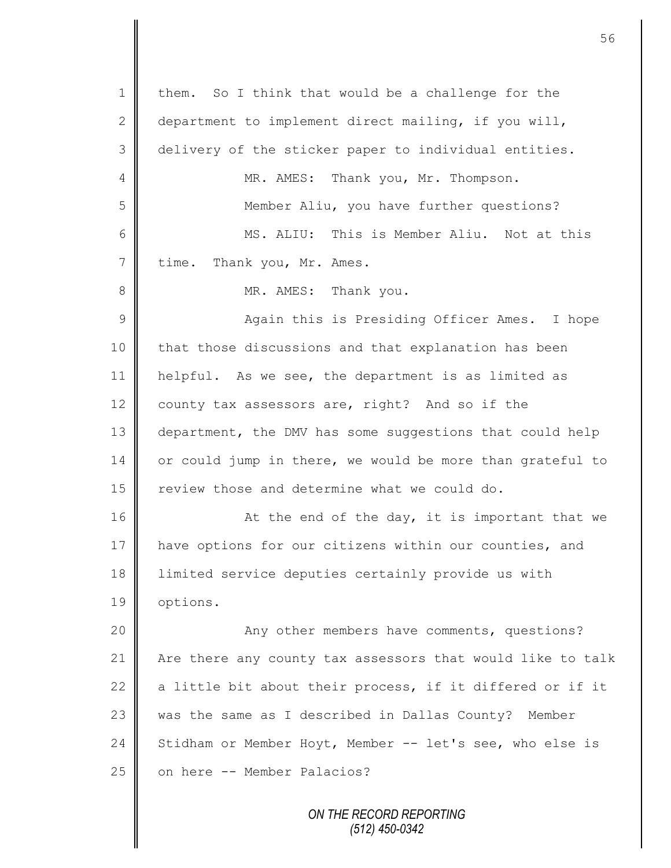*ON THE RECORD REPORTING (512) 450-0342*  $1 \parallel$  them. So I think that would be a challenge for the 2 department to implement direct mailing, if you will, 3 delivery of the sticker paper to individual entities. 4 || MR. AMES: Thank you, Mr. Thompson. 5 Member Aliu, you have further questions? 6 MS. ALIU: This is Member Aliu. Not at this 7 time. Thank you, Mr. Ames. 8 || MR. AMES: Thank you. 9 || Again this is Presiding Officer Ames. I hope 10 | that those discussions and that explanation has been 11 helpful. As we see, the department is as limited as 12 county tax assessors are, right? And so if the 13 department, the DMV has some suggestions that could help 14 or could jump in there, we would be more than grateful to 15  $\parallel$  review those and determine what we could do. 16 **At the end of the day, it is important that we** 17 have options for our citizens within our counties, and 18 limited service deputies certainly provide us with 19 | options. 20 | Any other members have comments, questions? 21 Are there any county tax assessors that would like to talk 22  $\parallel$  a little bit about their process, if it differed or if it 23 was the same as I described in Dallas County? Member 24 Stidham or Member Hoyt, Member  $-$  let's see, who else is 25 on here -- Member Palacios?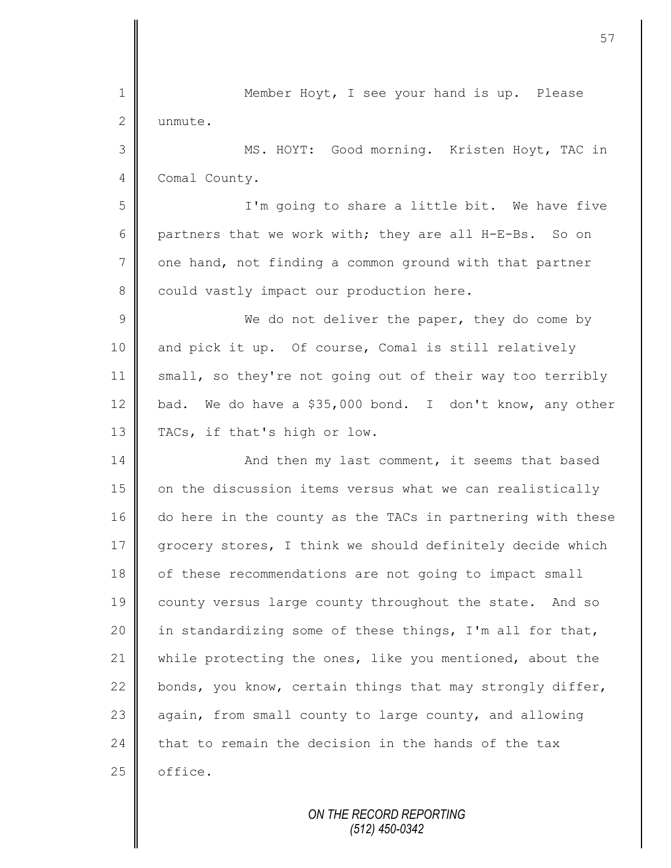| $\mathbf 1$    | Member Hoyt, I see your hand is up. Please                 |
|----------------|------------------------------------------------------------|
| $\mathbf{2}$   | unmute.                                                    |
| 3              | MS. HOYT: Good morning. Kristen Hoyt, TAC in               |
| $\overline{4}$ | Comal County.                                              |
| 5              | I'm going to share a little bit. We have five              |
| 6              | partners that we work with; they are all H-E-Bs. So on     |
| $\overline{7}$ | one hand, not finding a common ground with that partner    |
| 8              | could vastly impact our production here.                   |
| 9              | We do not deliver the paper, they do come by               |
| 10             | and pick it up. Of course, Comal is still relatively       |
| 11             | small, so they're not going out of their way too terribly  |
| 12             | bad. We do have a \$35,000 bond. I don't know, any other   |
| 13             | TACs, if that's high or low.                               |
| 14             | And then my last comment, it seems that based              |
| 15             | on the discussion items versus what we can realistically   |
| 16             | do here in the county as the TACs in partnering with these |
| 17             | grocery stores, I think we should definitely decide which  |
| 18             | of these recommendations are not going to impact small     |
| 19             | county versus large county throughout the state. And so    |
| 20             | in standardizing some of these things, I'm all for that,   |
| 21             | while protecting the ones, like you mentioned, about the   |
| 22             | bonds, you know, certain things that may strongly differ,  |
| 23             | again, from small county to large county, and allowing     |
| 24             | that to remain the decision in the hands of the tax        |
| 25             | office.                                                    |
|                |                                                            |

Ш II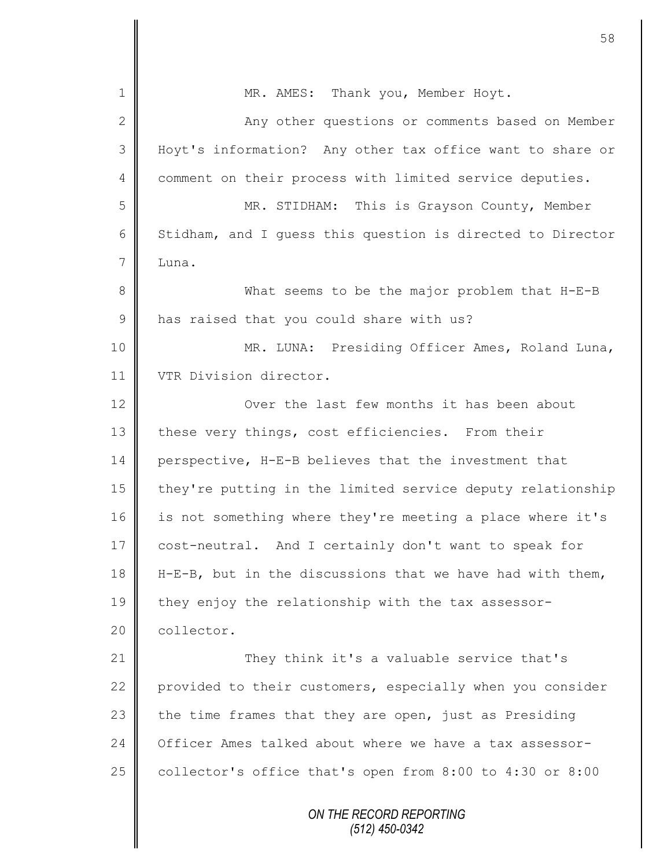| 1            | MR. AMES: Thank you, Member Hoyt.                            |
|--------------|--------------------------------------------------------------|
| $\mathbf{2}$ | Any other questions or comments based on Member              |
| 3            | Hoyt's information? Any other tax office want to share or    |
| 4            | comment on their process with limited service deputies.      |
| 5            | MR. STIDHAM: This is Grayson County, Member                  |
| 6            | Stidham, and I guess this question is directed to Director   |
| 7            | Luna.                                                        |
| $\,8\,$      | What seems to be the major problem that H-E-B                |
| $\mathsf 9$  | has raised that you could share with us?                     |
| 10           | MR. LUNA: Presiding Officer Ames, Roland Luna,               |
| 11           | VTR Division director.                                       |
| 12           | Over the last few months it has been about                   |
| 13           | these very things, cost efficiencies. From their             |
| 14           | perspective, H-E-B believes that the investment that         |
| 15           | they're putting in the limited service deputy relationship   |
| 16           | is not something where they're meeting a place where it's    |
| 17           | cost-neutral. And I certainly don't want to speak for        |
| 18           | $H-E-B$ , but in the discussions that we have had with them, |
| 19           | they enjoy the relationship with the tax assessor-           |
| 20           | collector.                                                   |
| 21           | They think it's a valuable service that's                    |
| 22           | provided to their customers, especially when you consider    |
| 23           | the time frames that they are open, just as Presiding        |
| 24           | Officer Ames talked about where we have a tax assessor-      |
| 25           | collector's office that's open from 8:00 to 4:30 or 8:00     |
|              | ON THE RECORD REPORTING<br>$(512)$ 450-0342                  |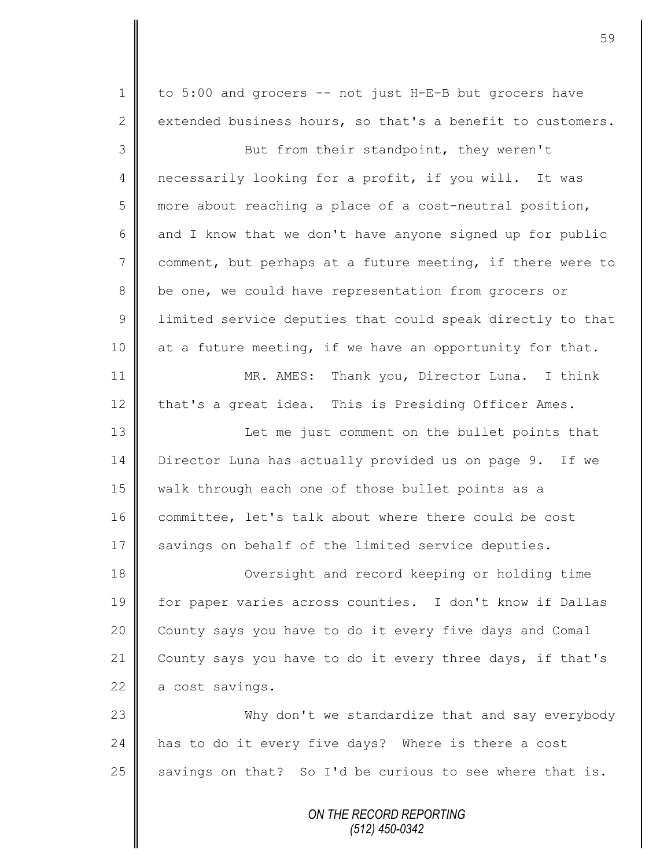*ON THE RECORD REPORTING (512) 450-0342* 1 to 5:00 and grocers -- not just H-E-B but grocers have 2 extended business hours, so that's a benefit to customers. 3 But from their standpoint, they weren't 4 necessarily looking for a profit, if you will. It was 5 more about reaching a place of a cost-neutral position,  $6 \parallel$  and I know that we don't have anyone signed up for public 7 comment, but perhaps at a future meeting, if there were to 8 be one, we could have representation from grocers or 9 | limited service deputies that could speak directly to that 10  $\parallel$  at a future meeting, if we have an opportunity for that. 11 MR. AMES: Thank you, Director Luna. I think 12 that's a great idea. This is Presiding Officer Ames. 13 || Let me just comment on the bullet points that 14 Director Luna has actually provided us on page 9. If we 15 | walk through each one of those bullet points as a 16 committee, let's talk about where there could be cost 17 savings on behalf of the limited service deputies. 18 Oversight and record keeping or holding time 19 for paper varies across counties. I don't know if Dallas 20 | County says you have to do it every five days and Comal 21 County says you have to do it every three days, if that's  $22$  a cost savings. 23 Why don't we standardize that and say everybody 24 has to do it every five days? Where is there a cost 25  $\parallel$  savings on that? So I'd be curious to see where that is.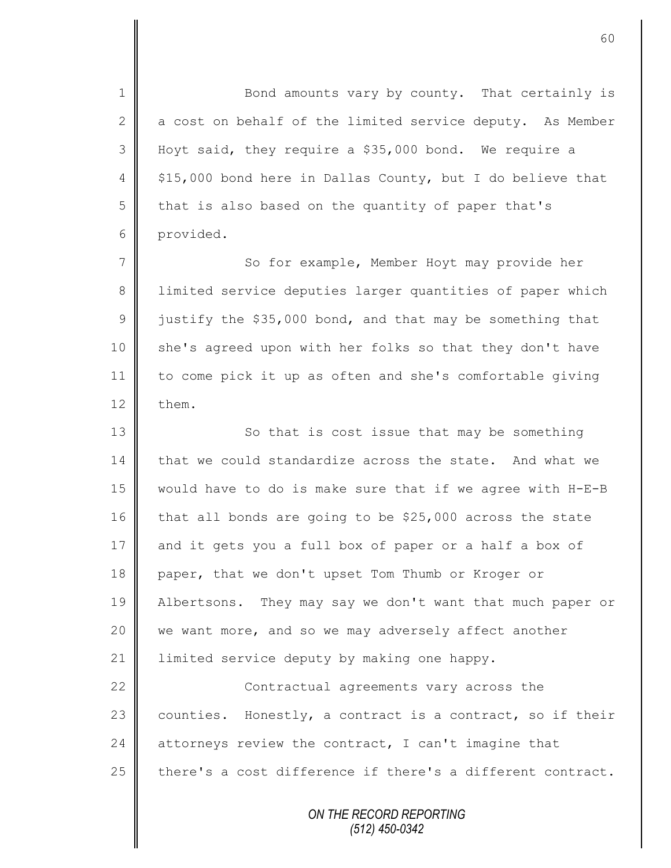1 Bond amounts vary by county. That certainly is  $\parallel$  a cost on behalf of the limited service deputy. As Member Hoyt said, they require a \$35,000 bond. We require a  $\parallel$  \$15,000 bond here in Dallas County, but I do believe that  $5 \parallel$  that is also based on the quantity of paper that's provided.

7 || So for example, Member Hoyt may provide her 8 | limited service deputies larger quantities of paper which 9 justify the \$35,000 bond, and that may be something that 10 || she's agreed upon with her folks so that they don't have 11 to come pick it up as often and she's comfortable giving 12  $\parallel$  them.

13 So that is cost issue that may be something 14  $\parallel$  that we could standardize across the state. And what we 15 would have to do is make sure that if we agree with H-E-B 16  $\parallel$  that all bonds are going to be \$25,000 across the state 17 and it gets you a full box of paper or a half a box of 18 paper, that we don't upset Tom Thumb or Kroger or 19 Albertsons. They may say we don't want that much paper or 20 || we want more, and so we may adversely affect another 21 | limited service deputy by making one happy. 22 **Contractual agreements vary across the** 23 counties. Honestly, a contract is a contract, so if their

25  $\parallel$  there's a cost difference if there's a different contract.

24 attorneys review the contract, I can't imagine that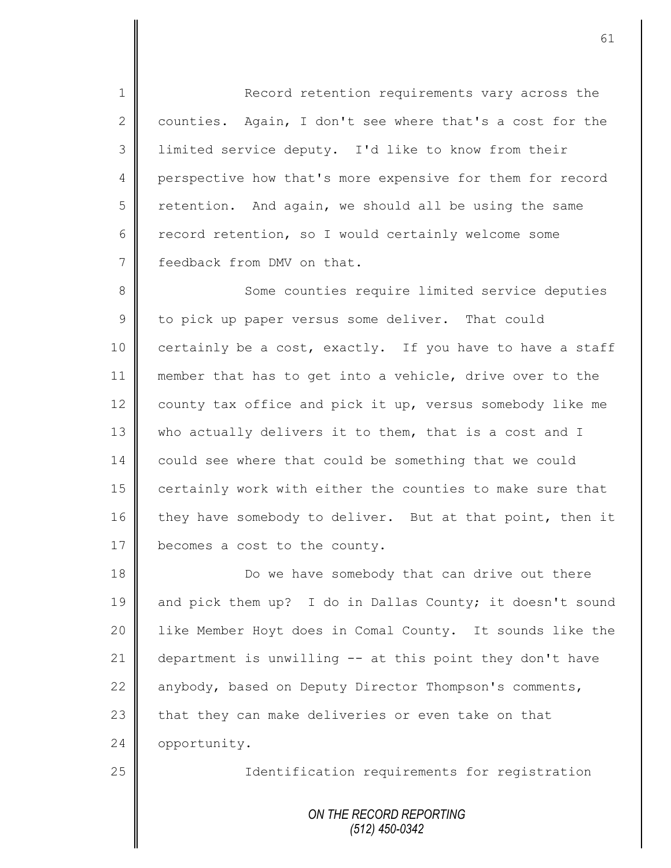1 Record retention requirements vary across the 2 counties. Again, I don't see where that's a cost for the 3 limited service deputy. I'd like to know from their 4 perspective how that's more expensive for them for record  $5 \parallel$  retention. And again, we should all be using the same 6 record retention, so I would certainly welcome some 7 Feedback from DMV on that.

8 Some counties require limited service deputies  $9 \parallel$  to pick up paper versus some deliver. That could 10 certainly be a cost, exactly. If you have to have a staff 11 member that has to get into a vehicle, drive over to the 12 county tax office and pick it up, versus somebody like me 13 who actually delivers it to them, that is a cost and I 14 could see where that could be something that we could 15 certainly work with either the counties to make sure that 16 they have somebody to deliver. But at that point, then it 17 | becomes a cost to the county.

18 Do we have somebody that can drive out there 19 and pick them up? I do in Dallas County; it doesn't sound 20 | like Member Hoyt does in Comal County. It sounds like the 21 department is unwilling -- at this point they don't have 22 anybody, based on Deputy Director Thompson's comments, 23  $\parallel$  that they can make deliveries or even take on that 24 | opportunity.

25 | Identification requirements for registration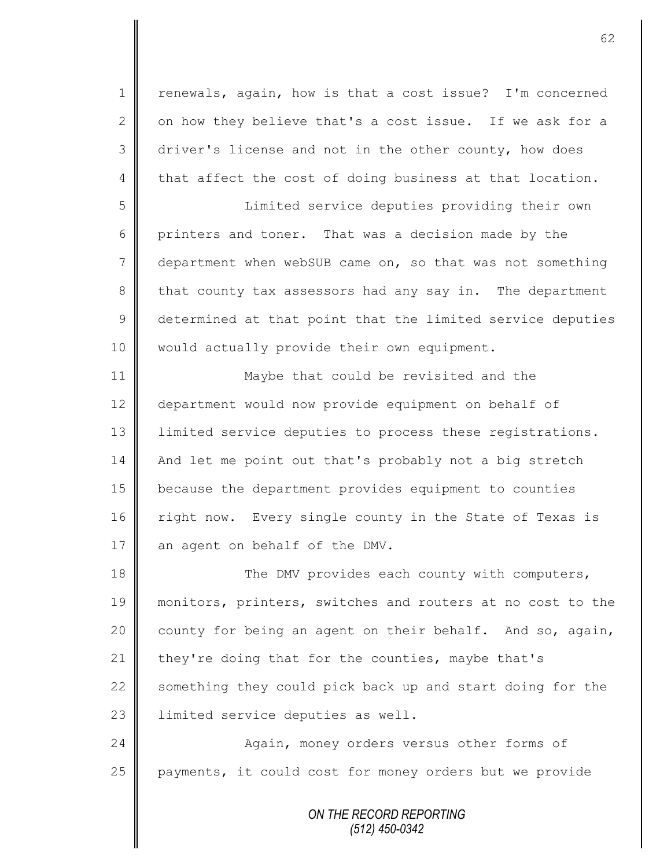1 | renewals, again, how is that a cost issue? I'm concerned 2  $\parallel$  on how they believe that's a cost issue. If we ask for a  $3 \parallel$  driver's license and not in the other county, how does 4 that affect the cost of doing business at that location.

5 Limited service deputies providing their own 6 printers and toner. That was a decision made by the 7 department when webSUB came on, so that was not something 8 that county tax assessors had any say in. The department 9 determined at that point that the limited service deputies 10 | would actually provide their own equipment.

11 Maybe that could be revisited and the 12 department would now provide equipment on behalf of 13 | limited service deputies to process these registrations. 14 And let me point out that's probably not a big stretch 15 because the department provides equipment to counties 16 right now. Every single county in the State of Texas is 17 || an agent on behalf of the DMV.

18 || The DMV provides each county with computers, 19 || monitors, printers, switches and routers at no cost to the 20  $\parallel$  county for being an agent on their behalf. And so, again, 21 they're doing that for the counties, maybe that's 22  $\parallel$  something they could pick back up and start doing for the 23 | limited service deputies as well.

24 || Again, money orders versus other forms of 25 payments, it could cost for money orders but we provide

> *ON THE RECORD REPORTING (512) 450-0342*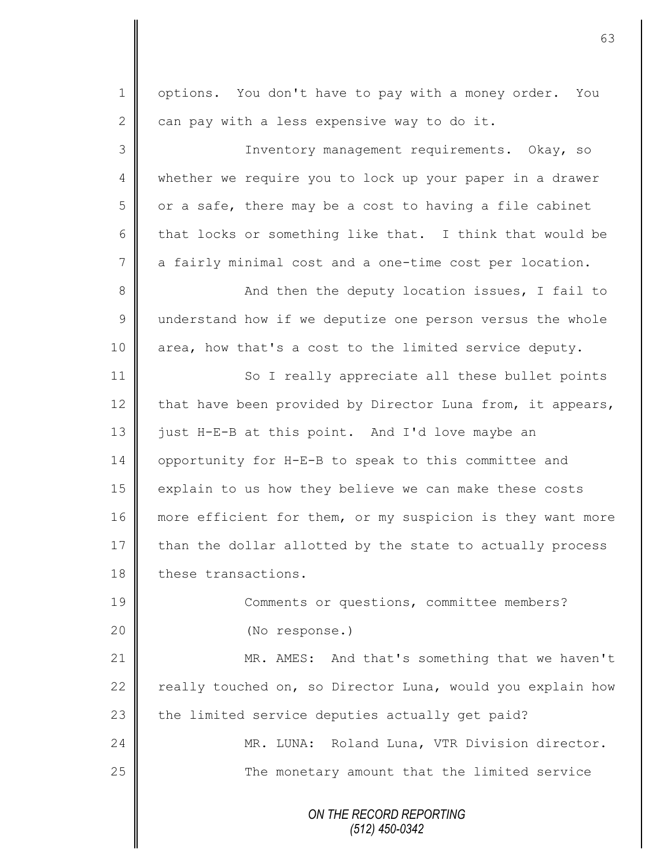*ON THE RECORD REPORTING* 1 | options. You don't have to pay with a money order. You 2 can pay with a less expensive way to do it. 3 || Inventory management requirements. Okay, so 4 || whether we require you to lock up your paper in a drawer  $5 \parallel$  or a safe, there may be a cost to having a file cabinet 6 that locks or something like that. I think that would be 7 a fairly minimal cost and a one-time cost per location. 8 || And then the deputy location issues, I fail to 9 understand how if we deputize one person versus the whole 10 area, how that's a cost to the limited service deputy. 11 So I really appreciate all these bullet points 12 that have been provided by Director Luna from, it appears, 13  $\parallel$  just H-E-B at this point. And I'd love maybe an 14 | opportunity for H-E-B to speak to this committee and 15 explain to us how they believe we can make these costs 16 more efficient for them, or my suspicion is they want more  $17$  than the dollar allotted by the state to actually process 18 these transactions. 19 || Comments or questions, committee members? 20 (No response.) 21 MR. AMES: And that's something that we haven't 22  $\parallel$  really touched on, so Director Luna, would you explain how 23  $\parallel$  the limited service deputies actually get paid? 24 MR. LUNA: Roland Luna, VTR Division director. 25 The monetary amount that the limited service

63

*(512) 450-0342*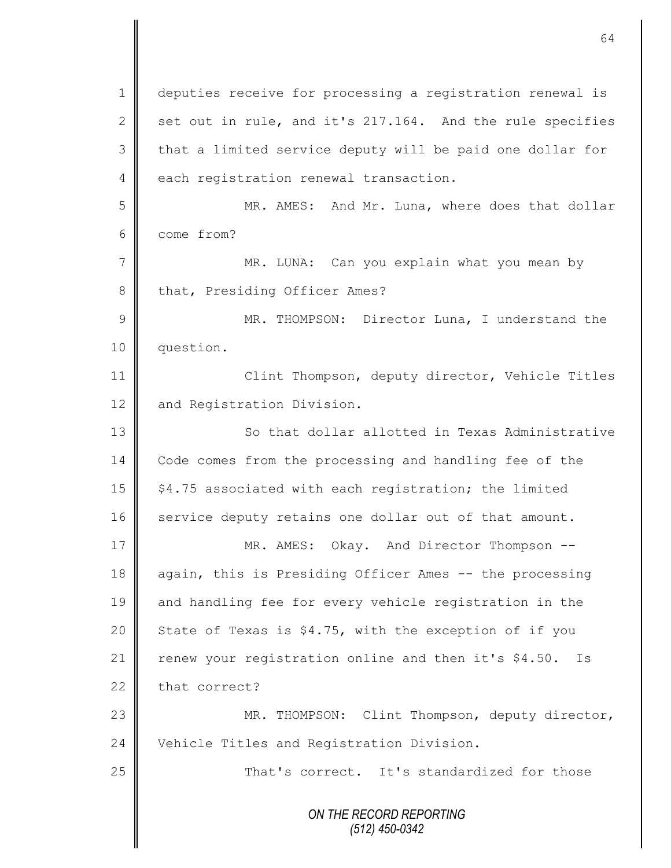*ON THE RECORD REPORTING (512) 450-0342* 1 | deputies receive for processing a registration renewal is 2 set out in rule, and it's 217.164. And the rule specifies 3 || that a limited service deputy will be paid one dollar for 4 each registration renewal transaction. 5 MR. AMES: And Mr. Luna, where does that dollar 6 come from? 7 || MR. LUNA: Can you explain what you mean by 8 that, Presiding Officer Ames? 9 || MR. THOMPSON: Director Luna, I understand the 10 question. 11 | Clint Thompson, deputy director, Vehicle Titles 12 and Registration Division. 13 So that dollar allotted in Texas Administrative 14 Code comes from the processing and handling fee of the 15 | \$4.75 associated with each registration; the limited 16 service deputy retains one dollar out of that amount. 17 || MR. AMES: Okay. And Director Thompson --18 again, this is Presiding Officer Ames -- the processing 19 and handling fee for every vehicle registration in the 20 State of Texas is  $$4.75$ , with the exception of if you 21  $\parallel$  renew your registration online and then it's \$4.50. Is  $22$  that correct? 23 || MR. THOMPSON: Clint Thompson, deputy director, 24 Vehicle Titles and Registration Division. 25 That's correct. It's standardized for those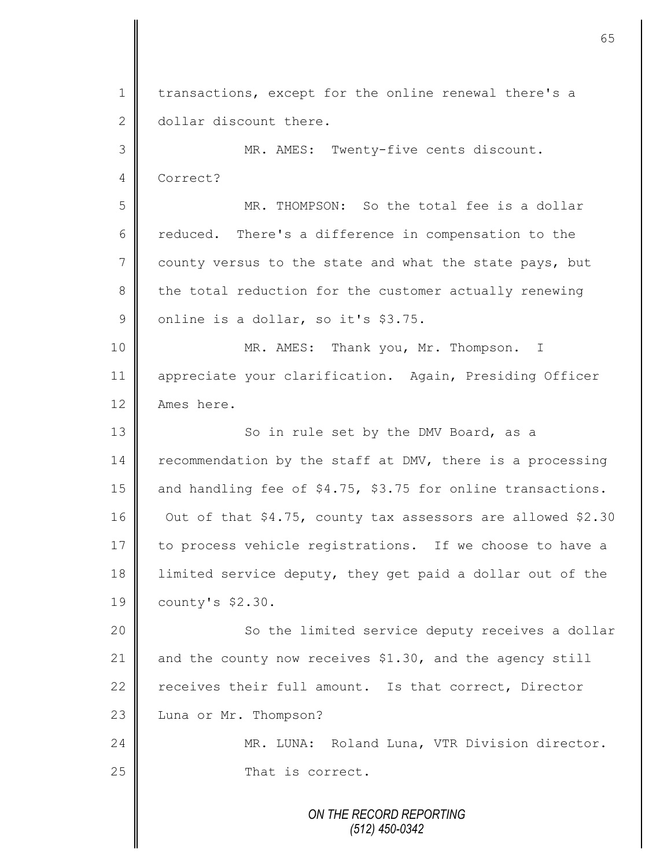*ON THE RECORD REPORTING (512) 450-0342* 1 transactions, except for the online renewal there's a 2 dollar discount there. 3 MR. AMES: Twenty-five cents discount. 4 Correct? 5 MR. THOMPSON: So the total fee is a dollar 6 ceduced. There's a difference in compensation to the  $7 \parallel$  county versus to the state and what the state pays, but 8 the total reduction for the customer actually renewing  $9 \parallel$  online is a dollar, so it's \$3.75. 10 MR. AMES: Thank you, Mr. Thompson. I 11 appreciate your clarification. Again, Presiding Officer 12 | Ames here. 13 | So in rule set by the DMV Board, as a 14 recommendation by the staff at DMV, there is a processing 15 and handling fee of \$4.75, \$3.75 for online transactions. 16 Out of that \$4.75, county tax assessors are allowed \$2.30 17 to process vehicle registrations. If we choose to have a 18 I limited service deputy, they get paid a dollar out of the 19 county's \$2.30. 20 | So the limited service deputy receives a dollar 21 and the county now receives \$1.30, and the agency still 22 receives their full amount. Is that correct, Director 23 Luna or Mr. Thompson? 24 MR. LUNA: Roland Luna, VTR Division director. 25 || That is correct.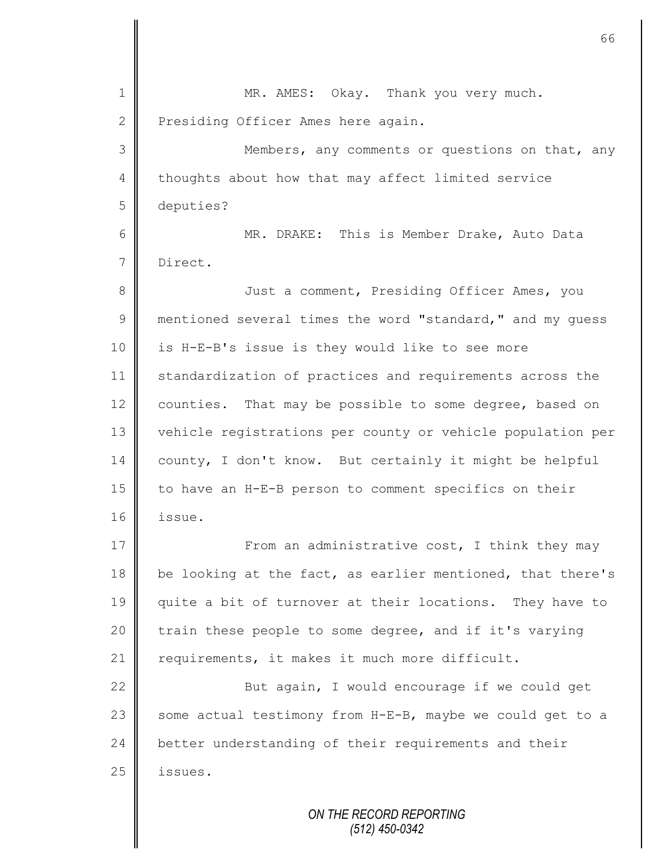| 1              | MR. AMES: Okay. Thank you very much.                       |
|----------------|------------------------------------------------------------|
| $\mathbf{2}$   | Presiding Officer Ames here again.                         |
| 3              | Members, any comments or questions on that, any            |
| $\overline{4}$ | thoughts about how that may affect limited service         |
| 5              | deputies?                                                  |
| 6              | MR. DRAKE: This is Member Drake, Auto Data                 |
| $7\phantom{.}$ | Direct.                                                    |
| $8\,$          | Just a comment, Presiding Officer Ames, you                |
| 9              | mentioned several times the word "standard," and my quess  |
| 10             | is H-E-B's issue is they would like to see more            |
| 11             | standardization of practices and requirements across the   |
| 12             | counties. That may be possible to some degree, based on    |
| 13             | vehicle registrations per county or vehicle population per |
| 14             | county, I don't know. But certainly it might be helpful    |
| 15             | to have an H-E-B person to comment specifics on their      |
| 16             | issue.                                                     |
| 17             | From an administrative cost, I think they may              |
| 18             | be looking at the fact, as earlier mentioned, that there's |
| 19             | quite a bit of turnover at their locations. They have to   |
| 20             | train these people to some degree, and if it's varying     |
| 21             | requirements, it makes it much more difficult.             |
| 22             | But again, I would encourage if we could get               |
| 23             | some actual testimony from H-E-B, maybe we could get to a  |
| 24             | better understanding of their requirements and their       |
| 25             | issues.                                                    |
|                | ON THE RECORD REPORTING                                    |

II

*(512) 450-0342*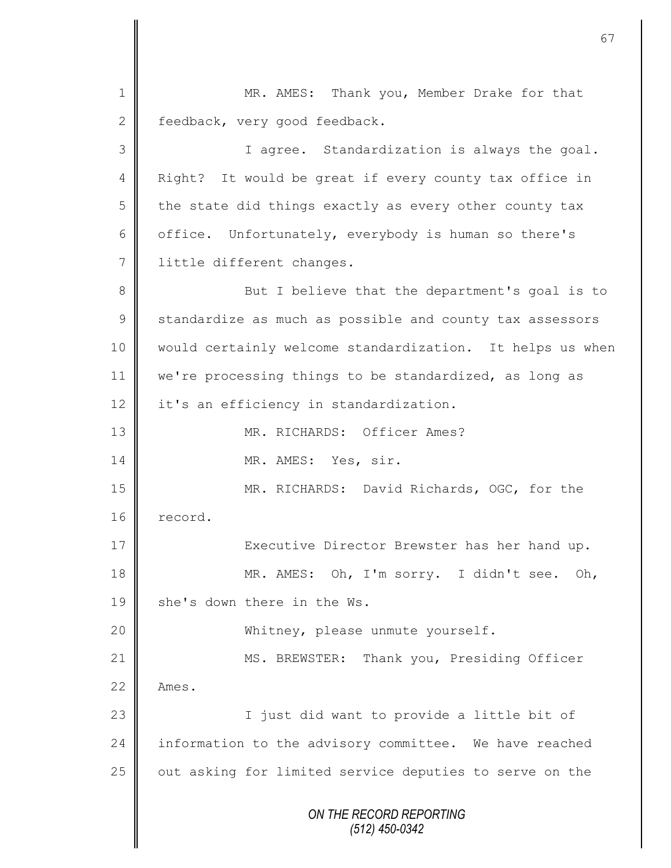*ON THE RECORD REPORTING (512) 450-0342* 1 || MR. AMES: Thank you, Member Drake for that 2 Feedback, very good feedback. 3 I agree. Standardization is always the goal. 4 | Right? It would be great if every county tax office in  $5 \parallel$  the state did things exactly as every other county tax 6  $\parallel$  office. Unfortunately, everybody is human so there's 7 | little different changes. 8 || But I believe that the department's goal is to 9 Standardize as much as possible and county tax assessors 10 would certainly welcome standardization. It helps us when 11 | we're processing things to be standardized, as long as 12 it's an efficiency in standardization. 13 MR. RICHARDS: Officer Ames? 14 MR. AMES: Yes, sir. 15 MR. RICHARDS: David Richards, OGC, for the 16 record. 17 || Executive Director Brewster has her hand up. 18 MR. AMES: Oh, I'm sorry. I didn't see. Oh, 19  $\parallel$  she's down there in the Ws. 20 Whitney, please unmute yourself. 21 | MS. BREWSTER: Thank you, Presiding Officer  $22 \parallel$  Ames. 23 || I just did want to provide a little bit of 24 information to the advisory committee. We have reached 25 | out asking for limited service deputies to serve on the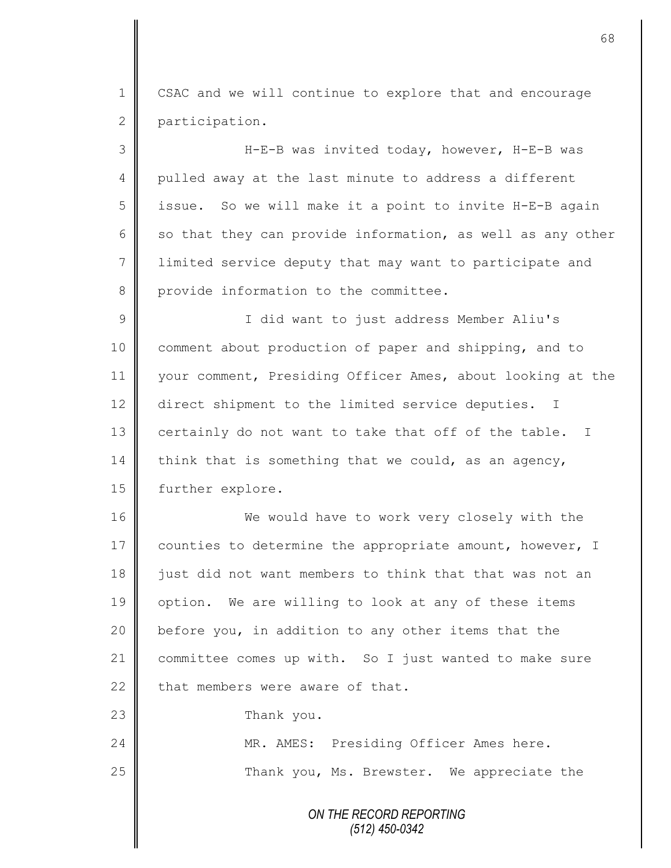1 | CSAC and we will continue to explore that and encourage 2 participation.

3 H-E-B was invited today, however, H-E-B was 4 pulled away at the last minute to address a different 5 | issue. So we will make it a point to invite H-E-B again 6 so that they can provide information, as well as any other 7 I limited service deputy that may want to participate and 8 provide information to the committee.

9 || I did want to just address Member Aliu's 10 comment about production of paper and shipping, and to 11 your comment, Presiding Officer Ames, about looking at the 12 direct shipment to the limited service deputies. I 13 certainly do not want to take that off of the table. I 14 think that is something that we could, as an agency, 15 | further explore.

16 We would have to work very closely with the 17 | counties to determine the appropriate amount, however, I 18 iust did not want members to think that that was not an 19 || option. We are willing to look at any of these items 20 before you, in addition to any other items that the 21 committee comes up with. So I just wanted to make sure  $22$  that members were aware of that.

23 **Thank** you.

24 MR. AMES: Presiding Officer Ames here. 25 | Thank you, Ms. Brewster. We appreciate the

> *ON THE RECORD REPORTING (512) 450-0342*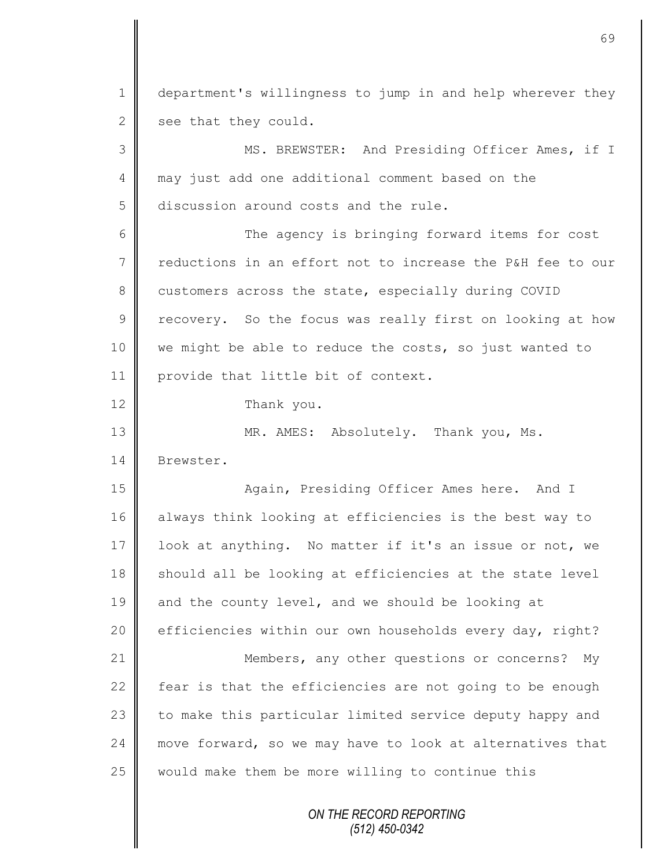*ON THE RECORD REPORTING (512) 450-0342* 1 department's willingness to jump in and help wherever they 2 see that they could. 3 || MS. BREWSTER: And Presiding Officer Ames, if I 4 may just add one additional comment based on the 5 discussion around costs and the rule. 6 || The agency is bringing forward items for cost 7 reductions in an effort not to increase the P&H fee to our 8 customers across the state, especially during COVID  $9 \parallel$  recovery. So the focus was really first on looking at how 10 we might be able to reduce the costs, so just wanted to 11 provide that little bit of context. 12 Thank you. 13 MR. AMES: Absolutely. Thank you, Ms. 14 Brewster. 15 || Again, Presiding Officer Ames here. And I 16 always think looking at efficiencies is the best way to 17 | look at anything. No matter if it's an issue or not, we  $18$  should all be looking at efficiencies at the state level  $19$  and the county level, and we should be looking at 20 | efficiencies within our own households every day, right? 21 | Members, any other questions or concerns? My 22  $\parallel$  fear is that the efficiencies are not going to be enough  $23$  to make this particular limited service deputy happy and 24 move forward, so we may have to look at alternatives that 25 would make them be more willing to continue this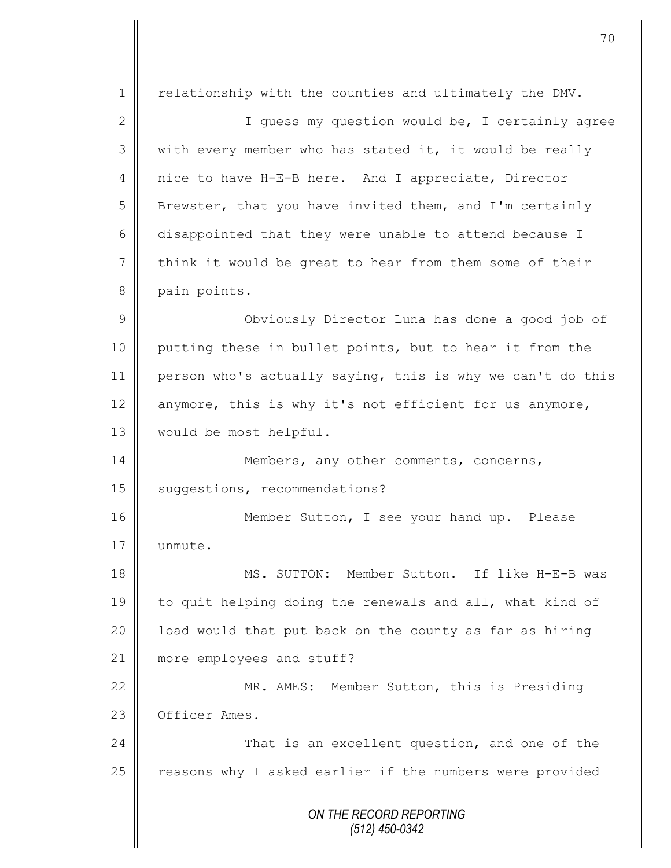*ON THE RECORD REPORTING (512) 450-0342* 1 | relationship with the counties and ultimately the DMV. 2 ||<br>
1 Guess my question would be, I certainly agree 3 || with every member who has stated it, it would be really 4 nice to have H-E-B here. And I appreciate, Director 5 | Brewster, that you have invited them, and I'm certainly 6 disappointed that they were unable to attend because I 7 think it would be great to hear from them some of their 8 pain points. 9 || Obviously Director Luna has done a good job of 10 putting these in bullet points, but to hear it from the 11 person who's actually saying, this is why we can't do this 12  $\parallel$  anymore, this is why it's not efficient for us anymore, 13 | would be most helpful. 14 Members, any other comments, concerns, 15 | suggestions, recommendations? 16 | Member Sutton, I see your hand up. Please 17 | unmute. 18 || MS. SUTTON: Member Sutton. If like H-E-B was 19 to quit helping doing the renewals and all, what kind of 20 | load would that put back on the county as far as hiring 21 **more employees and stuff?** 22 MR. AMES: Member Sutton, this is Presiding 23 **O**fficer Ames. 24 **That is an excellent question, and one of the**  $25$  reasons why I asked earlier if the numbers were provided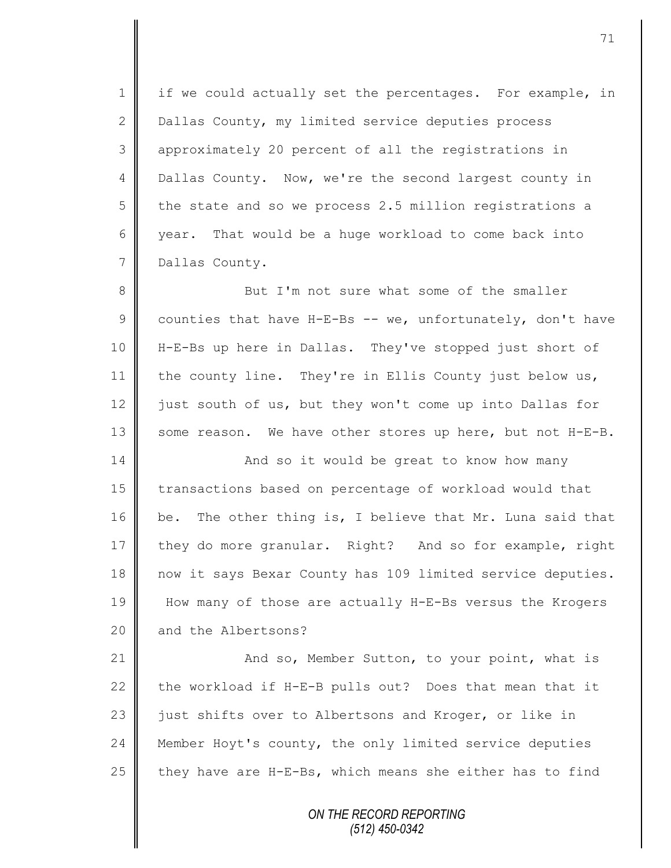1 | if we could actually set the percentages. For example, in 2 Dallas County, my limited service deputies process 3 approximately 20 percent of all the registrations in 4 Dallas County. Now, we're the second largest county in 5 the state and so we process 2.5 million registrations a 6 year. That would be a huge workload to come back into 7 Dallas County.

8 But I'm not sure what some of the smaller 9 counties that have H-E-Bs -- we, unfortunately, don't have 10 H-E-Bs up here in Dallas. They've stopped just short of 11 the county line. They're in Ellis County just below us, 12  $\parallel$  just south of us, but they won't come up into Dallas for 13  $\parallel$  some reason. We have other stores up here, but not H-E-B.

14 | And so it would be great to know how many 15 | transactions based on percentage of workload would that 16 | be. The other thing is, I believe that Mr. Luna said that 17 they do more granular. Right? And so for example, right 18 now it says Bexar County has 109 limited service deputies. 19 How many of those are actually H-E-Bs versus the Krogers 20 and the Albertsons?

21 | And so, Member Sutton, to your point, what is 22  $\parallel$  the workload if H-E-B pulls out? Does that mean that it 23 | just shifts over to Albertsons and Kroger, or like in 24 **Member Hoyt's county, the only limited service deputies** 25  $\parallel$  they have are H-E-Bs, which means she either has to find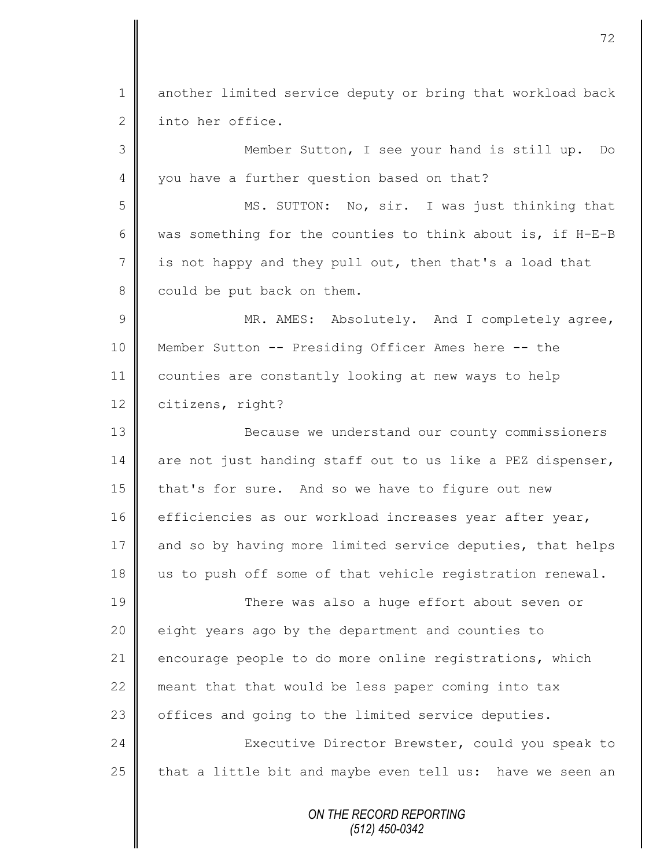*ON THE RECORD REPORTING* 1 || another limited service deputy or bring that workload back 2 into her office. 3 Member Sutton, I see your hand is still up. Do 4 vou have a further question based on that? 5 MS. SUTTON: No, sir. I was just thinking that 6 was something for the counties to think about is, if H-E-B 7 is not happy and they pull out, then that's a load that  $8 \parallel$  could be put back on them. 9 || MR. AMES: Absolutely. And I completely agree, 10 Member Sutton -- Presiding Officer Ames here -- the 11 counties are constantly looking at new ways to help 12 citizens, right? 13 **Because we understand our county commissioners** 14 are not just handing staff out to us like a PEZ dispenser, 15 that's for sure. And so we have to figure out new 16 efficiencies as our workload increases year after year, 17 and so by having more limited service deputies, that helps 18 us to push off some of that vehicle registration renewal. 19 There was also a huge effort about seven or 20 | eight years ago by the department and counties to 21 encourage people to do more online registrations, which 22 meant that that would be less paper coming into tax 23 | offices and going to the limited service deputies. 24 Executive Director Brewster, could you speak to 25  $\parallel$  that a little bit and maybe even tell us: have we seen an

*(512) 450-0342*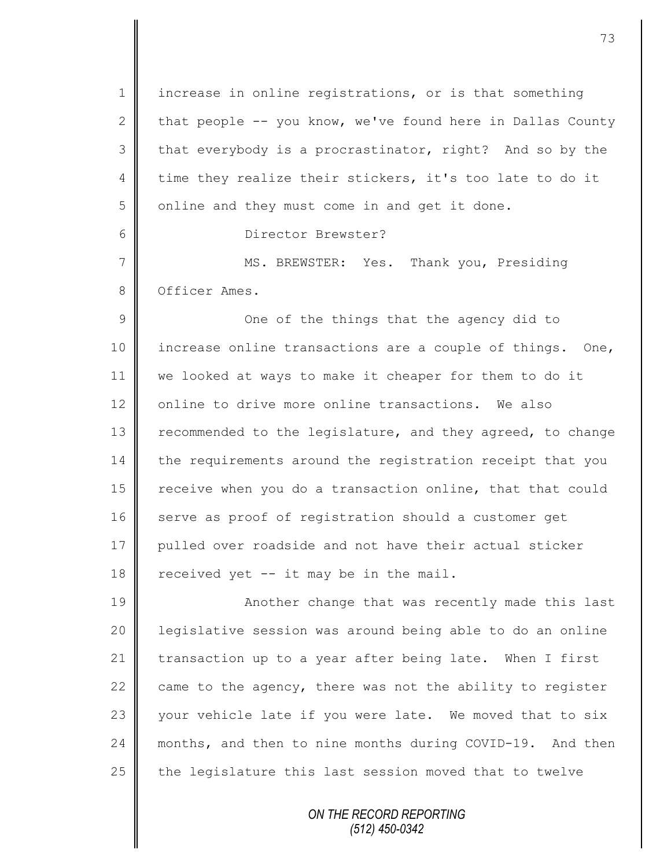*ON THE RECORD REPORTING* 1 increase in online registrations, or is that something 2 that people  $-$ - you know, we've found here in Dallas County  $3 \parallel$  that everybody is a procrastinator, right? And so by the 4 time they realize their stickers, it's too late to do it  $5 \parallel$  online and they must come in and get it done. 6 Director Brewster? 7 MS. BREWSTER: Yes. Thank you, Presiding 8 **O** Officer Ames. 9 || One of the things that the agency did to 10 || increase online transactions are a couple of things. One, 11 we looked at ways to make it cheaper for them to do it 12 online to drive more online transactions. We also 13 Tecommended to the legislature, and they agreed, to change 14 the requirements around the registration receipt that you 15 | receive when you do a transaction online, that that could 16 serve as proof of registration should a customer get 17 pulled over roadside and not have their actual sticker 18  $\parallel$  received yet -- it may be in the mail. 19 || Another change that was recently made this last 20 | legislative session was around being able to do an online 21 transaction up to a year after being late. When I first 22  $\parallel$  came to the agency, there was not the ability to register 23  $\parallel$  your vehicle late if you were late. We moved that to six 24 months, and then to nine months during COVID-19. And then  $25$  the legislature this last session moved that to twelve

*(512) 450-0342*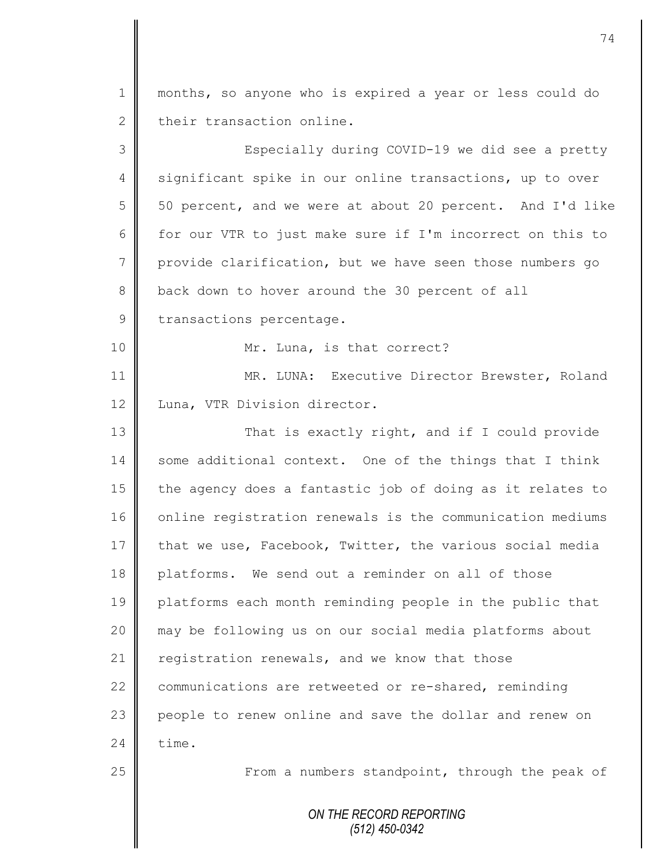1 || months, so anyone who is expired a year or less could do 2 their transaction online. 3 || Especially during COVID-19 we did see a pretty

4 significant spike in our online transactions, up to over 5 | 50 percent, and we were at about 20 percent. And I'd like 6  $\parallel$  for our VTR to just make sure if I'm incorrect on this to 7 provide clarification, but we have seen those numbers go 8 back down to hover around the 30 percent of all

9 transactions percentage.

10 || Mr. Luna, is that correct?

11 | MR. LUNA: Executive Director Brewster, Roland 12 | Luna, VTR Division director.

13 || That is exactly right, and if I could provide  $14 \parallel$  some additional context. One of the things that I think 15 the agency does a fantastic job of doing as it relates to 16 online registration renewals is the communication mediums 17  $\parallel$  that we use, Facebook, Twitter, the various social media 18 platforms. We send out a reminder on all of those 19 platforms each month reminding people in the public that 20 may be following us on our social media platforms about 21  $\parallel$  registration renewals, and we know that those 22 communications are retweeted or re-shared, reminding 23 people to renew online and save the dollar and renew on  $24$   $\blacksquare$  time.

25 | From a numbers standpoint, through the peak of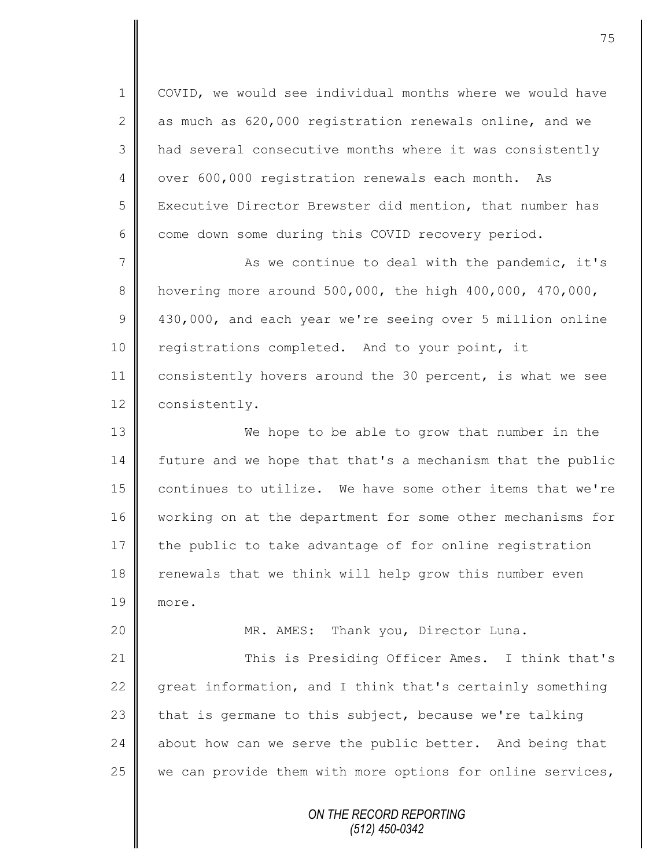1 | COVID, we would see individual months where we would have 2 as much as  $620,000$  registration renewals online, and we 3 || had several consecutive months where it was consistently 4 | over 600,000 registration renewals each month. As 5 Executive Director Brewster did mention, that number has  $6 \parallel$  come down some during this COVID recovery period.

7 | As we continue to deal with the pandemic, it's 8 hovering more around  $500,000$ , the high  $400,000$ ,  $470,000$ , 9 430,000, and each year we're seeing over 5 million online 10 | registrations completed. And to your point, it 11 consistently hovers around the 30 percent, is what we see 12 consistently.

13 We hope to be able to grow that number in the 14 future and we hope that that's a mechanism that the public 15 continues to utilize. We have some other items that we're 16 | working on at the department for some other mechanisms for 17 the public to take advantage of for online registration 18 renewals that we think will help grow this number even 19 more.

20 | MR. AMES: Thank you, Director Luna.

21 This is Presiding Officer Ames. I think that's  $\parallel$  great information, and I think that's certainly something  $\parallel$  that is germane to this subject, because we're talking about how can we serve the public better. And being that  $\parallel$  we can provide them with more options for online services,

> *ON THE RECORD REPORTING (512) 450-0342*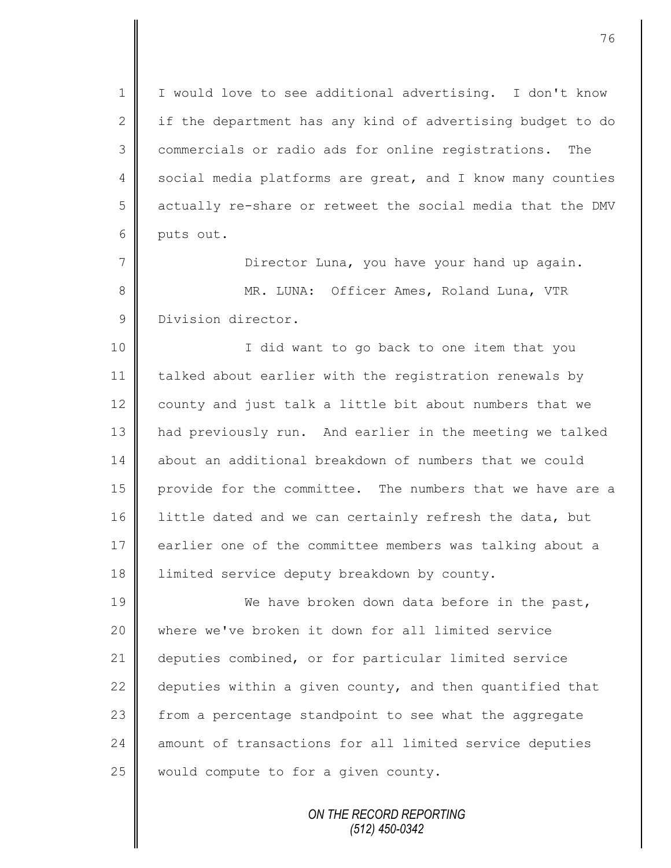1 | I would love to see additional advertising. I don't know 2  $\parallel$  if the department has any kind of advertising budget to do 3 commercials or radio ads for online registrations. The 4 social media platforms are great, and I know many counties 5 actually re-share or retweet the social media that the DMV 6 puts out.

7 || Director Luna, you have your hand up again. 8 || MR. LUNA: Officer Ames, Roland Luna, VTR 9 Division director.

10 || I did want to go back to one item that you 11 talked about earlier with the registration renewals by 12 county and just talk a little bit about numbers that we 13 had previously run. And earlier in the meeting we talked 14 || about an additional breakdown of numbers that we could 15 provide for the committee. The numbers that we have are a 16 | little dated and we can certainly refresh the data, but 17 earlier one of the committee members was talking about a 18 | limited service deputy breakdown by county.

19 We have broken down data before in the past, 20 where we've broken it down for all limited service 21 | deputies combined, or for particular limited service 22  $\parallel$  deputies within a given county, and then quantified that 23 from a percentage standpoint to see what the aggregate 24 amount of transactions for all limited service deputies  $25$  would compute to for a given county.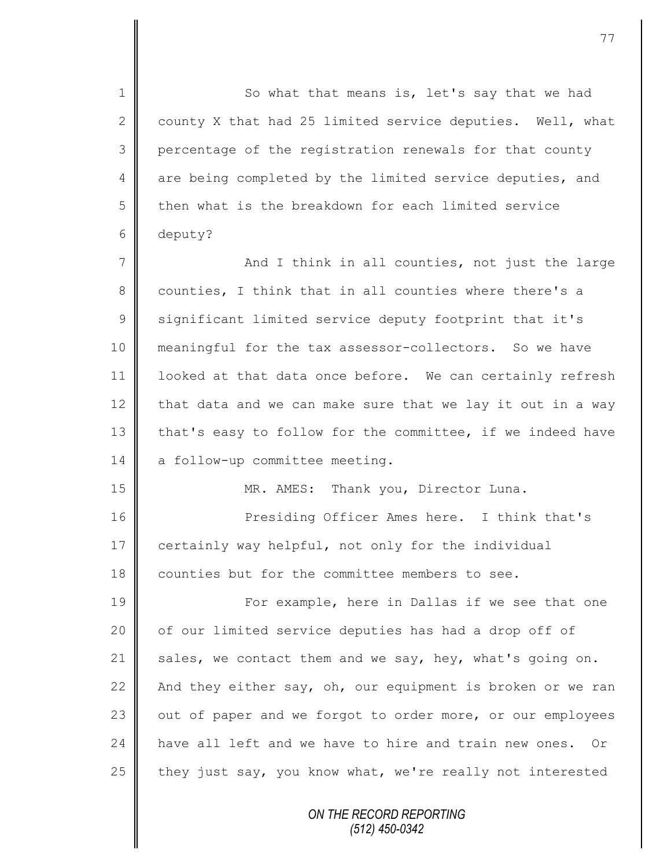1 So what that means is, let's say that we had 2 county X that had 25 limited service deputies. Well, what 3 percentage of the registration renewals for that county 4 are being completed by the limited service deputies, and 5 then what is the breakdown for each limited service 6 deputy?

7 || And I think in all counties, not just the large 8 counties, I think that in all counties where there's a 9 | significant limited service deputy footprint that it's 10 meaningful for the tax assessor-collectors. So we have 11 | looked at that data once before. We can certainly refresh 12 that data and we can make sure that we lay it out in a way 13 that's easy to follow for the committee, if we indeed have 14 a follow-up committee meeting.

15 | MR. AMES: Thank you, Director Luna.

16 **Presiding Officer Ames here.** I think that's 17 certainly way helpful, not only for the individual 18 counties but for the committee members to see.

19 || For example, here in Dallas if we see that one 20  $\parallel$  of our limited service deputies has had a drop off of 21  $\parallel$  sales, we contact them and we say, hey, what's going on. 22  $\parallel$  And they either say, oh, our equipment is broken or we ran 23 | out of paper and we forgot to order more, or our employees 24 have all left and we have to hire and train new ones. Or 25  $\parallel$  they just say, you know what, we're really not interested

> *ON THE RECORD REPORTING (512) 450-0342*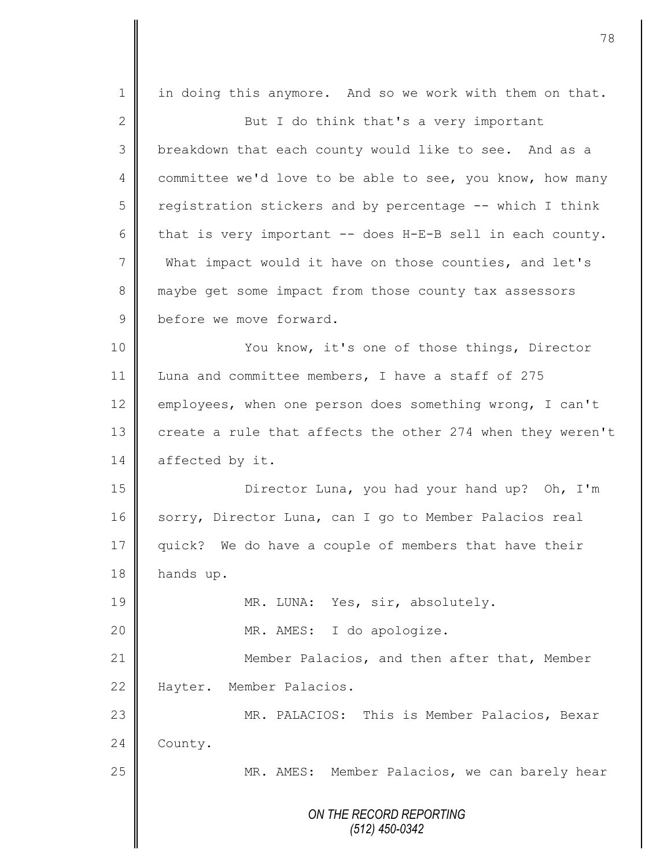*ON THE RECORD REPORTING (512) 450-0342* 1 || in doing this anymore. And so we work with them on that. 2 But I do think that's a very important 3 | breakdown that each county would like to see. And as a 4 committee we'd love to be able to see, you know, how many 5 ceqistration stickers and by percentage -- which I think 6  $\parallel$  that is very important -- does H-E-B sell in each county. 7 What impact would it have on those counties, and let's 8 maybe get some impact from those county tax assessors 9 before we move forward. 10 || You know, it's one of those things, Director 11 Luna and committee members, I have a staff of 275 12 employees, when one person does something wrong, I can't 13 create a rule that affects the other 274 when they weren't 14 affected by it. 15 Director Luna, you had your hand up? Oh, I'm 16 sorry, Director Luna, can I go to Member Palacios real 17 quick? We do have a couple of members that have their 18 hands up. 19 || MR. LUNA: Yes, sir, absolutely. 20 || MR. AMES: I do apologize. 21 **Member Palacios, and then after that, Member** 22 Hayter. Member Palacios. 23 || MR. PALACIOS: This is Member Palacios, Bexar 24 County. 25 | MR. AMES: Member Palacios, we can barely hear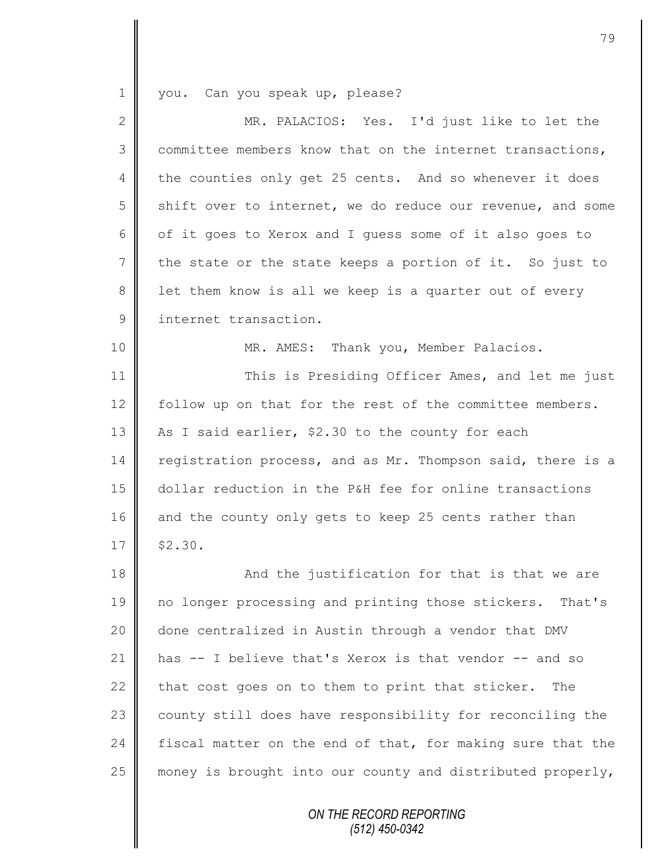1 you. Can you speak up, please?

| $\overline{2}$ | MR. PALACIOS: Yes. I'd just like to let the                |  |  |  |  |
|----------------|------------------------------------------------------------|--|--|--|--|
| 3              | committee members know that on the internet transactions,  |  |  |  |  |
| 4              | the counties only get 25 cents. And so whenever it does    |  |  |  |  |
| 5              | shift over to internet, we do reduce our revenue, and some |  |  |  |  |
| 6              | of it goes to Xerox and I guess some of it also goes to    |  |  |  |  |
| 7              | the state or the state keeps a portion of it. So just to   |  |  |  |  |
| 8              | let them know is all we keep is a quarter out of every     |  |  |  |  |
| $\mathcal{G}$  | internet transaction.                                      |  |  |  |  |
| 10             | MR. AMES: Thank you, Member Palacios.                      |  |  |  |  |
| 11             | This is Presiding Officer Ames, and let me just            |  |  |  |  |
| 12             | follow up on that for the rest of the committee members.   |  |  |  |  |
| 13             | As I said earlier, \$2.30 to the county for each           |  |  |  |  |
| 14             | registration process, and as Mr. Thompson said, there is a |  |  |  |  |
| 15             | dollar reduction in the P&H fee for online transactions    |  |  |  |  |
| 16             | and the county only gets to keep 25 cents rather than      |  |  |  |  |
| 17             | \$2.30.                                                    |  |  |  |  |
| 18             | And the justification for that is that we are              |  |  |  |  |
| 19             | no longer processing and printing those stickers. That's   |  |  |  |  |
| 20             | done centralized in Austin through a vendor that DMV       |  |  |  |  |
| 21             | has -- I believe that's Xerox is that vendor -- and so     |  |  |  |  |
| 22             | that cost goes on to them to print that sticker.<br>The    |  |  |  |  |
| 23             | county still does have responsibility for reconciling the  |  |  |  |  |
| 24             | fiscal matter on the end of that, for making sure that the |  |  |  |  |
| 25             | money is brought into our county and distributed properly, |  |  |  |  |
|                |                                                            |  |  |  |  |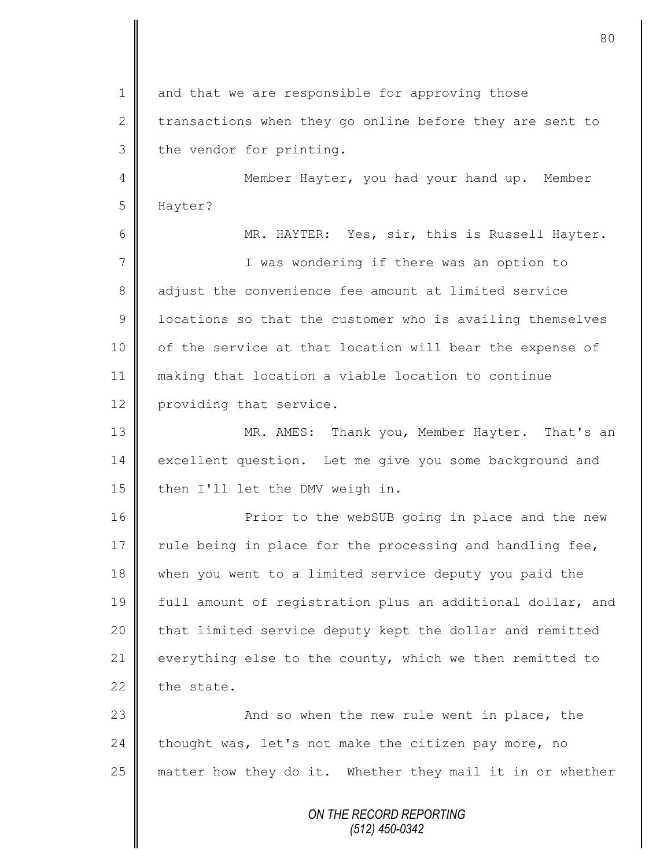$1 \parallel$  and that we are responsible for approving those 2 transactions when they go online before they are sent to  $3 \parallel$  the vendor for printing. 4 || Member Hayter, you had your hand up. Member 5 Hayter? 6 MR. HAYTER: Yes, sir, this is Russell Hayter. 7 || T was wondering if there was an option to 8 adjust the convenience fee amount at limited service  $9 \parallel$  locations so that the customer who is availing themselves 10 | of the service at that location will bear the expense of 11 making that location a viable location to continue 12 providing that service. 13 MR. AMES: Thank you, Member Hayter. That's an 14 excellent question. Let me give you some background and 15 then I'll let the DMV weigh in. 16 | Prior to the webSUB going in place and the new 17  $\parallel$  rule being in place for the processing and handling fee,

18 when you went to a limited service deputy you paid the 19 full amount of registration plus an additional dollar, and 20 | that limited service deputy kept the dollar and remitted 21  $\parallel$  everything else to the county, which we then remitted to 22 the state.

23 | Casa and so when the new rule went in place, the  $24$  | thought was, let's not make the citizen pay more, no  $25$  matter how they do it. Whether they mail it in or whether

> *ON THE RECORD REPORTING (512) 450-0342*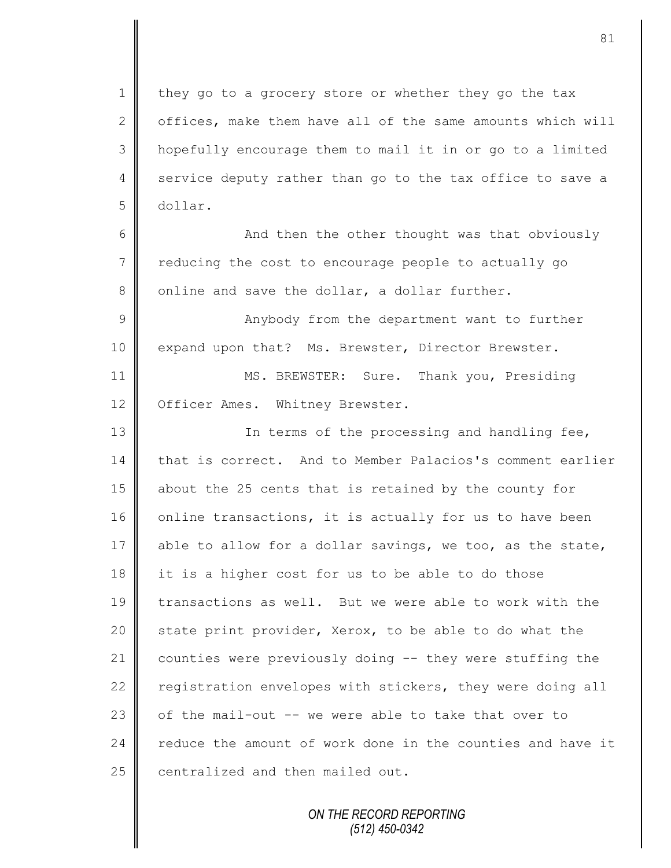1 they go to a grocery store or whether they go the tax  $2 \parallel$  offices, make them have all of the same amounts which will 3 hopefully encourage them to mail it in or go to a limited 4 service deputy rather than go to the tax office to save a 5 dollar.

6 || And then the other thought was that obviously  $7 \parallel$  reducing the cost to encourage people to actually go  $8 \parallel$  online and save the dollar, a dollar further.

9 || Anybody from the department want to further 10 expand upon that? Ms. Brewster, Director Brewster.

11 MS. BREWSTER: Sure. Thank you, Presiding 12 | Officer Ames. Whitney Brewster.

13 || In terms of the processing and handling fee, that is correct. And to Member Palacios's comment earlier about the 25 cents that is retained by the county for 16 online transactions, it is actually for us to have been 17 able to allow for a dollar savings, we too, as the state, 18 it is a higher cost for us to be able to do those 19 transactions as well. But we were able to work with the  $\parallel$  state print provider, Xerox, to be able to do what the counties were previously doing -- they were stuffing the  $\parallel$  registration envelopes with stickers, they were doing all  $\parallel$  of the mail-out -- we were able to take that over to  $\parallel$  reduce the amount of work done in the counties and have it centralized and then mailed out.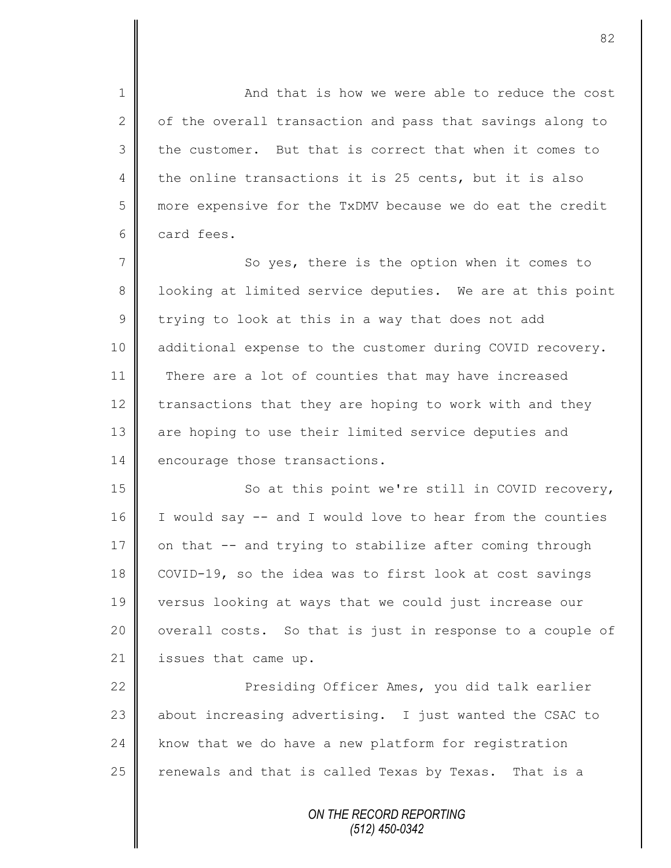1 **And that is how we were able to reduce the cost** 2  $\parallel$  of the overall transaction and pass that savings along to  $3 \parallel$  the customer. But that is correct that when it comes to 4 the online transactions it is 25 cents, but it is also 5 more expensive for the TxDMV because we do eat the credit 6 card fees.

7 || So yes, there is the option when it comes to 8 | looking at limited service deputies. We are at this point  $9 \parallel$  trying to look at this in a way that does not add 10 | additional expense to the customer during COVID recovery. 11 There are a lot of counties that may have increased 12 transactions that they are hoping to work with and they 13 || are hoping to use their limited service deputies and 14 encourage those transactions.

15 || So at this point we're still in COVID recovery,  $16$  I would say -- and I would love to hear from the counties 17  $\parallel$  on that -- and trying to stabilize after coming through 18 COVID-19, so the idea was to first look at cost savings 19 versus looking at ways that we could just increase our 20 | overall costs. So that is just in response to a couple of 21 | issues that came up.

22 | Presiding Officer Ames, you did talk earlier  $\parallel$  about increasing advertising. I just wanted the CSAC to  $\parallel$  know that we do have a new platform for registration renewals and that is called Texas by Texas. That is a

> *ON THE RECORD REPORTING (512) 450-0342*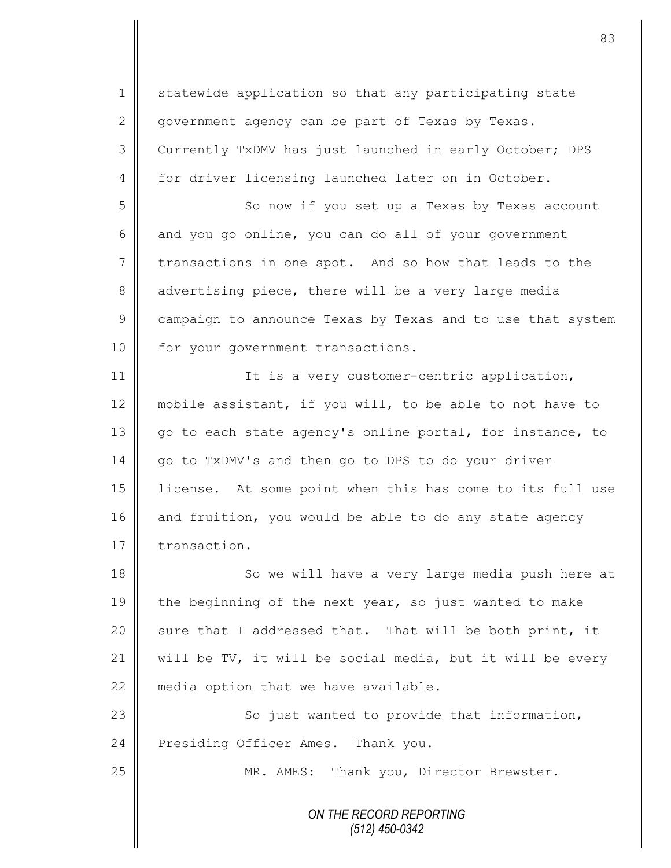*ON THE RECORD REPORTING (512) 450-0342* 1 Statewide application so that any participating state 2 government agency can be part of Texas by Texas. 3 Currently TxDMV has just launched in early October; DPS 4 for driver licensing launched later on in October. 5 So now if you set up a Texas by Texas account  $6 \parallel$  and you go online, you can do all of your government 7 transactions in one spot. And so how that leads to the 8 advertising piece, there will be a very large media 9 campaign to announce Texas by Texas and to use that system 10 for your government transactions. 11 || It is a very customer-centric application, 12 mobile assistant, if you will, to be able to not have to 13 go to each state agency's online portal, for instance, to 14 | go to TxDMV's and then go to DPS to do your driver 15 license. At some point when this has come to its full use 16 and fruition, you would be able to do any state agency 17 transaction. 18 So we will have a very large media push here at 19 the beginning of the next year, so just wanted to make 20  $\parallel$  sure that I addressed that. That will be both print, it 21  $\parallel$  will be TV, it will be social media, but it will be every 22  $\parallel$  media option that we have available. 23 | So just wanted to provide that information, 24 Presiding Officer Ames. Thank you. 25 | MR. AMES: Thank you, Director Brewster.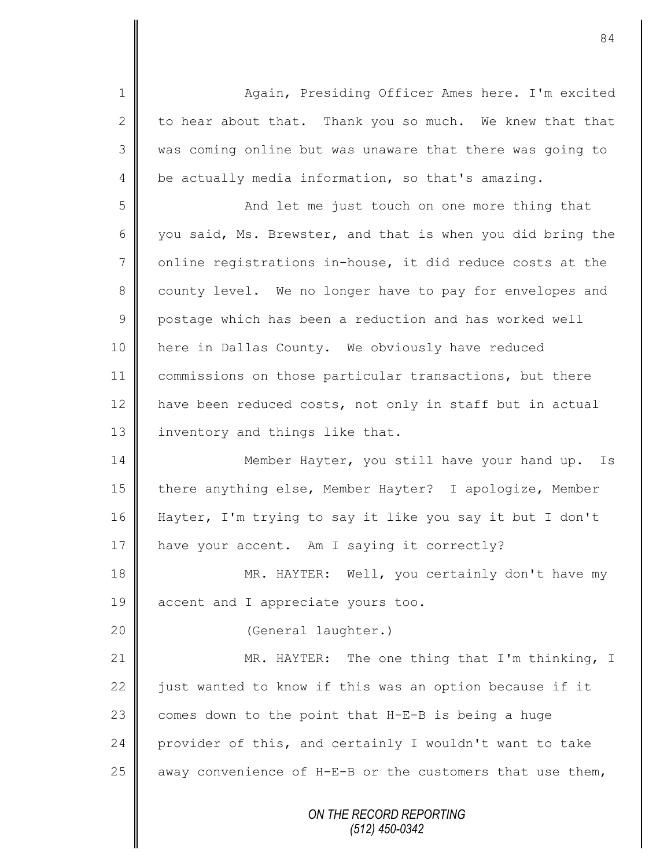*ON THE RECORD REPORTING (512) 450-0342* 1 || Again, Presiding Officer Ames here. I'm excited 2 to hear about that. Thank you so much. We knew that that 3 || was coming online but was unaware that there was going to 4  $\parallel$  be actually media information, so that's amazing. 5 || And let me just touch on one more thing that 6 you said, Ms. Brewster, and that is when you did bring the  $7$  online registrations in-house, it did reduce costs at the 8 county level. We no longer have to pay for envelopes and 9 | postage which has been a reduction and has worked well 10 here in Dallas County. We obviously have reduced 11 commissions on those particular transactions, but there 12 | have been reduced costs, not only in staff but in actual 13 | inventory and things like that. 14 Member Hayter, you still have your hand up. Is 15 || there anything else, Member Hayter? I apologize, Member 16 Hayter, I'm trying to say it like you say it but I don't 17 | have your accent. Am I saying it correctly? 18 MR. HAYTER: Well, you certainly don't have my 19 accent and I appreciate yours too. 20 (General laughter.) 21 | MR. HAYTER: The one thing that I'm thinking, I 22  $\parallel$  just wanted to know if this was an option because if it 23  $\parallel$  comes down to the point that H-E-B is being a huge 24 provider of this, and certainly I wouldn't want to take 25  $\parallel$  away convenience of H-E-B or the customers that use them,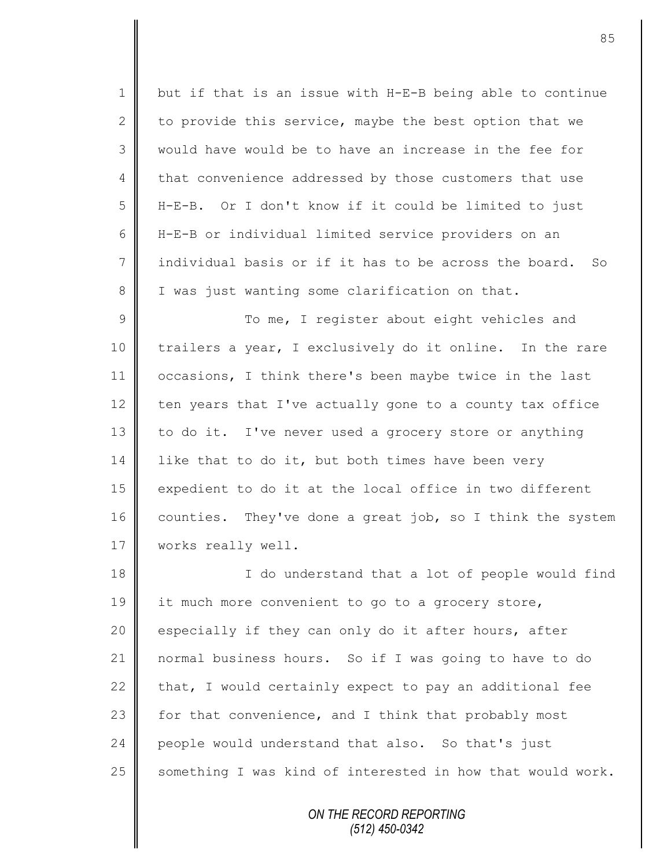1 but if that is an issue with H-E-B being able to continue 2 to provide this service, maybe the best option that we 3 || would have would be to have an increase in the fee for 4 that convenience addressed by those customers that use 5 H-E-B. Or I don't know if it could be limited to just 6 H-E-B or individual limited service providers on an 7 individual basis or if it has to be across the board. So 8 I I was just wanting some clarification on that.

9 || To me, I register about eight vehicles and 10 trailers a year, I exclusively do it online. In the rare 11 occasions, I think there's been maybe twice in the last  $12$  ten years that I've actually gone to a county tax office 13 to do it. I've never used a grocery store or anything  $14$  like that to do it, but both times have been very 15 expedient to do it at the local office in two different 16 counties. They've done a great job, so I think the system 17 | works really well.

18 || I do understand that a lot of people would find 19 it much more convenient to go to a grocery store, 20 especially if they can only do it after hours, after 21 normal business hours. So if I was going to have to do 22  $\parallel$  that, I would certainly expect to pay an additional fee 23  $\parallel$  for that convenience, and I think that probably most 24 people would understand that also. So that's just 25  $\parallel$  something I was kind of interested in how that would work.

> *ON THE RECORD REPORTING (512) 450-0342*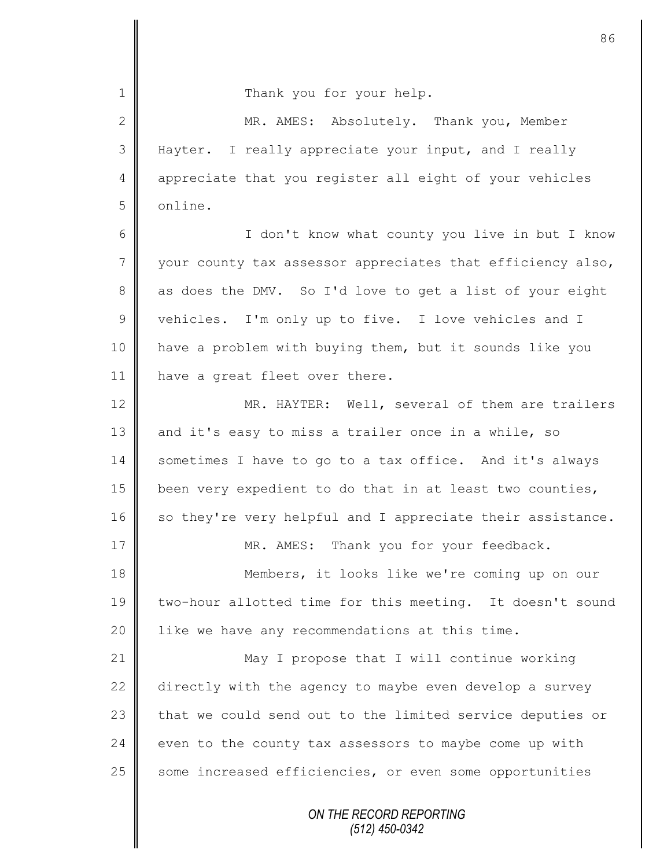| 1              | Thank you for your help.                                   |  |  |  |
|----------------|------------------------------------------------------------|--|--|--|
| $\mathbf{2}$   | MR. AMES: Absolutely. Thank you, Member                    |  |  |  |
| 3              | Hayter. I really appreciate your input, and I really       |  |  |  |
| 4              | appreciate that you register all eight of your vehicles    |  |  |  |
| 5              | online.                                                    |  |  |  |
| 6              | I don't know what county you live in but I know            |  |  |  |
| $\overline{7}$ | your county tax assessor appreciates that efficiency also, |  |  |  |
| 8              | as does the DMV. So I'd love to get a list of your eight   |  |  |  |
| $\mathcal{G}$  | vehicles. I'm only up to five. I love vehicles and I       |  |  |  |
| 10             | have a problem with buying them, but it sounds like you    |  |  |  |
| 11             | have a great fleet over there.                             |  |  |  |
| 12             | MR. HAYTER: Well, several of them are trailers             |  |  |  |
| 13             | and it's easy to miss a trailer once in a while, so        |  |  |  |
| 14             | sometimes I have to go to a tax office. And it's always    |  |  |  |
| 15             | been very expedient to do that in at least two counties,   |  |  |  |
| 16             | so they're very helpful and I appreciate their assistance. |  |  |  |
| 17             | Thank you for your feedback.<br>MR. AMES:                  |  |  |  |
| 18             | Members, it looks like we're coming up on our              |  |  |  |
| 19             | two-hour allotted time for this meeting. It doesn't sound  |  |  |  |
| 20             | like we have any recommendations at this time.             |  |  |  |
| 21             | May I propose that I will continue working                 |  |  |  |
| 22             | directly with the agency to maybe even develop a survey    |  |  |  |
| 23             | that we could send out to the limited service deputies or  |  |  |  |
| 24             | even to the county tax assessors to maybe come up with     |  |  |  |
| 25             | some increased efficiencies, or even some opportunities    |  |  |  |
|                | ON THE RECORD REPORTING<br>$(510)$ $(50000)$               |  |  |  |

 $\mathbf{I}$ 

 $\mathsf{I}$ 

*(512) 450-0342*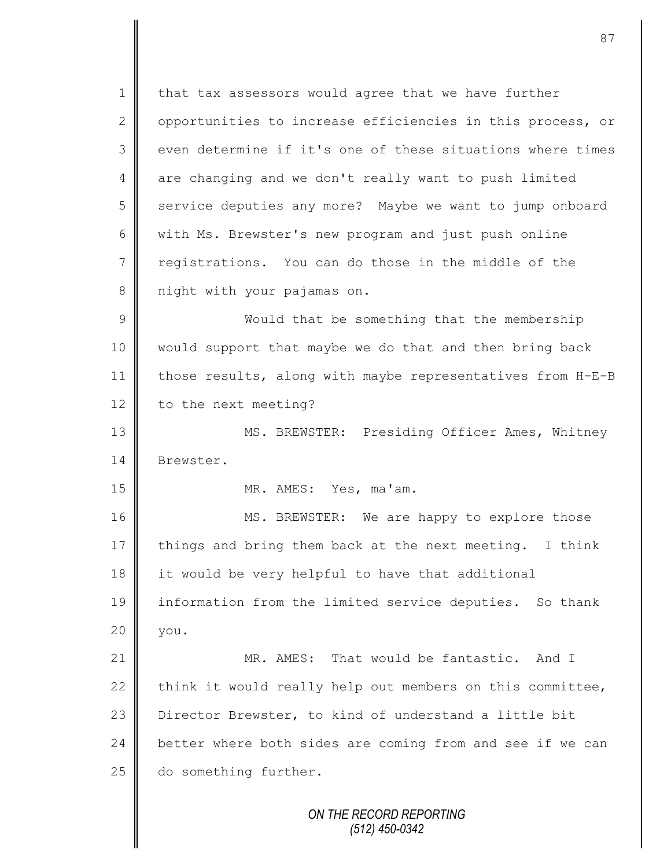*ON THE RECORD REPORTING*  $1 \parallel$  that tax assessors would agree that we have further 2 | opportunities to increase efficiencies in this process, or 3 even determine if it's one of these situations where times 4 are changing and we don't really want to push limited 5 service deputies any more? Maybe we want to jump onboard 6 with Ms. Brewster's new program and just push online 7 registrations. You can do those in the middle of the 8 | night with your pajamas on. 9 || Would that be something that the membership 10 would support that maybe we do that and then bring back 11 | those results, along with maybe representatives from H-E-B 12 | to the next meeting? 13 || MS. BREWSTER: Presiding Officer Ames, Whitney 14 Brewster. 15 MR. AMES: Yes, ma'am. 16 MS. BREWSTER: We are happy to explore those 17  $\parallel$  things and bring them back at the next meeting. I think 18 it would be very helpful to have that additional 19 information from the limited service deputies. So thank  $20 \parallel$  you. 21 **MR. AMES:** That would be fantastic. And I 22 think it would really help out members on this committee, 23 Director Brewster, to kind of understand a little bit 24 better where both sides are coming from and see if we can 25 do something further.

*(512) 450-0342*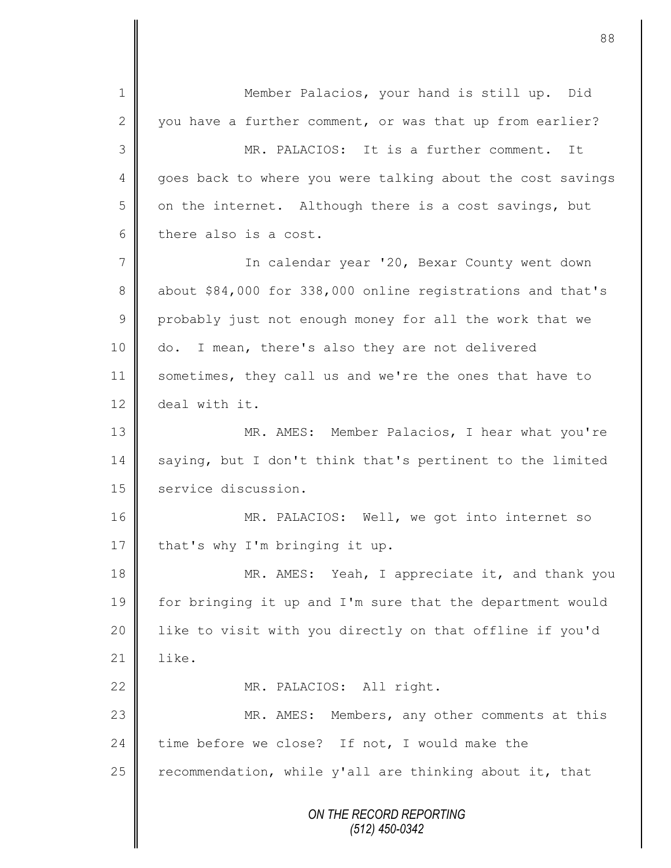*ON THE RECORD REPORTING (512) 450-0342* 1 || Member Palacios, your hand is still up. Did 2 you have a further comment, or was that up from earlier? 3 MR. PALACIOS: It is a further comment. It 4 goes back to where you were talking about the cost savings  $5$  on the internet. Although there is a cost savings, but  $6 \parallel$  there also is a cost. 7 || In calendar year '20, Bexar County went down 8 about \$84,000 for 338,000 online registrations and that's 9 probably just not enough money for all the work that we 10 do. I mean, there's also they are not delivered 11 sometimes, they call us and we're the ones that have to 12 deal with it. 13 MR. AMES: Member Palacios, I hear what you're 14 saying, but I don't think that's pertinent to the limited 15 service discussion. 16 || MR. PALACIOS: Well, we got into internet so 17 | that's why I'm bringing it up. 18 MR. AMES: Yeah, I appreciate it, and thank you 19 for bringing it up and I'm sure that the department would 20 || like to visit with you directly on that offline if you'd 21  $\parallel$  like. 22 || MR. PALACIOS: All right. 23 MR. AMES: Members, any other comments at this 24 time before we close? If not, I would make the 25  $\parallel$  recommendation, while y'all are thinking about it, that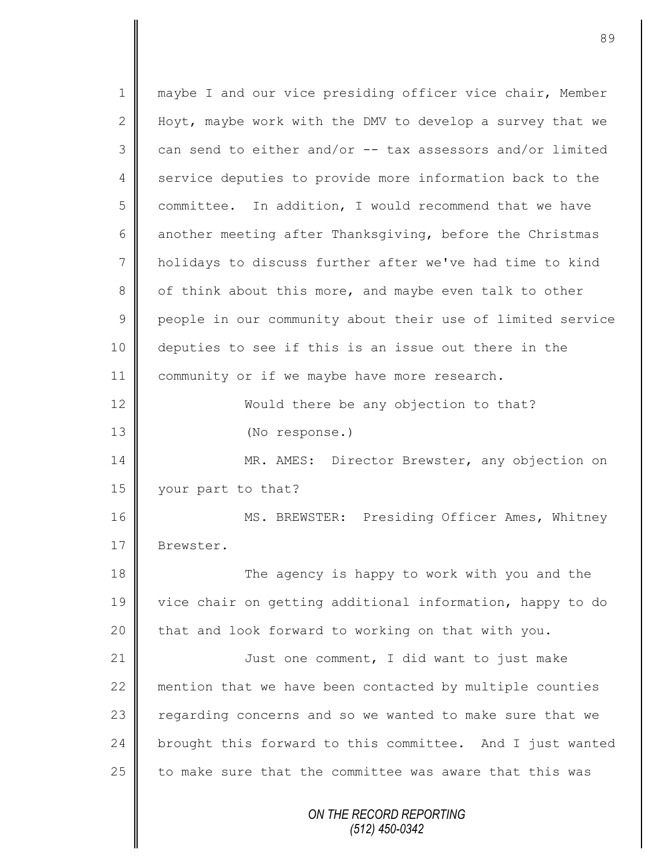*ON THE RECORD REPORTING (512) 450-0342* 1 || maybe I and our vice presiding officer vice chair, Member 2 Hoyt, maybe work with the DMV to develop a survey that we  $3 \parallel$  can send to either and/or -- tax assessors and/or limited 4 service deputies to provide more information back to the 5 committee. In addition, I would recommend that we have 6 another meeting after Thanksgiving, before the Christmas 7 holidays to discuss further after we've had time to kind 8 | of think about this more, and maybe even talk to other 9 people in our community about their use of limited service 10 deputies to see if this is an issue out there in the 11 | community or if we maybe have more research. 12 Would there be any objection to that? 13 (No response.) 14 | MR. AMES: Director Brewster, any objection on 15 vour part to that? 16 | MS. BREWSTER: Presiding Officer Ames, Whitney 17 Brewster. 18 The agency is happy to work with you and the 19 vice chair on getting additional information, happy to do 20 that and look forward to working on that with you. 21 | Just one comment, I did want to just make 22 mention that we have been contacted by multiple counties 23 | regarding concerns and so we wanted to make sure that we 24 brought this forward to this committee. And I just wanted 25 to make sure that the committee was aware that this was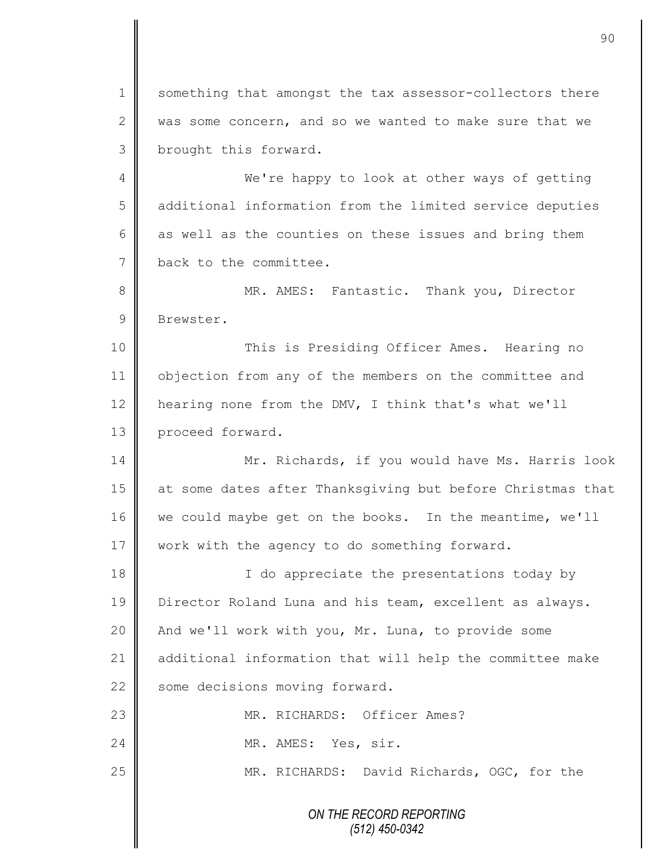1 something that amongst the tax assessor-collectors there 2 was some concern, and so we wanted to make sure that we 3 | brought this forward.

4 We're happy to look at other ways of getting 5 additional information from the limited service deputies 6  $\parallel$  as well as the counties on these issues and bring them 7 back to the committee.

8 || MR. AMES: Fantastic. Thank you, Director 9 Brewster.

 This is Presiding Officer Ames. Hearing no objection from any of the members on the committee and  $\parallel$  hearing none from the DMV, I think that's what we'll 13 proceed forward.

14 Mr. Richards, if you would have Ms. Harris look 15 at some dates after Thanksgiving but before Christmas that 16 we could maybe get on the books. In the meantime, we'll 17 | work with the agency to do something forward.

18 || I do appreciate the presentations today by 19 | Director Roland Luna and his team, excellent as always. 20 | And we'll work with you, Mr. Luna, to provide some 21 | additional information that will help the committee make 22 some decisions moving forward.

| 23 | MR. RICHARDS: Officer Ames?                |  |  |
|----|--------------------------------------------|--|--|
| 24 | MR. AMES: Yes, sir.                        |  |  |
| 25 | MR. RICHARDS: David Richards, OGC, for the |  |  |

*ON THE RECORD REPORTING (512) 450-0342*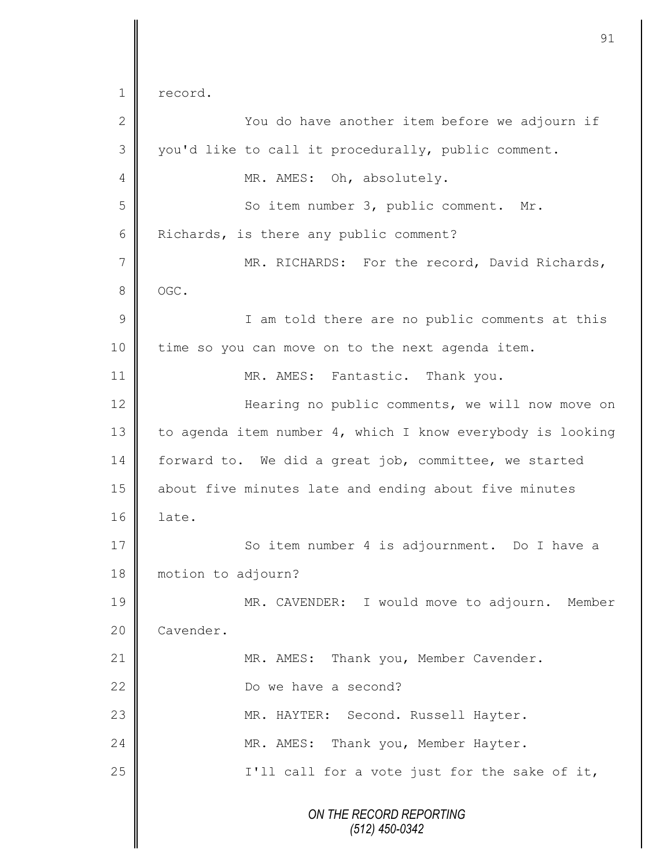*ON THE RECORD REPORTING (512) 450-0342* 1 record. 2 ||<br>
2 || You do have another item before we adjourn if  $3 \parallel$  you'd like to call it procedurally, public comment. 4 MR. AMES: Oh, absolutely. 5 || So item number 3, public comment. Mr. 6 Richards, is there any public comment? 7 || MR. RICHARDS: For the record, David Richards, 8 | OGC. 9 || I am told there are no public comments at this 10 time so you can move on to the next agenda item. 11 | MR. AMES: Fantastic. Thank you. 12 | Hearing no public comments, we will now move on 13 to agenda item number 4, which I know everybody is looking 14 forward to. We did a great job, committee, we started 15 about five minutes late and ending about five minutes 16 late. 17 || So item number 4 is adjournment. Do I have a 18 | motion to adjourn? 19 MR. CAVENDER: I would move to adjourn. Member 20 | Cavender. 21 | MR. AMES: Thank you, Member Cavender. 22 Do we have a second? 23 MR. HAYTER: Second. Russell Hayter. 24 MR. AMES: Thank you, Member Hayter.  $25$  ||  $1'$ ll call for a vote just for the sake of it,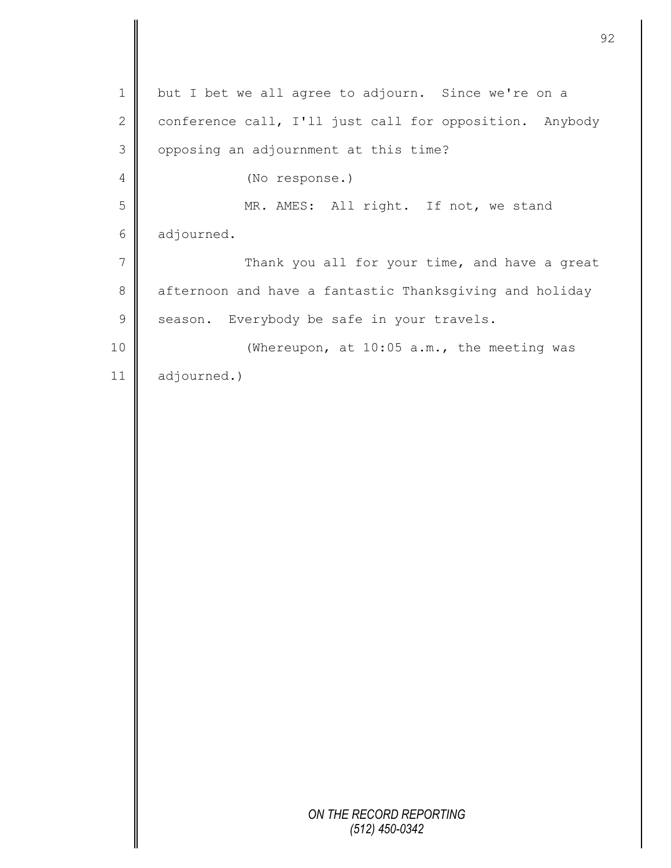|                | 9                                                       |
|----------------|---------------------------------------------------------|
| $\mathbf 1$    | but I bet we all agree to adjourn. Since we're on a     |
| $\mathbf 2$    | conference call, I'll just call for opposition. Anybody |
| 3              | opposing an adjournment at this time?                   |
| $\overline{4}$ | (No response.)                                          |
| 5              | MR. AMES: All right. If not, we stand                   |
| $\sqrt{6}$     | adjourned.                                              |
| $\overline{7}$ | Thank you all for your time, and have a great           |
| $\,8\,$        | afternoon and have a fantastic Thanksgiving and holiday |
| $\mathsf 9$    | season. Everybody be safe in your travels.              |
| 10             | (Whereupon, at 10:05 a.m., the meeting was              |
| 11             | adjourned.)                                             |
|                |                                                         |
|                |                                                         |
|                |                                                         |
|                |                                                         |
|                |                                                         |
|                |                                                         |
|                |                                                         |